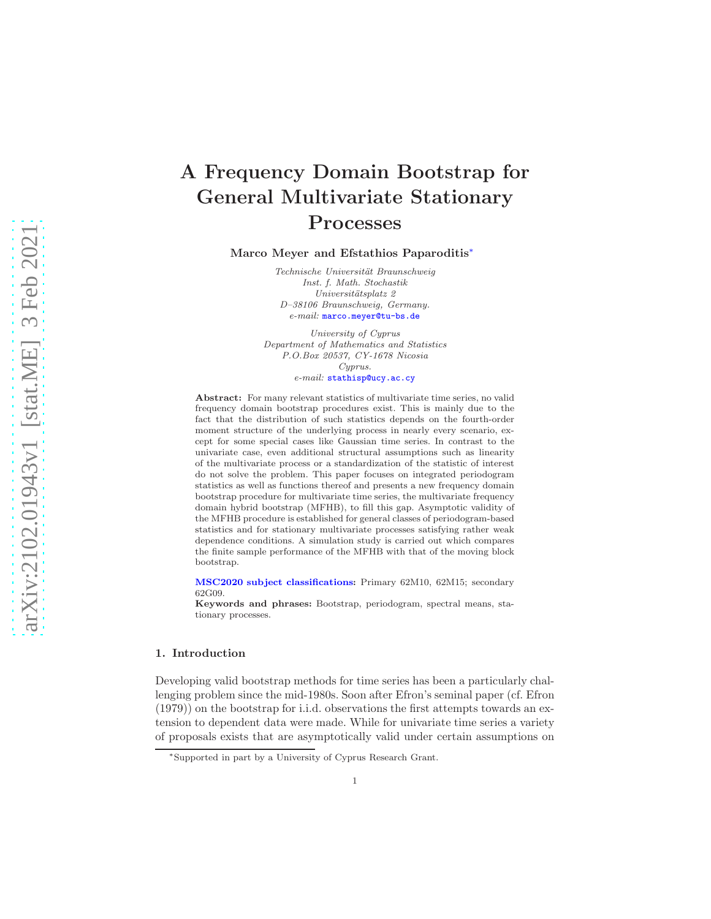# A Frequency Domain Bootstrap for General Multivariate Stationary Processes

Marco Meyer and Efstathios Paparoditis[∗](#page-0-0)

*Technische Universit¨at Braunschweig Inst. f. Math. Stochastik Universit¨atsplatz 2 D–38106 Braunschweig, Germany. e-mail:* [marco.meyer@tu-bs.de](mailto:marco.meyer@tu-bs.de)

*University of Cyprus Department of Mathematics and Statistics P.O.Box 20537, CY-1678 Nicosia Cyprus. e-mail:* [stathisp@ucy.ac.cy](mailto:stathisp@ucy.ac.cy)

Abstract: For many relevant statistics of multivariate time series, no valid frequency domain bootstrap procedures exist. This is mainly due to the fact that the distribution of such statistics depends on the fourth-order moment structure of the underlying process in nearly every scenario, except for some special cases like Gaussian time series. In contrast to the univariate case, even additional structural assumptions such as linearity of the multivariate process or a standardization of the statistic of interest do not solve the problem. This paper focuses on integrated periodogram statistics as well as functions thereof and presents a new frequency domain bootstrap procedure for multivariate time series, the multivariate frequency domain hybrid bootstrap (MFHB), to fill this gap. Asymptotic validity of the MFHB procedure is established for general classes of periodogram-based statistics and for stationary multivariate processes satisfying rather weak dependence conditions. A simulation study is carried out which compares the finite sample performance of the MFHB with that of the moving block bootstrap.

[MSC2020 subject classifications:](https://mathscinet.ams.org/mathscinet/msc/msc2020.html) Primary 62M10, 62M15; secondary 62G09.

Keywords and phrases: Bootstrap, periodogram, spectral means, stationary processes.

## 1. Introduction

Developing valid bootstrap methods for time series has been a particularly challenging problem since the mid-1980s. Soon after Efron's seminal paper (cf. Efron (1979)) on the bootstrap for i.i.d. observations the first attempts towards an extension to dependent data were made. While for univariate time series a variety of proposals exists that are asymptotically valid under certain assumptions on

<span id="page-0-0"></span><sup>∗</sup>Supported in part by a University of Cyprus Research Grant.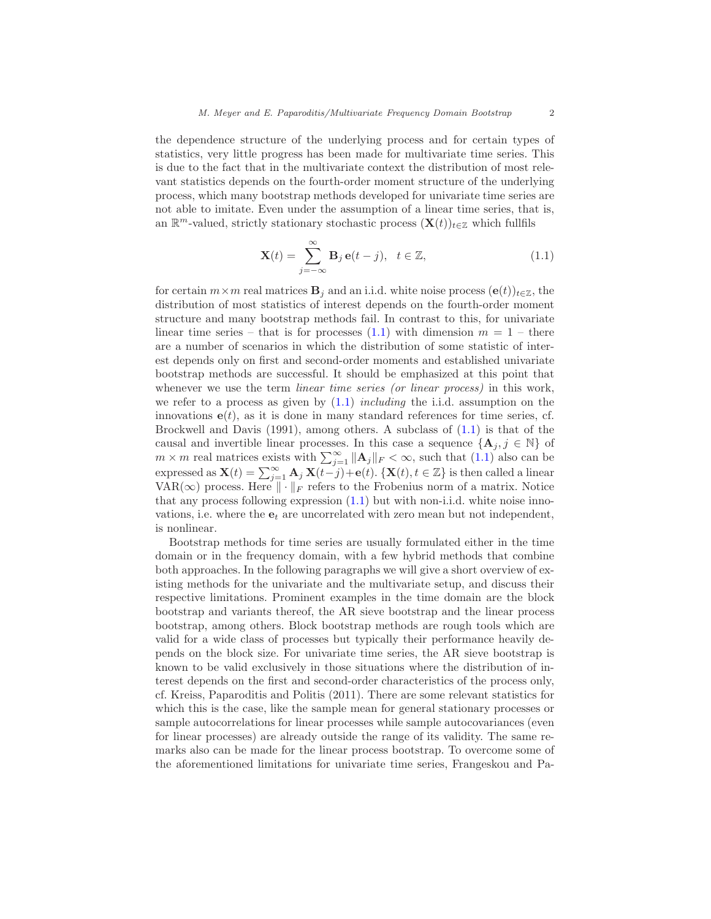the dependence structure of the underlying process and for certain types of statistics, very little progress has been made for multivariate time series. This is due to the fact that in the multivariate context the distribution of most relevant statistics depends on the fourth-order moment structure of the underlying process, which many bootstrap methods developed for univariate time series are not able to imitate. Even under the assumption of a linear time series, that is, an  $\mathbb{R}^m$ -valued, strictly stationary stochastic process  $(\mathbf{X}(t))_{t\in\mathbb{Z}}$  which fullfils

<span id="page-1-0"></span>
$$
\mathbf{X}(t) = \sum_{j=-\infty}^{\infty} \mathbf{B}_j \,\mathbf{e}(t-j), \quad t \in \mathbb{Z},
$$
 (1.1)

for certain  $m \times m$  real matrices  $\mathbf{B}_i$  and an i.i.d. white noise process  $(\mathbf{e}(t))_{t \in \mathbb{Z}}$ , the distribution of most statistics of interest depends on the fourth-order moment structure and many bootstrap methods fail. In contrast to this, for univariate linear time series – that is for processes  $(1.1)$  with dimension  $m = 1$  – there are a number of scenarios in which the distribution of some statistic of interest depends only on first and second-order moments and established univariate bootstrap methods are successful. It should be emphasized at this point that whenever we use the term *linear time series (or linear process)* in this work, we refer to a process as given by  $(1.1)$  *including* the i.i.d. assumption on the innovations  $e(t)$ , as it is done in many standard references for time series, cf. Brockwell and Davis (1991), among others. A subclass of [\(1.1\)](#page-1-0) is that of the causal and invertible linear processes. In this case a sequence  $\{A_j, j \in \mathbb{N}\}\$  of  $m \times m$  real matrices exists with  $\sum_{j=1}^{\infty} ||\mathbf{A}_j||_F < \infty$ , such that  $(1.1)$  also can be expressed as  $\mathbf{X}(t) = \sum_{j=1}^{\infty} \mathbf{A}_j \mathbf{X}(t-j) + \mathbf{e}(t)$ . { $\mathbf{X}(t), t \in \mathbb{Z}$ } is then called a linear VAR( $\infty$ ) process. Here  $\|\cdot\|_F$  refers to the Frobenius norm of a matrix. Notice that any process following expression [\(1.1\)](#page-1-0) but with non-i.i.d. white noise innovations, i.e. where the  $e_t$  are uncorrelated with zero mean but not independent, is nonlinear.

Bootstrap methods for time series are usually formulated either in the time domain or in the frequency domain, with a few hybrid methods that combine both approaches. In the following paragraphs we will give a short overview of existing methods for the univariate and the multivariate setup, and discuss their respective limitations. Prominent examples in the time domain are the block bootstrap and variants thereof, the AR sieve bootstrap and the linear process bootstrap, among others. Block bootstrap methods are rough tools which are valid for a wide class of processes but typically their performance heavily depends on the block size. For univariate time series, the AR sieve bootstrap is known to be valid exclusively in those situations where the distribution of interest depends on the first and second-order characteristics of the process only, cf. Kreiss, Paparoditis and Politis (2011). There are some relevant statistics for which this is the case, like the sample mean for general stationary processes or sample autocorrelations for linear processes while sample autocovariances (even for linear processes) are already outside the range of its validity. The same remarks also can be made for the linear process bootstrap. To overcome some of the aforementioned limitations for univariate time series, Frangeskou and Pa-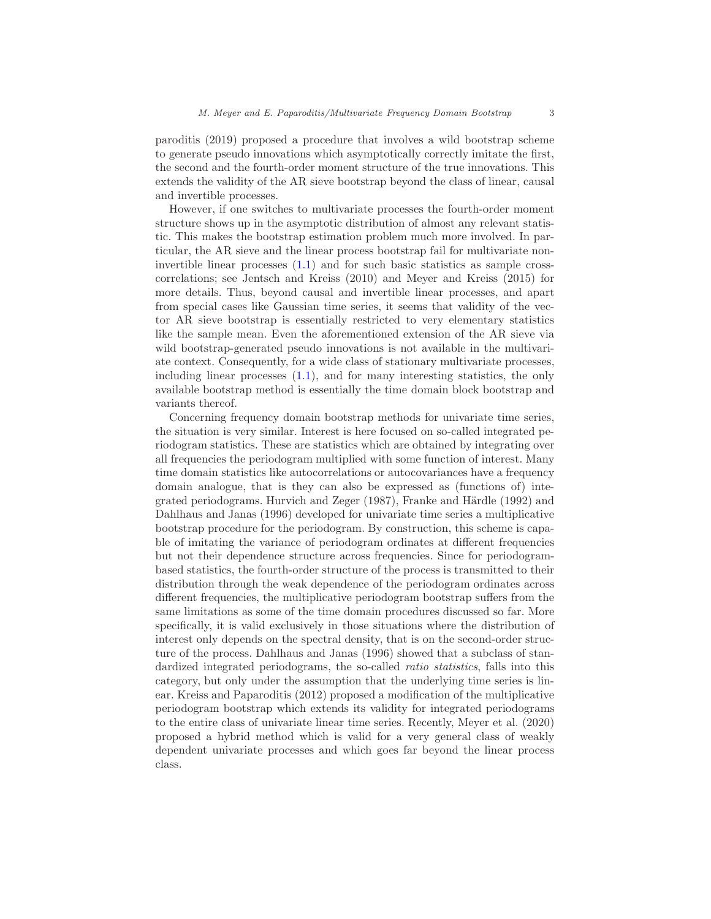paroditis (2019) proposed a procedure that involves a wild bootstrap scheme to generate pseudo innovations which asymptotically correctly imitate the first, the second and the fourth-order moment structure of the true innovations. This extends the validity of the AR sieve bootstrap beyond the class of linear, causal and invertible processes.

However, if one switches to multivariate processes the fourth-order moment structure shows up in the asymptotic distribution of almost any relevant statistic. This makes the bootstrap estimation problem much more involved. In particular, the AR sieve and the linear process bootstrap fail for multivariate noninvertible linear processes [\(1.1\)](#page-1-0) and for such basic statistics as sample crosscorrelations; see Jentsch and Kreiss (2010) and Meyer and Kreiss (2015) for more details. Thus, beyond causal and invertible linear processes, and apart from special cases like Gaussian time series, it seems that validity of the vector AR sieve bootstrap is essentially restricted to very elementary statistics like the sample mean. Even the aforementioned extension of the AR sieve via wild bootstrap-generated pseudo innovations is not available in the multivariate context. Consequently, for a wide class of stationary multivariate processes, including linear processes  $(1.1)$ , and for many interesting statistics, the only available bootstrap method is essentially the time domain block bootstrap and variants thereof.

Concerning frequency domain bootstrap methods for univariate time series, the situation is very similar. Interest is here focused on so-called integrated periodogram statistics. These are statistics which are obtained by integrating over all frequencies the periodogram multiplied with some function of interest. Many time domain statistics like autocorrelations or autocovariances have a frequency domain analogue, that is they can also be expressed as (functions of) integrated periodograms. Hurvich and Zeger (1987), Franke and Härdle (1992) and Dahlhaus and Janas (1996) developed for univariate time series a multiplicative bootstrap procedure for the periodogram. By construction, this scheme is capable of imitating the variance of periodogram ordinates at different frequencies but not their dependence structure across frequencies. Since for periodogrambased statistics, the fourth-order structure of the process is transmitted to their distribution through the weak dependence of the periodogram ordinates across different frequencies, the multiplicative periodogram bootstrap suffers from the same limitations as some of the time domain procedures discussed so far. More specifically, it is valid exclusively in those situations where the distribution of interest only depends on the spectral density, that is on the second-order structure of the process. Dahlhaus and Janas (1996) showed that a subclass of standardized integrated periodograms, the so-called ratio statistics, falls into this category, but only under the assumption that the underlying time series is linear. Kreiss and Paparoditis (2012) proposed a modification of the multiplicative periodogram bootstrap which extends its validity for integrated periodograms to the entire class of univariate linear time series. Recently, Meyer et al. (2020) proposed a hybrid method which is valid for a very general class of weakly dependent univariate processes and which goes far beyond the linear process class.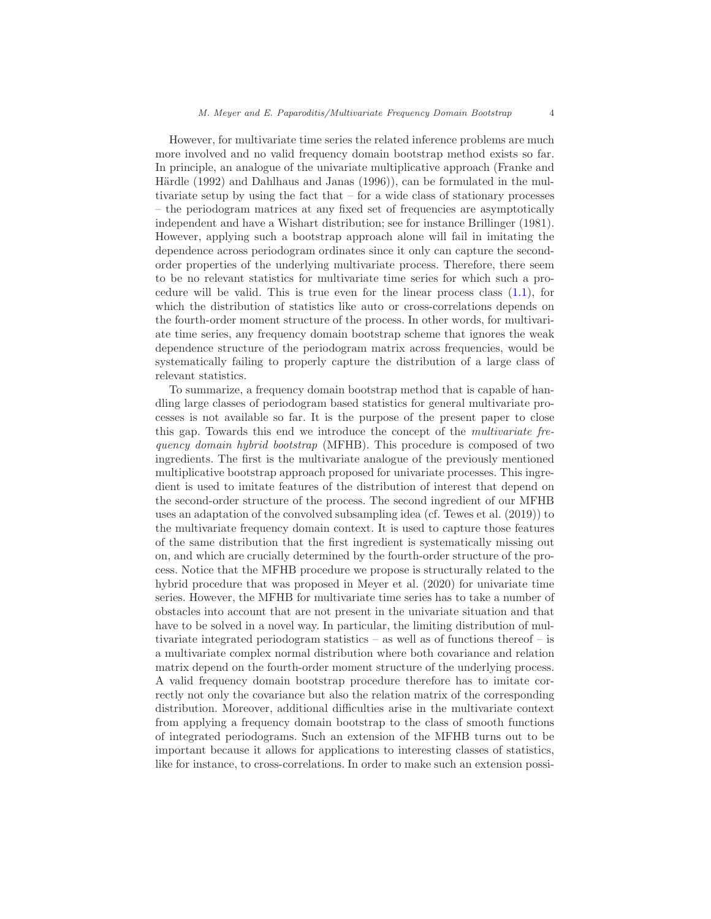However, for multivariate time series the related inference problems are much more involved and no valid frequency domain bootstrap method exists so far. In principle, an analogue of the univariate multiplicative approach (Franke and Härdle  $(1992)$  and Dahlhaus and Janas  $(1996)$ , can be formulated in the multivariate setup by using the fact that – for a wide class of stationary processes – the periodogram matrices at any fixed set of frequencies are asymptotically independent and have a Wishart distribution; see for instance Brillinger (1981). However, applying such a bootstrap approach alone will fail in imitating the dependence across periodogram ordinates since it only can capture the secondorder properties of the underlying multivariate process. Therefore, there seem to be no relevant statistics for multivariate time series for which such a procedure will be valid. This is true even for the linear process class [\(1.1\)](#page-1-0), for which the distribution of statistics like auto or cross-correlations depends on the fourth-order moment structure of the process. In other words, for multivariate time series, any frequency domain bootstrap scheme that ignores the weak dependence structure of the periodogram matrix across frequencies, would be systematically failing to properly capture the distribution of a large class of relevant statistics.

To summarize, a frequency domain bootstrap method that is capable of handling large classes of periodogram based statistics for general multivariate processes is not available so far. It is the purpose of the present paper to close this gap. Towards this end we introduce the concept of the multivariate frequency domain hybrid bootstrap (MFHB). This procedure is composed of two ingredients. The first is the multivariate analogue of the previously mentioned multiplicative bootstrap approach proposed for univariate processes. This ingredient is used to imitate features of the distribution of interest that depend on the second-order structure of the process. The second ingredient of our MFHB uses an adaptation of the convolved subsampling idea (cf. Tewes et al. (2019)) to the multivariate frequency domain context. It is used to capture those features of the same distribution that the first ingredient is systematically missing out on, and which are crucially determined by the fourth-order structure of the process. Notice that the MFHB procedure we propose is structurally related to the hybrid procedure that was proposed in Meyer et al. (2020) for univariate time series. However, the MFHB for multivariate time series has to take a number of obstacles into account that are not present in the univariate situation and that have to be solved in a novel way. In particular, the limiting distribution of multivariate integrated periodogram statistics – as well as of functions thereof – is a multivariate complex normal distribution where both covariance and relation matrix depend on the fourth-order moment structure of the underlying process. A valid frequency domain bootstrap procedure therefore has to imitate correctly not only the covariance but also the relation matrix of the corresponding distribution. Moreover, additional difficulties arise in the multivariate context from applying a frequency domain bootstrap to the class of smooth functions of integrated periodograms. Such an extension of the MFHB turns out to be important because it allows for applications to interesting classes of statistics, like for instance, to cross-correlations. In order to make such an extension possi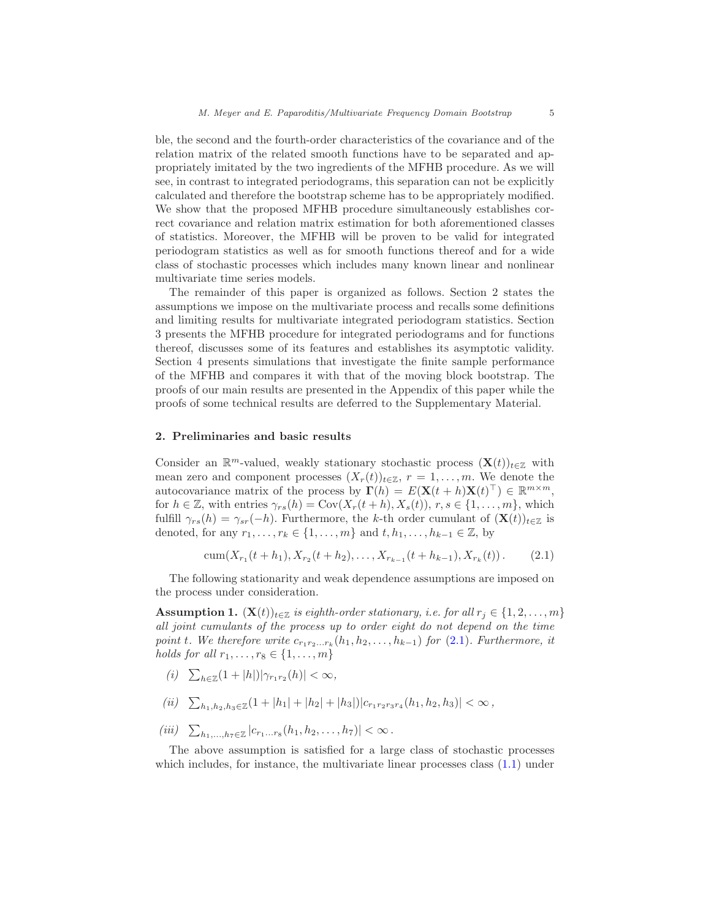ble, the second and the fourth-order characteristics of the covariance and of the relation matrix of the related smooth functions have to be separated and appropriately imitated by the two ingredients of the MFHB procedure. As we will see, in contrast to integrated periodograms, this separation can not be explicitly calculated and therefore the bootstrap scheme has to be appropriately modified. We show that the proposed MFHB procedure simultaneously establishes correct covariance and relation matrix estimation for both aforementioned classes of statistics. Moreover, the MFHB will be proven to be valid for integrated periodogram statistics as well as for smooth functions thereof and for a wide class of stochastic processes which includes many known linear and nonlinear multivariate time series models.

The remainder of this paper is organized as follows. Section 2 states the assumptions we impose on the multivariate process and recalls some definitions and limiting results for multivariate integrated periodogram statistics. Section 3 presents the MFHB procedure for integrated periodograms and for functions thereof, discusses some of its features and establishes its asymptotic validity. Section 4 presents simulations that investigate the finite sample performance of the MFHB and compares it with that of the moving block bootstrap. The proofs of our main results are presented in the Appendix of this paper while the proofs of some technical results are deferred to the Supplementary Material.

#### 2. Preliminaries and basic results

Consider an  $\mathbb{R}^m$ -valued, weakly stationary stochastic process  $(\mathbf{X}(t))_{t\in\mathbb{Z}}$  with mean zero and component processes  $(X_r(t))_{t\in\mathbb{Z}}$ ,  $r=1,\ldots,m$ . We denote the autocovariance matrix of the process by  $\mathbf{\Gamma}(h) = E(\mathbf{X}(t+h)\mathbf{X}(t)^{\top}) \in \mathbb{R}^{m \times m}$ , for  $h \in \mathbb{Z}$ , with entries  $\gamma_{rs}(h) = \text{Cov}(X_r(t+h), X_s(t)), r, s \in \{1, \ldots, m\}$ , which fulfill  $\gamma_{rs}(h) = \gamma_{sr}(-h)$ . Furthermore, the k-th order cumulant of  $(\mathbf{X}(t))_{t \in \mathbb{Z}}$  is denoted, for any  $r_1, \ldots, r_k \in \{1, \ldots, m\}$  and  $t, h_1, \ldots, h_{k-1} \in \mathbb{Z}$ , by

<span id="page-4-0"></span>
$$
\operatorname{cum}(X_{r_1}(t+h_1), X_{r_2}(t+h_2), \dots, X_{r_{k-1}}(t+h_{k-1}), X_{r_k}(t)). \tag{2.1}
$$

The following stationarity and weak dependence assumptions are imposed on the process under consideration.

<span id="page-4-1"></span>**Assumption 1.**  $(X(t))_{t\in\mathbb{Z}}$  is eighth-order stationary, i.e. for all  $r_j \in \{1,2,\ldots,m\}$ all joint cumulants of the process up to order eight do not depend on the time point t. We therefore write  $c_{r_1r_2...r_k}(h_1, h_2,..., h_{k-1})$  for  $(2.1)$ . Furthermore, it holds for all  $r_1, \ldots, r_8 \in \{1, \ldots, m\}$ 

- (i)  $\sum_{h \in \mathbb{Z}} (1 + |h|) |\gamma_{r_1 r_2}(h)| < \infty$ ,
- (ii)  $\sum_{h_1, h_2, h_3 \in \mathbb{Z}} (1 + |h_1| + |h_2| + |h_3|) |c_{r_1 r_2 r_3 r_4}(h_1, h_2, h_3)| < \infty$ ,
- (iii)  $\sum_{h_1,...,h_7 \in \mathbb{Z}} |c_{r_1...r_8}(h_1, h_2,..., h_7)| < \infty$ .

The above assumption is satisfied for a large class of stochastic processes which includes, for instance, the multivariate linear processes class  $(1.1)$  under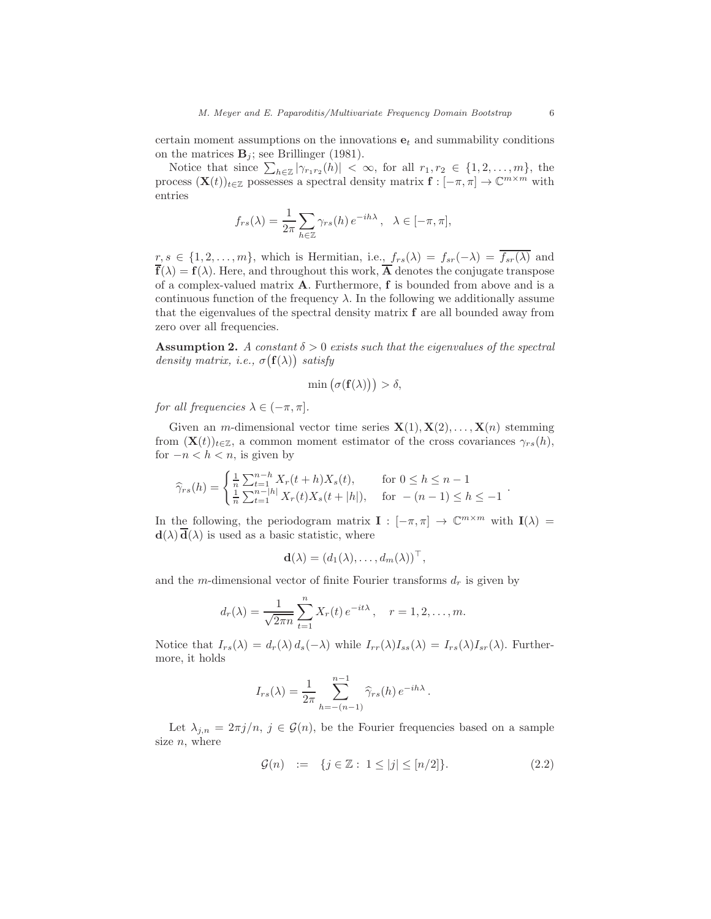certain moment assumptions on the innovations  $e_t$  and summability conditions on the matrices  $\mathbf{B}_i$ ; see Brillinger (1981).

Notice that since  $\sum_{h\in\mathbb{Z}}|\gamma_{r_1r_2}(h)| < \infty$ , for all  $r_1, r_2 \in \{1, 2, ..., m\}$ , the process  $(\mathbf{X}(t))_{t\in\mathbb{Z}}$  possesses a spectral density matrix  $\mathbf{f}: [-\pi, \pi] \to \mathbb{C}^{m \times m}$  with entries

$$
f_{rs}(\lambda) = \frac{1}{2\pi} \sum_{h \in \mathbb{Z}} \gamma_{rs}(h) e^{-ih\lambda}, \quad \lambda \in [-\pi, \pi],
$$

 $r, s \in \{1, 2, \ldots, m\}$ , which is Hermitian, i.e.,  $f_{rs}(\lambda) = f_{sr}(-\lambda) = \overline{f_{sr}(\lambda)}$  and  $\overline{f}(\lambda) = f(\lambda)$ . Here, and throughout this work,  $\overline{A}$  denotes the conjugate transpose of a complex-valued matrix A. Furthermore, f is bounded from above and is a continuous function of the frequency  $\lambda$ . In the following we additionally assume that the eigenvalues of the spectral density matrix f are all bounded away from zero over all frequencies.

<span id="page-5-0"></span>**Assumption 2.** A constant  $\delta > 0$  exists such that the eigenvalues of the spectral density matrix, i.e.,  $\sigma(f(\lambda))$  satisfy

$$
\min(\sigma(\mathbf{f}(\lambda))) > \delta,
$$

for all frequencies  $\lambda \in (-\pi, \pi]$ .

Given an *m*-dimensional vector time series  $X(1), X(2), \ldots, X(n)$  stemming from  $(\mathbf{X}(t))_{t\in\mathbb{Z}}$ , a common moment estimator of the cross covariances  $\gamma_{rs}(h)$ , for  $-n < h < n$ , is given by

$$
\widehat{\gamma}_{rs}(h) = \begin{cases} \frac{1}{n} \sum_{t=1}^{n-h} X_r(t+h) X_s(t), & \text{for } 0 \le h \le n-1\\ \frac{1}{n} \sum_{t=1}^{n-|h|} X_r(t) X_s(t+|h|), & \text{for } -(n-1) \le h \le -1 \end{cases}.
$$

In the following, the periodogram matrix  $\mathbf{I} : [-\pi, \pi] \to \mathbb{C}^{m \times m}$  with  $\mathbf{I}(\lambda) =$  $\mathbf{d}(\lambda) \overline{\mathbf{d}}(\lambda)$  is used as a basic statistic, where

$$
\mathbf{d}(\lambda) = (d_1(\lambda), \dots, d_m(\lambda))^\top,
$$

and the m-dimensional vector of finite Fourier transforms  $d_r$  is given by

$$
d_r(\lambda) = \frac{1}{\sqrt{2\pi n}} \sum_{t=1}^n X_r(t) e^{-it\lambda}, \quad r = 1, 2, ..., m.
$$

Notice that  $I_{rs}(\lambda) = d_r(\lambda) d_s(-\lambda)$  while  $I_{rr}(\lambda)I_{ss}(\lambda) = I_{rs}(\lambda)I_{sr}(\lambda)$ . Furthermore, it holds

$$
I_{rs}(\lambda) = \frac{1}{2\pi} \sum_{h=-\binom{n-1}{2}}^{n-1} \widehat{\gamma}_{rs}(h) e^{-ih\lambda}.
$$

Let  $\lambda_{j,n} = 2\pi j/n$ ,  $j \in \mathcal{G}(n)$ , be the Fourier frequencies based on a sample size  $n$ , where

$$
\mathcal{G}(n) := \{ j \in \mathbb{Z} : 1 \le |j| \le [n/2] \}. \tag{2.2}
$$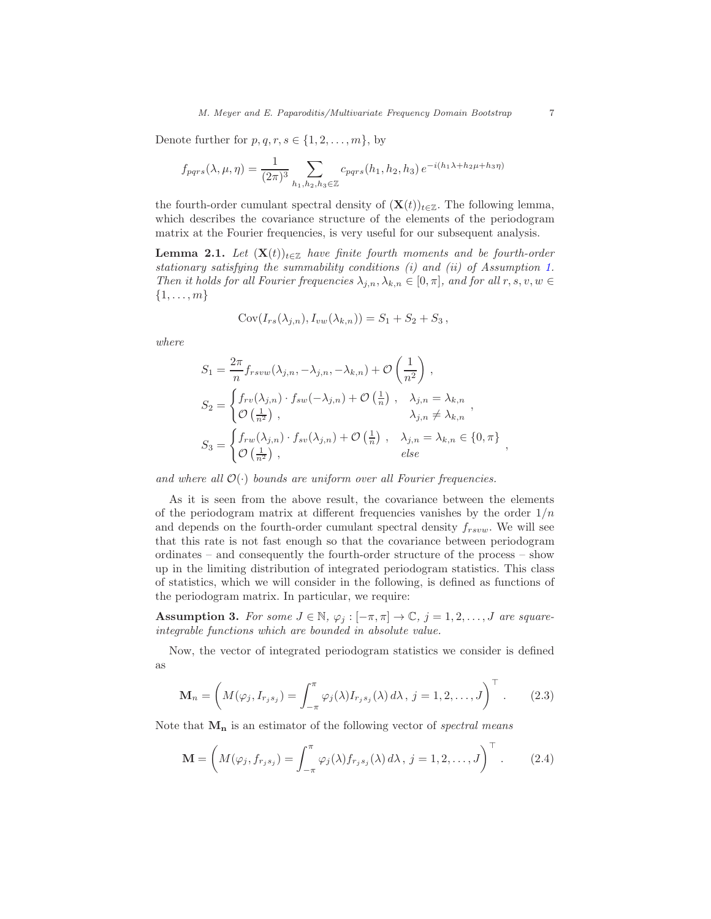Denote further for  $p, q, r, s \in \{1, 2, \ldots, m\}$ , by

$$
f_{pqrs}(\lambda, \mu, \eta) = \frac{1}{(2\pi)^3} \sum_{h_1, h_2, h_3 \in \mathbb{Z}} c_{pqrs}(h_1, h_2, h_3) e^{-i(h_1\lambda + h_2\mu + h_3\eta)}
$$

the fourth-order cumulant spectral density of  $(\mathbf{X}(t))_{t\in\mathbb{Z}}$ . The following lemma, which describes the covariance structure of the elements of the periodogram matrix at the Fourier frequencies, is very useful for our subsequent analysis.

<span id="page-6-0"></span>**Lemma 2.1.** Let  $(X(t))_{t\in\mathbb{Z}}$  have finite fourth moments and be fourth-order stationary satisfying the summability conditions (i) and (ii) of Assumption [1.](#page-4-1) Then it holds for all Fourier frequencies  $\lambda_{j,n}, \lambda_{k,n} \in [0, \pi]$ , and for all  $r, s, v, w \in$  $\{1,\ldots,m\}$ 

$$
Cov(I_{rs}(\lambda_{j,n}), I_{vw}(\lambda_{k,n})) = S_1 + S_2 + S_3,
$$

where

$$
S_1 = \frac{2\pi}{n} f_{rsvw}(\lambda_{j,n}, -\lambda_{j,n}, -\lambda_{k,n}) + \mathcal{O}\left(\frac{1}{n^2}\right),
$$
  
\n
$$
S_2 = \begin{cases} f_{rv}(\lambda_{j,n}) \cdot f_{sw}(-\lambda_{j,n}) + \mathcal{O}\left(\frac{1}{n}\right), & \lambda_{j,n} = \lambda_{k,n} \\ \mathcal{O}\left(\frac{1}{n^2}\right), & \lambda_{j,n} \neq \lambda_{k,n} \end{cases},
$$
  
\n
$$
S_3 = \begin{cases} f_{rw}(\lambda_{j,n}) \cdot f_{sv}(\lambda_{j,n}) + \mathcal{O}\left(\frac{1}{n}\right), & \lambda_{j,n} = \lambda_{k,n} \in \{0,\pi\} \\ \mathcal{O}\left(\frac{1}{n^2}\right), & else \end{cases}
$$

and where all  $\mathcal{O}(\cdot)$  bounds are uniform over all Fourier frequencies.

As it is seen from the above result, the covariance between the elements of the periodogram matrix at different frequencies vanishes by the order  $1/n$ and depends on the fourth-order cumulant spectral density  $f_{rsvw}$ . We will see that this rate is not fast enough so that the covariance between periodogram ordinates – and consequently the fourth-order structure of the process – show up in the limiting distribution of integrated periodogram statistics. This class of statistics, which we will consider in the following, is defined as functions of the periodogram matrix. In particular, we require:

<span id="page-6-3"></span>**Assumption 3.** For some  $J \in \mathbb{N}$ ,  $\varphi_j : [-\pi, \pi] \to \mathbb{C}$ ,  $j = 1, 2, ..., J$  are squareintegrable functions which are bounded in absolute value.

Now, the vector of integrated periodogram statistics we consider is defined as

$$
\mathbf{M}_n = \left( M(\varphi_j, I_{r_js_j}) = \int_{-\pi}^{\pi} \varphi_j(\lambda) I_{r_js_j}(\lambda) d\lambda, j = 1, 2, \dots, J \right)^{\top}.
$$
 (2.3)

Note that  $M_n$  is an estimator of the following vector of spectral means

$$
\mathbf{M} = \left( M(\varphi_j, f_{r_js_j}) = \int_{-\pi}^{\pi} \varphi_j(\lambda) f_{r_js_j}(\lambda) d\lambda, j = 1, 2, \dots, J \right)^{\top}.
$$
 (2.4)

<span id="page-6-2"></span><span id="page-6-1"></span>,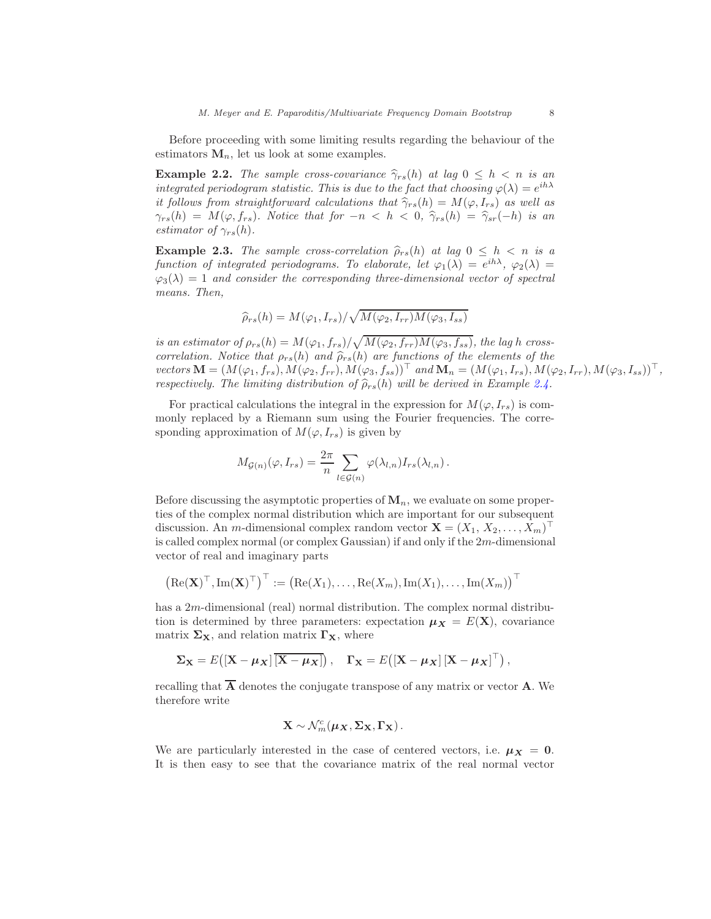Before proceeding with some limiting results regarding the behaviour of the estimators  $M_n$ , let us look at some examples.

**Example 2.2.** The sample cross-covariance  $\hat{\gamma}_{rs}(h)$  at lag  $0 \leq h \leq n$  is an integrated periodogram statistic. This is due to the fact that choosing  $\varphi(\lambda) = e^{ih\lambda}$ it follows from straightforward calculations that  $\hat{\gamma}_{rs}(h) = M(\varphi, I_{rs})$  as well as  $\gamma_{rs}(h) = M(\varphi, f_{rs})$ . Notice that for  $-n < h < 0$ ,  $\hat{\gamma}_{rs}(h) = \hat{\gamma}_{sr}(-h)$  is an estimator of  $\gamma_{rs}(h)$ .

<span id="page-7-0"></span>**Example 2.3.** The sample cross-correlation  $\hat{\rho}_{rs}(h)$  at lag  $0 \leq h \leq n$  is a function of integrated periodograms. To elaborate, let  $\varphi_1(\lambda) = e^{ih\lambda}$ ,  $\varphi_2(\lambda) =$  $\varphi_3(\lambda) = 1$  and consider the corresponding three-dimensional vector of spectral means. Then,

$$
\widehat{\rho}_{rs}(h) = M(\varphi_1, I_{rs}) / \sqrt{M(\varphi_2, I_{rr}) M(\varphi_3, I_{ss})}
$$

is an estimator of  $\rho_{rs}(h) = M(\varphi_1, f_{rs})/\sqrt{M(\varphi_2, f_{rr})M(\varphi_3, f_{ss})}$ , the lag h crosscorrelation. Notice that  $\rho_{rs}(h)$  and  $\hat{\rho}_{rs}(h)$  are functions of the elements of the vectors  $\mathbf{M} = (M(\varphi_1, f_{rs}), M(\varphi_2, f_{rr}), M(\varphi_3, f_{ss}))^\top$  and  $\mathbf{M}_n = (M(\varphi_1, I_{rs}), M(\varphi_2, I_{rr}), M(\varphi_3, I_{ss}))^\top$ , respectively. The limiting distribution of  $\widehat{\rho}_{rs}(h)$  will be derived in Example [2.4.](#page-10-0)

For practical calculations the integral in the expression for  $M(\varphi, I_{rs})$  is commonly replaced by a Riemann sum using the Fourier frequencies. The corresponding approximation of  $M(\varphi, I_{rs})$  is given by

$$
M_{\mathcal{G}(n)}(\varphi, I_{rs}) = \frac{2\pi}{n} \sum_{l \in \mathcal{G}(n)} \varphi(\lambda_{l,n}) I_{rs}(\lambda_{l,n}).
$$

Before discussing the asymptotic properties of  $M_n$ , we evaluate on some properties of the complex normal distribution which are important for our subsequent discussion. An *m*-dimensional complex random vector  $\mathbf{X} = (X_1, X_2, \dots, X_m)^\top$ is called complex normal (or complex Gaussian) if and only if the 2m-dimensional vector of real and imaginary parts

$$
\left(\text{Re}(\mathbf{X})^{\top},\text{Im}(\mathbf{X})^{\top}\right)^{\top} := \left(\text{Re}(X_1),\ldots,\text{Re}(X_m),\text{Im}(X_1),\ldots,\text{Im}(X_m)\right)^{\top}
$$

has a 2m-dimensional (real) normal distribution. The complex normal distribution is determined by three parameters: expectation  $\mu_X = E(X)$ , covariance matrix  $\Sigma_{\mathbf{X}}$ , and relation matrix  $\Gamma_{\mathbf{X}}$ , where

$$
\Sigma_{\mathbf{X}} = E\big( [\mathbf{X} - \mu_{\mathbf{X}}] \overline{[\mathbf{X} - \mu_{\mathbf{X}}]} \big), \quad \Gamma_{\mathbf{X}} = E\big( [\mathbf{X} - \mu_{\mathbf{X}}] \left[ \mathbf{X} - \mu_{\mathbf{X}} \right]^\top \big),
$$

recalling that  $\overline{A}$  denotes the conjugate transpose of any matrix or vector **A**. We therefore write

$$
\mathbf{X} \sim \mathcal{N}_m^c(\boldsymbol{\mu}_{\mathbf{X}}, \boldsymbol{\Sigma}_{\mathbf{X}}, \boldsymbol{\Gamma}_{\mathbf{X}}).
$$

We are particularly interested in the case of centered vectors, i.e.  $\mu_X = 0$ . It is then easy to see that the covariance matrix of the real normal vector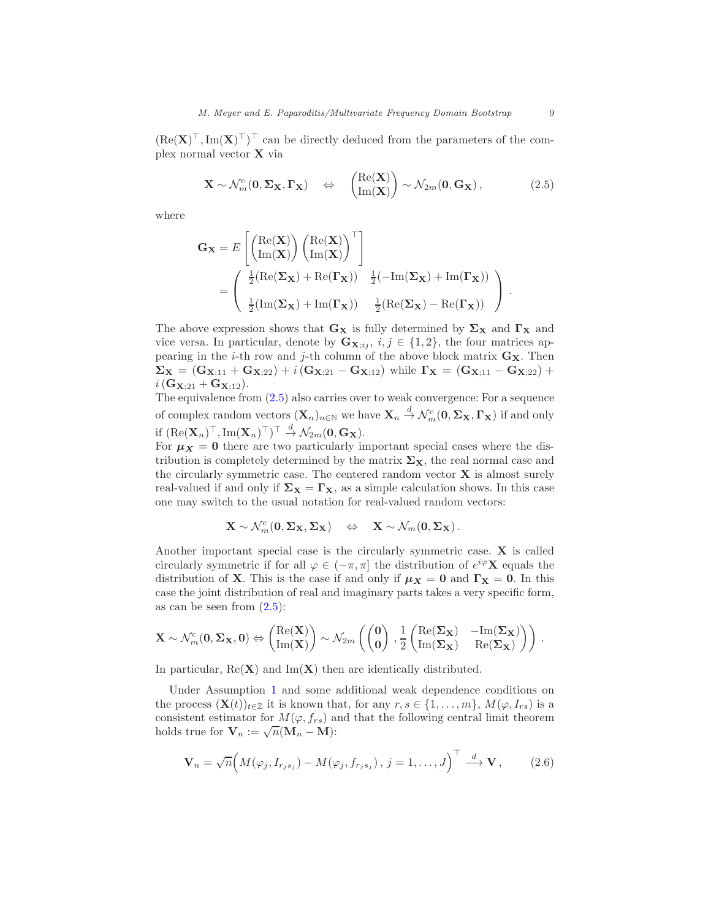$(\text{Re}(\mathbf{X})^{\top}, \text{Im}(\mathbf{X})^{\top})^{\top}$  can be directly deduced from the parameters of the complex normal vector X via

<span id="page-8-0"></span>
$$
\mathbf{X} \sim \mathcal{N}_m^c(\mathbf{0}, \Sigma_{\mathbf{X}}, \Gamma_{\mathbf{X}}) \quad \Leftrightarrow \quad \begin{pmatrix} \text{Re}(\mathbf{X}) \\ \text{Im}(\mathbf{X}) \end{pmatrix} \sim \mathcal{N}_{2m}(\mathbf{0}, \mathbf{G}_{\mathbf{X}}), \tag{2.5}
$$

where

$$
G_{\mathbf{X}} = E\left[\begin{pmatrix} \text{Re}(\mathbf{X}) \\ \text{Im}(\mathbf{X}) \end{pmatrix} \begin{pmatrix} \text{Re}(\mathbf{X}) \\ \text{Im}(\mathbf{X}) \end{pmatrix}^{\top} \right]
$$
  
= 
$$
\begin{pmatrix} \frac{1}{2}(\text{Re}(\mathbf{\Sigma}_{\mathbf{X}}) + \text{Re}(\mathbf{\Gamma}_{\mathbf{X}})) & \frac{1}{2}(-\text{Im}(\mathbf{\Sigma}_{\mathbf{X}}) + \text{Im}(\mathbf{\Gamma}_{\mathbf{X}})) \\ \frac{1}{2}(\text{Im}(\mathbf{\Sigma}_{\mathbf{X}}) + \text{Im}(\mathbf{\Gamma}_{\mathbf{X}})) & \frac{1}{2}(\text{Re}(\mathbf{\Sigma}_{\mathbf{X}}) - \text{Re}(\mathbf{\Gamma}_{\mathbf{X}})) \end{pmatrix}.
$$

The above expression shows that  $G_X$  is fully determined by  $\Sigma_X$  and  $\Gamma_X$  and vice versa. In particular, denote by  $\mathbf{G}_{\mathbf{X},i,j}, i,j \in \{1,2\}$ , the four matrices appearing in the *i*-th row and *j*-th column of the above block matrix  $G_X$ . Then  $\Sigma_{\mathbf{X}} = (\mathbf{G}_{\mathbf{X};11} + \mathbf{G}_{\mathbf{X};22}) + i(\mathbf{G}_{\mathbf{X};21} - \mathbf{G}_{\mathbf{X};12})$  while  $\Gamma_{\mathbf{X}} = (\mathbf{G}_{\mathbf{X};11} - \mathbf{G}_{\mathbf{X};22}) +$  $i(\mathbf{G}_{\mathbf{X}:21} + \mathbf{G}_{\mathbf{X}:12}).$ 

The equivalence from [\(2.5\)](#page-8-0) also carries over to weak convergence: For a sequence of complex random vectors  $(X_n)_{n\in\mathbb{N}}$  we have  $X_n \stackrel{d}{\to} \mathcal{N}_m^c(0, \Sigma_X, \Gamma_X)$  if and only if  $(\text{Re}(\mathbf{X}_n)^{\top}, \text{Im}(\mathbf{X}_n)^{\top})^{\top} \stackrel{d}{\rightarrow} \mathcal{N}_{2m}(\mathbf{0}, \mathbf{G}_{\mathbf{X}}).$ 

For  $\mu_X = 0$  there are two particularly important special cases where the distribution is completely determined by the matrix  $\Sigma_{\mathbf{X}}$ , the real normal case and the circularly symmetric case. The centered random vector  $X$  is almost surely real-valued if and only if  $\Sigma_{X} = \Gamma_{X}$ , as a simple calculation shows. In this case one may switch to the usual notation for real-valued random vectors:

$$
\mathbf{X} \sim \mathcal{N}_m^c(\mathbf{0}, \boldsymbol{\Sigma}_{\mathbf{X}}, \boldsymbol{\Sigma}_{\mathbf{X}}) \quad \Leftrightarrow \quad \mathbf{X} \sim \mathcal{N}_m(\mathbf{0}, \boldsymbol{\Sigma}_{\mathbf{X}}) \, .
$$

Another important special case is the circularly symmetric case.  $X$  is called circularly symmetric if for all  $\varphi \in (-\pi, \pi]$  the distribution of  $e^{i\varphi} \mathbf{X}$  equals the distribution of **X**. This is the case if and only if  $\mu_X = 0$  and  $\Gamma_X = 0$ . In this case the joint distribution of real and imaginary parts takes a very specific form, as can be seen from  $(2.5)$ :

$$
\mathbf{X} \sim \mathcal{N}_m^c(\mathbf{0}, \mathbf{\Sigma_X}, \mathbf{0}) \Leftrightarrow \begin{pmatrix} \mathrm{Re}(\mathbf{X}) \\ \mathrm{Im}(\mathbf{X}) \end{pmatrix} \sim \mathcal{N}_{2m} \left( \begin{pmatrix} \mathbf{0} \\ \mathbf{0} \end{pmatrix}, \frac{1}{2} \begin{pmatrix} \mathrm{Re}(\mathbf{\Sigma_X}) & -\mathrm{Im}(\mathbf{\Sigma_X}) \\ \mathrm{Im}(\mathbf{\Sigma_X}) & \mathrm{Re}(\mathbf{\Sigma_X}) \end{pmatrix} \right) .
$$

In particular,  $\text{Re}(\mathbf{X})$  and  $\text{Im}(\mathbf{X})$  then are identically distributed.

Under Assumption [1](#page-4-1) and some additional weak dependence conditions on the process  $(\mathbf{X}(t))_{t\in\mathbb{Z}}$  it is known that, for any  $r, s \in \{1, \ldots, m\}, M(\varphi, I_{rs})$  is a consistent estimator for  $M(\varphi, f_{rs})$  and that the following central limit theorem holds true for  $\mathbf{V}_n := \sqrt{n}(\mathbf{M}_n - \mathbf{M})$ :

<span id="page-8-1"></span>
$$
\mathbf{V}_n = \sqrt{n} \Big( M(\varphi_j, I_{r_j s_j}) - M(\varphi_j, f_{r_j s_j}), j = 1, \dots, J \Big)^{\top} \stackrel{d}{\longrightarrow} \mathbf{V}, \qquad (2.6)
$$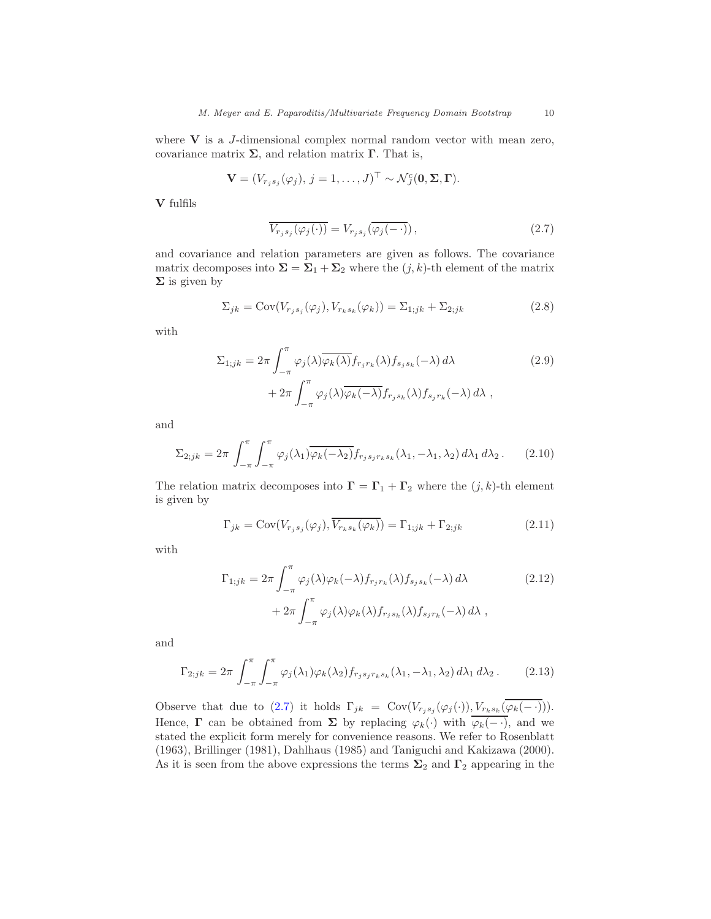where  $V$  is a *J*-dimensional complex normal random vector with mean zero, covariance matrix  $\Sigma$ , and relation matrix  $\Gamma$ . That is,

$$
\mathbf{V}=(V_{r_js_j}(\varphi_j),\,j=1,\ldots,J)^\top\sim\mathcal{N}_J^c(\mathbf{0},\mathbf{\Sigma},\mathbf{\Gamma}).
$$

V fulfils

<span id="page-9-0"></span>
$$
\overline{V_{r_js_j}(\varphi_j(\cdot))} = V_{r_js_j}(\overline{\varphi_j(-\cdot))}\,,\tag{2.7}
$$

and covariance and relation parameters are given as follows. The covariance matrix decomposes into  $\Sigma = \Sigma_1 + \Sigma_2$  where the  $(j, k)$ -th element of the matrix  $\Sigma$  is given by

$$
\Sigma_{jk} = \text{Cov}(V_{r_js_j}(\varphi_j), V_{r_ks_k}(\varphi_k)) = \Sigma_{1;jk} + \Sigma_{2;jk}
$$
\n(2.8)

with

$$
\Sigma_{1;jk} = 2\pi \int_{-\pi}^{\pi} \varphi_j(\lambda) \overline{\varphi_k(\lambda)} f_{r_jr_k}(\lambda) f_{s_js_k}(-\lambda) d\lambda + 2\pi \int_{-\pi}^{\pi} \varphi_j(\lambda) \overline{\varphi_k(-\lambda)} f_{r_js_k}(\lambda) f_{s_jr_k}(-\lambda) d\lambda,
$$
\n(2.9)

and

$$
\Sigma_{2;jk} = 2\pi \int_{-\pi}^{\pi} \int_{-\pi}^{\pi} \varphi_j(\lambda_1) \overline{\varphi_k(-\lambda_2)} f_{r_j s_j r_k s_k}(\lambda_1, -\lambda_1, \lambda_2) d\lambda_1 d\lambda_2.
$$
 (2.10)

The relation matrix decomposes into  $\Gamma = \Gamma_1 + \Gamma_2$  where the  $(j, k)$ -th element is given by

$$
\Gamma_{jk} = \text{Cov}(V_{r_js_j}(\varphi_j), \overline{V_{r_ks_k}(\varphi_k)}) = \Gamma_{1;jk} + \Gamma_{2;jk}
$$
\n(2.11)

with

$$
\Gamma_{1;jk} = 2\pi \int_{-\pi}^{\pi} \varphi_j(\lambda) \varphi_k(-\lambda) f_{r_j r_k}(\lambda) f_{s_j s_k}(-\lambda) d\lambda
$$
\n
$$
+ 2\pi \int_{-\pi}^{\pi} \varphi_j(\lambda) \varphi_k(\lambda) f_{r_j s_k}(\lambda) f_{s_j r_k}(-\lambda) d\lambda,
$$
\n(2.12)

and

$$
\Gamma_{2;jk} = 2\pi \int_{-\pi}^{\pi} \int_{-\pi}^{\pi} \varphi_j(\lambda_1) \varphi_k(\lambda_2) f_{r_js_jr_ks_k}(\lambda_1, -\lambda_1, \lambda_2) d\lambda_1 d\lambda_2.
$$
 (2.13)

Observe that due to [\(2.7\)](#page-9-0) it holds  $\Gamma_{jk} = \text{Cov}(V_{r_js_j}(\varphi_j(\cdot)), \underbrace{V_{r_ks_k}(\varphi_k(-\cdot))}).$ Hence,  $\Gamma$  can be obtained from  $\Sigma$  by replacing  $\varphi_k(\cdot)$  with  $\overline{\varphi_k(-\cdot)}$ , and we stated the explicit form merely for convenience reasons. We refer to Rosenblatt (1963), Brillinger (1981), Dahlhaus (1985) and Taniguchi and Kakizawa (2000). As it is seen from the above expressions the terms  $\Sigma_2$  and  $\Gamma_2$  appearing in the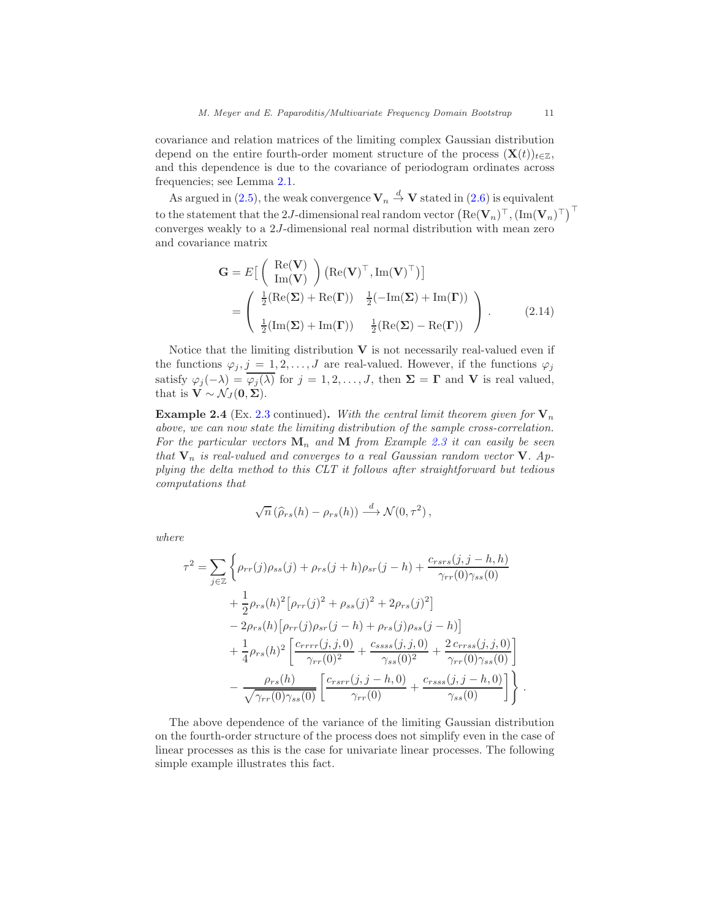covariance and relation matrices of the limiting complex Gaussian distribution depend on the entire fourth-order moment structure of the process  $(X(t))_{t\in\mathbb{Z}}$ , and this dependence is due to the covariance of periodogram ordinates across frequencies; see Lemma [2.1.](#page-6-0)

As argued in [\(2.5\)](#page-8-0), the weak convergence  $\mathbf{V}_n \stackrel{d}{\to} \mathbf{V}$  stated in [\(2.6\)](#page-8-1) is equivalent to the statement that the 2J-dimensional real random vector  $\left(\text{Re}(\mathbf{V}_n)^\top, (\text{Im}(\mathbf{V}_n)^\top)^\top\right)$ converges weakly to a 2J-dimensional real normal distribution with mean zero and covariance matrix

<span id="page-10-1"></span>
$$
\mathbf{G} = E\left[\begin{pmatrix} \text{Re}(\mathbf{V}) \\ \text{Im}(\mathbf{V}) \end{pmatrix} (\text{Re}(\mathbf{V})^{\top}, \text{Im}(\mathbf{V})^{\top})\right]
$$
  
= 
$$
\begin{pmatrix} \frac{1}{2} (\text{Re}(\boldsymbol{\Sigma}) + \text{Re}(\boldsymbol{\Gamma})) & \frac{1}{2} (-\text{Im}(\boldsymbol{\Sigma}) + \text{Im}(\boldsymbol{\Gamma})) \\ \frac{1}{2} (\text{Im}(\boldsymbol{\Sigma}) + \text{Im}(\boldsymbol{\Gamma})) & \frac{1}{2} (\text{Re}(\boldsymbol{\Sigma}) - \text{Re}(\boldsymbol{\Gamma})) \end{pmatrix}.
$$
 (2.14)

Notice that the limiting distribution  $V$  is not necessarily real-valued even if the functions  $\varphi_j, j = 1, 2, ..., J$  are real-valued. However, if the functions  $\varphi_j$ satisfy  $\varphi_j(-\lambda) = \overline{\varphi_j(\lambda)}$  for  $j = 1, 2, ..., J$ , then  $\Sigma = \Gamma$  and **V** is real valued, that is  $\mathbf{V} \sim \mathcal{N}_J(\mathbf{0}, \boldsymbol{\Sigma}).$ 

<span id="page-10-0"></span>**Example 2.4** (Ex. [2.3](#page-7-0) continued). With the central limit theorem given for  $V_n$ above, we can now state the limiting distribution of the sample cross-correlation. For the particular vectors  $\mathbf{M}_n$  and  $\mathbf{M}$  from Example [2.3](#page-7-0) it can easily be seen that  $V_n$  is real-valued and converges to a real Gaussian random vector V. Applying the delta method to this CLT it follows after straightforward but tedious computations that

$$
\sqrt{n}(\widehat{\rho}_{rs}(h) - \rho_{rs}(h)) \stackrel{d}{\longrightarrow} \mathcal{N}(0, \tau^2),
$$

where

$$
\tau^{2} = \sum_{j \in \mathbb{Z}} \left\{ \rho_{rr}(j)\rho_{ss}(j) + \rho_{rs}(j+h)\rho_{sr}(j-h) + \frac{c_{rsrs}(j,j-h,h)}{\gamma_{rr}(0)\gamma_{ss}(0)} + \frac{1}{2}\rho_{rs}(h)^{2}[\rho_{rr}(j)^{2} + \rho_{ss}(j)^{2} + 2\rho_{rs}(j)^{2}] - 2\rho_{rs}(h)[\rho_{rr}(j)\rho_{sr}(j-h) + \rho_{rs}(j)\rho_{ss}(j-h)] + \frac{1}{4}\rho_{rs}(h)^{2} \left[ \frac{c_{rrrr}(j,j,0)}{\gamma_{rr}(0)^{2}} + \frac{c_{ssss}(j,j,0)}{\gamma_{ss}(0)^{2}} + \frac{2c_{rrss}(j,j,0)}{\gamma_{rr}(0)\gamma_{ss}(0)} \right] - \frac{\rho_{rs}(h)}{\sqrt{\gamma_{rr}(0)\gamma_{ss}(0)}} \left[ \frac{c_{rsrr}(j,j-h,0)}{\gamma_{rr}(0)} + \frac{c_{rss}(j,j-h,0)}{\gamma_{ss}(0)} \right] \right\}
$$

The above dependence of the variance of the limiting Gaussian distribution on the fourth-order structure of the process does not simplify even in the case of linear processes as this is the case for univariate linear processes. The following simple example illustrates this fact.

.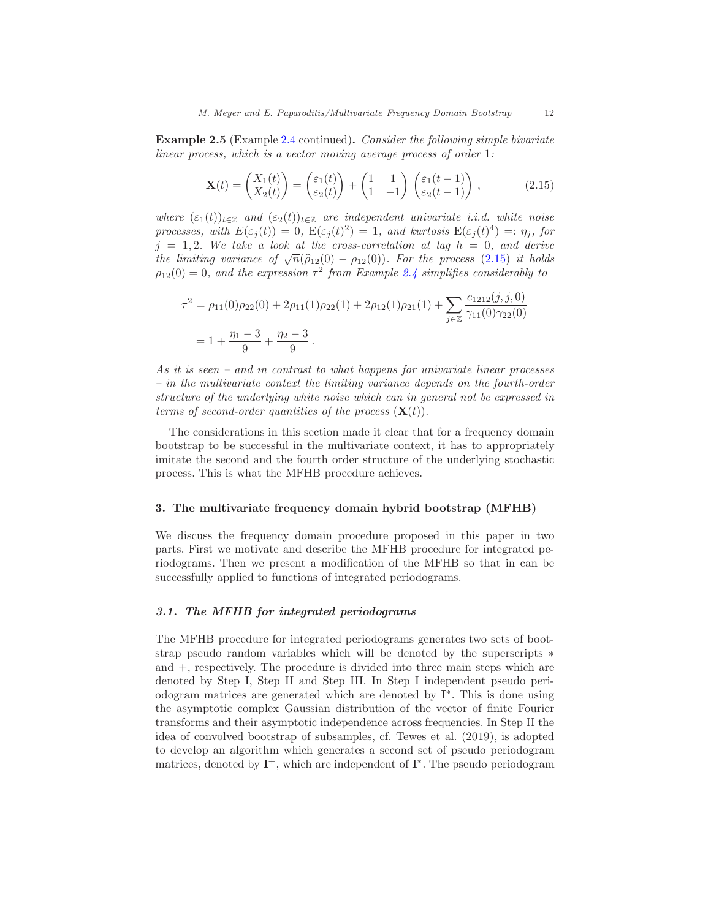Example 2.5 (Example [2.4](#page-10-0) continued). Consider the following simple bivariate linear process, which is a vector moving average process of order 1:

<span id="page-11-0"></span>
$$
\mathbf{X}(t) = \begin{pmatrix} X_1(t) \\ X_2(t) \end{pmatrix} = \begin{pmatrix} \varepsilon_1(t) \\ \varepsilon_2(t) \end{pmatrix} + \begin{pmatrix} 1 & 1 \\ 1 & -1 \end{pmatrix} \begin{pmatrix} \varepsilon_1(t-1) \\ \varepsilon_2(t-1) \end{pmatrix},
$$
(2.15)

where  $(\varepsilon_1(t))_{t\in\mathbb{Z}}$  and  $(\varepsilon_2(t))_{t\in\mathbb{Z}}$  are independent univariate i.i.d. white noise processes, with  $E(\varepsilon_j(t)) = 0$ ,  $E(\varepsilon_j(t)^2) = 1$ , and kurtosis  $E(\varepsilon_j(t)^4) =: \eta_j$ , for  $j = 1, 2$ . We take a look at the cross-correlation at lag  $h = 0$ , and derive the limiting variance of  $\sqrt{n}(\hat{\rho}_{12}(0) - \rho_{12}(0))$ . For the process [\(2.15\)](#page-11-0) it holds  $\rho_{12}(0) = 0$ , and the expression  $\tau^2$  from Example [2.4](#page-10-0) simplifies considerably to

$$
\tau^2 = \rho_{11}(0)\rho_{22}(0) + 2\rho_{11}(1)\rho_{22}(1) + 2\rho_{12}(1)\rho_{21}(1) + \sum_{j \in \mathbb{Z}} \frac{c_{1212}(j, j, 0)}{\gamma_{11}(0)\gamma_{22}(0)}
$$
  
=  $1 + \frac{\eta_1 - 3}{9} + \frac{\eta_2 - 3}{9}$ .

As it is seen – and in contrast to what happens for univariate linear processes – in the multivariate context the limiting variance depends on the fourth-order structure of the underlying white noise which can in general not be expressed in terms of second-order quantities of the process  $(\mathbf{X}(t))$ .

The considerations in this section made it clear that for a frequency domain bootstrap to be successful in the multivariate context, it has to appropriately imitate the second and the fourth order structure of the underlying stochastic process. This is what the MFHB procedure achieves.

#### 3. The multivariate frequency domain hybrid bootstrap (MFHB)

We discuss the frequency domain procedure proposed in this paper in two parts. First we motivate and describe the MFHB procedure for integrated periodograms. Then we present a modification of the MFHB so that in can be successfully applied to functions of integrated periodograms.

# <span id="page-11-1"></span>3.1. The MFHB for integrated periodograms

The MFHB procedure for integrated periodograms generates two sets of bootstrap pseudo random variables which will be denoted by the superscripts  $*$ and +, respectively. The procedure is divided into three main steps which are denoted by Step I, Step II and Step III. In Step I independent pseudo periodogram matrices are generated which are denoted by I<sup>\*</sup>. This is done using the asymptotic complex Gaussian distribution of the vector of finite Fourier transforms and their asymptotic independence across frequencies. In Step II the idea of convolved bootstrap of subsamples, cf. Tewes et al. (2019), is adopted to develop an algorithm which generates a second set of pseudo periodogram matrices, denoted by  $I^+$ , which are independent of  $I^*$ . The pseudo periodogram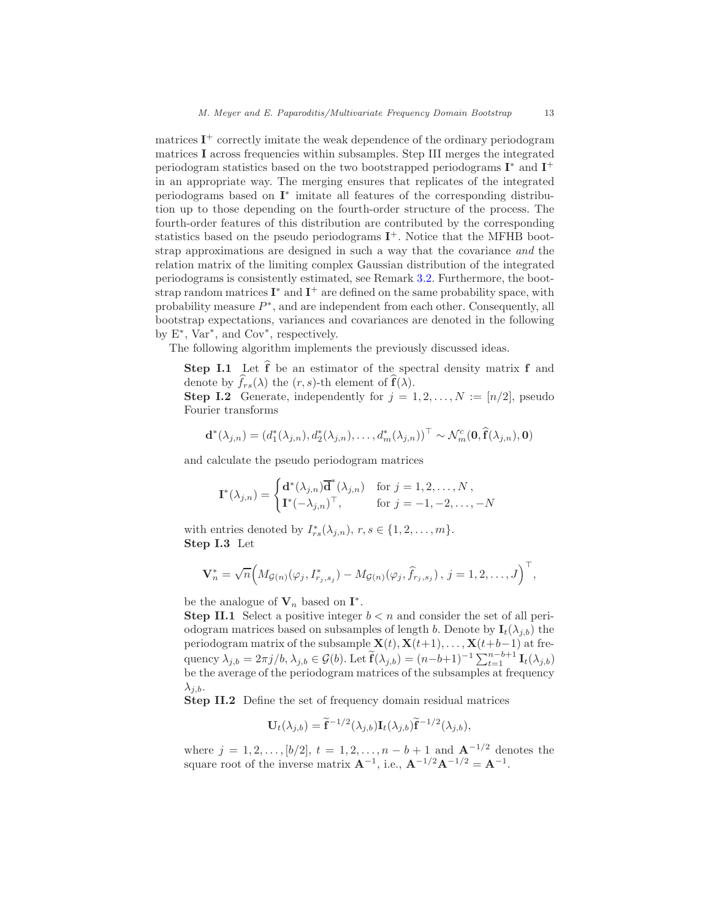matrices  $I^+$  correctly imitate the weak dependence of the ordinary periodogram matrices I across frequencies within subsamples. Step III merges the integrated periodogram statistics based on the two bootstrapped periodograms  $I^*$  and  $I^+$ in an appropriate way. The merging ensures that replicates of the integrated periodograms based on  $I^*$  imitate all features of the corresponding distribution up to those depending on the fourth-order structure of the process. The fourth-order features of this distribution are contributed by the corresponding statistics based on the pseudo periodograms  $I^+$ . Notice that the MFHB bootstrap approximations are designed in such a way that the covariance and the relation matrix of the limiting complex Gaussian distribution of the integrated periodograms is consistently estimated, see Remark [3.2.](#page-14-0) Furthermore, the bootstrap random matrices  $\mathbf{I}^*$  and  $\mathbf{I}^+$  are defined on the same probability space, with probability measure  $P^*$ , and are independent from each other. Consequently, all bootstrap expectations, variances and covariances are denoted in the following by E<sup>\*</sup>, Var<sup>\*</sup>, and Cov<sup>\*</sup>, respectively.

The following algorithm implements the previously discussed ideas.

**Step I.1** Let  $\hat{f}$  be an estimator of the spectral density matrix  $f$  and denote by  $\widehat{f}_{rs}(\lambda)$  the  $(r, s)$ -th element of  $\widehat{f}(\lambda)$ .

**Step I.2** Generate, independently for  $j = 1, 2, ..., N := \lfloor n/2 \rfloor$ , pseudo Fourier transforms

$$
\mathbf{d}^*(\lambda_{j,n})=(d_1^*(\lambda_{j,n}),d_2^*(\lambda_{j,n}),\ldots,d_m^*(\lambda_{j,n}))^\top \sim \mathcal{N}_m^c(\mathbf{0},\widehat{\mathbf{f}}(\lambda_{j,n}),\mathbf{0})
$$

and calculate the pseudo periodogram matrices

$$
\mathbf{I}^*(\lambda_{j,n}) = \begin{cases} \mathbf{d}^*(\lambda_{j,n})\overline{\mathbf{d}}^*(\lambda_{j,n}) & \text{for } j = 1, 2, \dots, N, \\ \mathbf{I}^*(-\lambda_{j,n})^\top, & \text{for } j = -1, -2, \dots, -N \end{cases}
$$

with entries denoted by  $I_{rs}^*(\lambda_{j,n}), r, s \in \{1, 2, ..., m\}.$ Step I.3 Let

$$
\mathbf{V}_n^* = \sqrt{n} \Big( M_{\mathcal{G}(n)}(\varphi_j, I_{r_j, s_j}^*) - M_{\mathcal{G}(n)}(\varphi_j, \widehat{f}_{r_j, s_j}), j = 1, 2, \dots, J \Big)^{\top},
$$

be the analogue of  $V_n$  based on  $I^*$ .

**Step II.1** Select a positive integer  $b < n$  and consider the set of all periodogram matrices based on subsamples of length b. Denote by  $I_t(\lambda_{i,b})$  the periodogram matrix of the subsample  $\mathbf{X}(t), \mathbf{X}(t+1), \ldots, \mathbf{X}(t+b-1)$  at frequency  $\lambda_{j,b} = 2\pi j/b, \lambda_{j,b} \in \mathcal{G}(b)$ . Let  $\widetilde{\mathbf{f}}(\lambda_{j,b}) = (n-b+1)^{-1} \sum_{t=1}^{n-b+1} \mathbf{I}_t(\lambda_{j,b})$ be the average of the periodogram matrices of the subsamples at frequency  $\lambda_{i,b}$ .

Step II.2 Define the set of frequency domain residual matrices

$$
\mathbf{U}_{t}(\lambda_{j,b}) = \tilde{\mathbf{f}}^{-1/2}(\lambda_{j,b})\mathbf{I}_{t}(\lambda_{j,b})\tilde{\mathbf{f}}^{-1/2}(\lambda_{j,b}),
$$

where  $j = 1, 2, ..., [b/2], t = 1, 2, ..., n - b + 1$  and  $\mathbf{A}^{-1/2}$  denotes the square root of the inverse matrix  $\mathbf{A}^{-1}$ , i.e.,  $\mathbf{A}^{-1/2}\mathbf{A}^{-1/2} = \mathbf{A}^{-1}$ .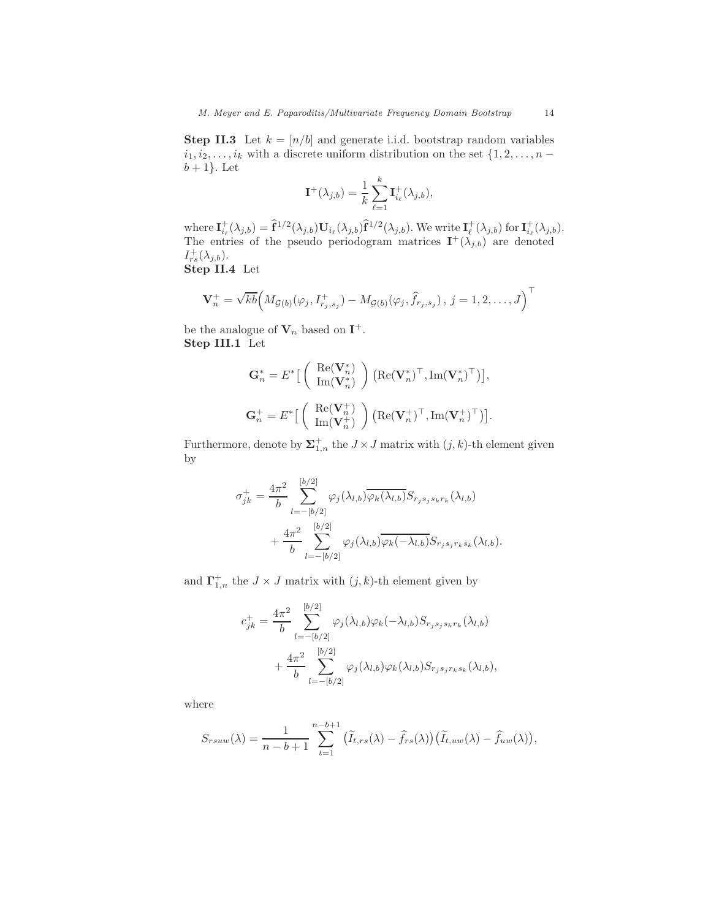**Step II.3** Let  $k = \lfloor n/b \rfloor$  and generate i.i.d. bootstrap random variables  $i_1, i_2, \ldots, i_k$  with a discrete uniform distribution on the set  $\{1, 2, \ldots, n$  $b+1$ . Let

$$
\mathbf{I}^+(\lambda_{j,b}) = \frac{1}{k} \sum_{\ell=1}^k \mathbf{I}^+_{i_\ell}(\lambda_{j,b}),
$$

where  $\mathbf{I}_{i_{\ell}}^{+}(\lambda_{j,b}) = \hat{\mathbf{f}}^{1/2}(\lambda_{j,b})\mathbf{U}_{i_{\ell}}(\lambda_{j,b})\hat{\mathbf{f}}^{1/2}(\lambda_{j,b})$ . We write  $\mathbf{I}_{\ell}^{+}(\lambda_{j,b})$  for  $\mathbf{I}_{i_{\ell}}^{+}(\lambda_{j,b})$ . The entries of the pseudo periodogram matrices  $\mathbf{I}^+(\lambda_{j,b})$  are denoted  $I_{rs}^{+}(\lambda_{j,b}).$ Step II.4 Let

$$
\mathbf{V}_n^+ = \sqrt{kb} \Big( M_{\mathcal{G}(b)}(\varphi_j, I_{r_j,s_j}^+) - M_{\mathcal{G}(b)}(\varphi_j, \widehat{f}_{r_j,s_j}), j = 1, 2, \dots, J \Big)^{\top}
$$

be the analogue of  $V_n$  based on  $I^+$ . Step III.1 Let

$$
\mathbf{G}_n^* = E^* \left[ \begin{array}{c} \text{Re}(\mathbf{V}_n^*) \\ \text{Im}(\mathbf{V}_n^*) \end{array} \right) \left( \text{Re}(\mathbf{V}_n^*)^\top, \text{Im}(\mathbf{V}_n^*)^\top \right) \right],
$$
  

$$
\mathbf{G}_n^+ = E^* \left[ \begin{array}{c} \text{Re}(\mathbf{V}_n^+) \\ \text{Im}(\mathbf{V}_n^+) \end{array} \right) \left( \text{Re}(\mathbf{V}_n^+)^\top, \text{Im}(\mathbf{V}_n^+)^\top \right) \right].
$$

Furthermore, denote by  $\Sigma_{1,n}^+$  the  $J \times J$  matrix with  $(j,k)$ -th element given by

$$
\sigma_{jk}^{+} = \frac{4\pi^2}{b} \sum_{l=-\lfloor b/2 \rfloor}^{\lfloor b/2 \rfloor} \varphi_j(\lambda_{l,b}) \overline{\varphi_k(\lambda_{l,b})} S_{r_js_js_kr_k}(\lambda_{l,b}) + \frac{4\pi^2}{b} \sum_{l=-\lfloor b/2 \rfloor}^{\lfloor b/2 \rfloor} \varphi_j(\lambda_{l,b}) \overline{\varphi_k(-\lambda_{l,b})} S_{r_js_jr_ks_k}(\lambda_{l,b}).
$$

and  $\Gamma^+_{1,n}$  the  $J \times J$  matrix with  $(j, k)$ -th element given by

$$
c_{jk}^{+} = \frac{4\pi^{2}}{b} \sum_{l=-\lfloor b/2 \rfloor}^{\lfloor b/2 \rfloor} \varphi_{j}(\lambda_{l,b}) \varphi_{k}(-\lambda_{l,b}) S_{r_{j}s_{j}s_{k}r_{k}}(\lambda_{l,b}) + \frac{4\pi^{2}}{b} \sum_{l=-\lfloor b/2 \rfloor}^{\lfloor b/2 \rfloor} \varphi_{j}(\lambda_{l,b}) \varphi_{k}(\lambda_{l,b}) S_{r_{j}s_{j}r_{k}s_{k}}(\lambda_{l,b}),
$$

where

$$
S_{rsuw}(\lambda) = \frac{1}{n-b+1} \sum_{t=1}^{n-b+1} (\widetilde{I}_{t,rs}(\lambda) - \widehat{f}_{rs}(\lambda)) (\widetilde{I}_{t,uw}(\lambda) - \widehat{f}_{uw}(\lambda)),
$$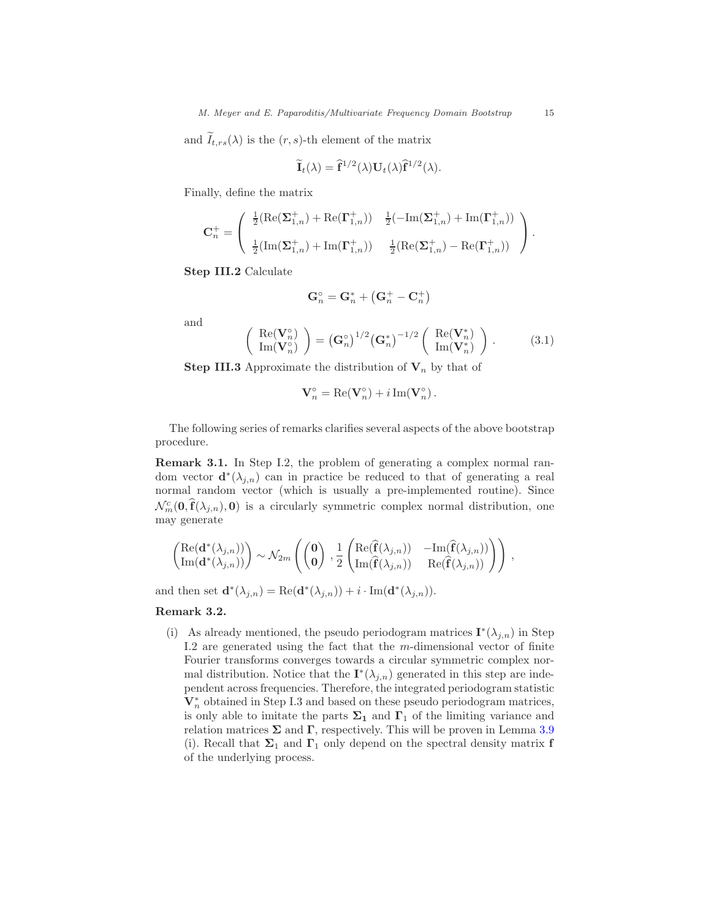and  $\tilde{I}_{t,rs}(\lambda)$  is the  $(r, s)$ -th element of the matrix

$$
\widetilde{\mathbf{I}}_t(\lambda) = \widehat{\mathbf{f}}^{1/2}(\lambda) \mathbf{U}_t(\lambda) \widehat{\mathbf{f}}^{1/2}(\lambda).
$$

Finally, define the matrix

$$
\mathbf{C}_n^+ = \left( \begin{array}{cc} \frac{1}{2} (\mathrm{Re}(\mathbf{\Sigma}_{1,n}^+) + \mathrm{Re}(\mathbf{\Gamma}_{1,n}^+)) & \frac{1}{2} (-\mathrm{Im}(\mathbf{\Sigma}_{1,n}^+) + \mathrm{Im}(\mathbf{\Gamma}_{1,n}^+)) \\ \\ \frac{1}{2} (\mathrm{Im}(\mathbf{\Sigma}_{1,n}^+) + \mathrm{Im}(\mathbf{\Gamma}_{1,n}^+)) & \frac{1}{2} (\mathrm{Re}(\mathbf{\Sigma}_{1,n}^+) - \mathrm{Re}(\mathbf{\Gamma}_{1,n}^+)) \end{array} \right).
$$

Step III.2 Calculate

$$
\mathbf{G}_n^\circ = \mathbf{G}_n^* + \left(\mathbf{G}_n^+ - \mathbf{C}_n^+\right)
$$

and

<span id="page-14-1"></span>
$$
\begin{pmatrix}\n\operatorname{Re}(\mathbf{V}_n^{\circ}) \\
\operatorname{Im}(\mathbf{V}_n^{\circ})\n\end{pmatrix} = (\mathbf{G}_n^{\circ})^{1/2} (\mathbf{G}_n^*)^{-1/2} \begin{pmatrix}\n\operatorname{Re}(\mathbf{V}_n^*) \\
\operatorname{Im}(\mathbf{V}_n^*)\n\end{pmatrix}.
$$
\n(3.1)

**Step III.3** Approximate the distribution of  $V_n$  by that of

$$
\mathbf{V}_n^{\circ} = \text{Re}(\mathbf{V}_n^{\circ}) + i \,\text{Im}(\mathbf{V}_n^{\circ}).
$$

The following series of remarks clarifies several aspects of the above bootstrap procedure.

Remark 3.1. In Step I.2, the problem of generating a complex normal random vector  $\mathbf{d}^*(\lambda_{j,n})$  can in practice be reduced to that of generating a real normal random vector (which is usually a pre-implemented routine). Since  $\mathcal{N}_m^c(\mathbf{0}, \hat{\mathbf{f}}(\lambda_{j,n}), \mathbf{0})$  is a circularly symmetric complex normal distribution, one may generate

$$
\begin{pmatrix} \mathrm{Re}(\mathbf{d}^*(\lambda_{j,n})) \\ \mathrm{Im}(\mathbf{d}^*(\lambda_{j,n})) \end{pmatrix} \sim \mathcal{N}_{2m} \left( \begin{pmatrix} \mathbf{0} \\ \mathbf{0} \end{pmatrix} \cdot \frac{1}{2} \begin{pmatrix} \mathrm{Re}(\widehat{\mathbf{f}}(\lambda_{j,n})) & -\mathrm{Im}(\widehat{\mathbf{f}}(\lambda_{j,n})) \\ \mathrm{Im}(\widehat{\mathbf{f}}(\lambda_{j,n})) & \mathrm{Re}(\widehat{\mathbf{f}}(\lambda_{j,n})) \end{pmatrix} \right) ,
$$

and then set  $\mathbf{d}^*(\lambda_{j,n}) = \text{Re}(\mathbf{d}^*(\lambda_{j,n})) + i \cdot \text{Im}(\mathbf{d}^*(\lambda_{j,n})).$ 

<span id="page-14-0"></span>Remark 3.2.

(i) As already mentioned, the pseudo periodogram matrices  $\mathbf{I}^*(\lambda_{j,n})$  in Step I.2 are generated using the fact that the  $m$ -dimensional vector of finite Fourier transforms converges towards a circular symmetric complex normal distribution. Notice that the  $\mathbf{I}^*(\lambda_{j,n})$  generated in this step are independent across frequencies. Therefore, the integrated periodogram statistic  $\mathbf V_n^*$  obtained in Step I.3 and based on these pseudo periodogram matrices, is only able to imitate the parts  $\Sigma_1$  and  $\Gamma_1$  of the limiting variance and relation matrices  $\Sigma$  and  $\Gamma$ , respectively. This will be proven in Lemma [3.9](#page-20-0) (i). Recall that  $\Sigma_1$  and  $\Gamma_1$  only depend on the spectral density matrix **f** of the underlying process.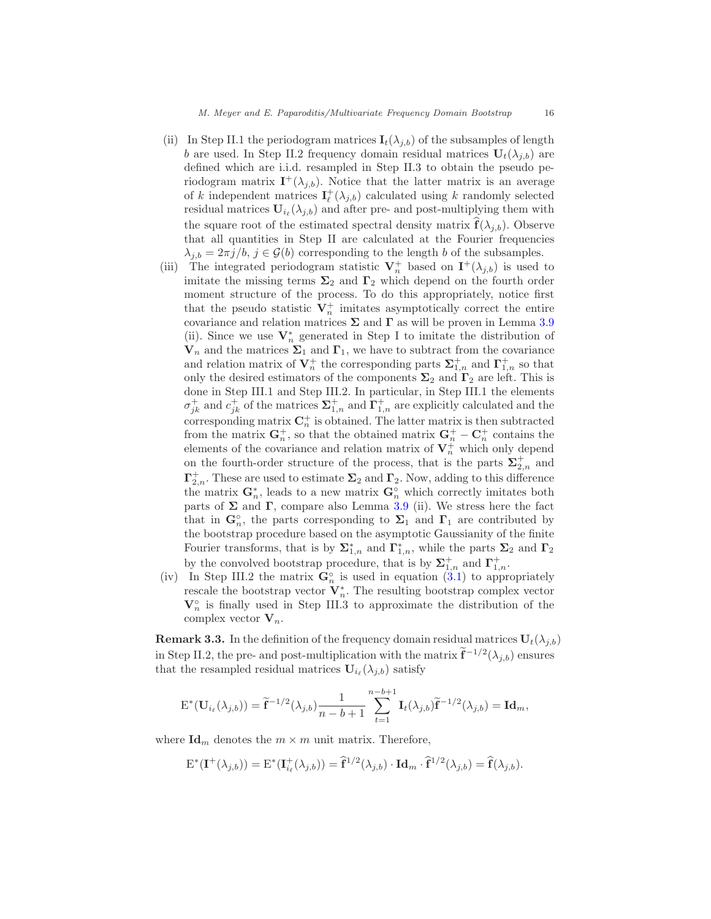- (ii) In Step II.1 the periodogram matrices  $I_t(\lambda_{j,b})$  of the subsamples of length b are used. In Step II.2 frequency domain residual matrices  $U_t(\lambda_{i,b})$  are defined which are i.i.d. resampled in Step II.3 to obtain the pseudo periodogram matrix  $I^+(\lambda_{j,b})$ . Notice that the latter matrix is an average of k independent matrices  $I_{\ell}^{+}(\lambda_{j,b})$  calculated using k randomly selected residual matrices  $U_{i_{\ell}}(\lambda_{j,b})$  and after pre- and post-multiplying them with the square root of the estimated spectral density matrix  $f(\lambda_{i,b})$ . Observe that all quantities in Step II are calculated at the Fourier frequencies  $\lambda_{i,b} = 2\pi j/b, j \in \mathcal{G}(b)$  corresponding to the length b of the subsamples.
- (iii) The integrated periodogram statistic  $V_n^+$  based on  $I^+(\lambda_{j,b})$  is used to imitate the missing terms  $\Sigma_2$  and  $\Gamma_2$  which depend on the fourth order moment structure of the process. To do this appropriately, notice first that the pseudo statistic  $V_n^+$  imitates asymptotically correct the entire covariance and relation matrices  $\Sigma$  and  $\Gamma$  as will be proven in Lemma [3.9](#page-20-0) (ii). Since we use  $\mathbf{V}_n^*$  generated in Step I to imitate the distribution of  $V_n$  and the matrices  $\Sigma_1$  and  $\Gamma_1$ , we have to subtract from the covariance and relation matrix of  $\mathbf{V}_n^+$  the corresponding parts  $\mathbf{\Sigma}_{1,n}^+$  and  $\mathbf{\Gamma}_{1,n}^+$  so that only the desired estimators of the components  $\Sigma_2$  and  $\Gamma_2$  are left. This is done in Step III.1 and Step III.2. In particular, in Step III.1 the elements  $\sigma_{jk}^+$  and  $c_{jk}^+$  of the matrices  $\Sigma_{1,n}^+$  and  $\Gamma_{1,n}^+$  are explicitly calculated and the corresponding matrix  $\mathbf{C}_n^+$  is obtained. The latter matrix is then subtracted from the matrix  $G_n^+$ , so that the obtained matrix  $G_n^+ - C_n^+$  contains the elements of the covariance and relation matrix of  $\mathbf{V}_n^+$  which only depend on the fourth-order structure of the process, that is the parts  $\Sigma^+_{2,n}$  and  $\Gamma_{2,n}^+$ . These are used to estimate  $\Sigma_2$  and  $\Gamma_2$ . Now, adding to this difference the matrix  $\mathbf{G}_n^*$ , leads to a new matrix  $\mathbf{G}_n^{\circ}$  which correctly imitates both parts of  $\Sigma$  and  $\Gamma$ , compare also Lemma [3.9](#page-20-0) (ii). We stress here the fact that in  $\mathbf{G}_n^{\circ}$ , the parts corresponding to  $\Sigma_1$  and  $\Gamma_1$  are contributed by the bootstrap procedure based on the asymptotic Gaussianity of the finite Fourier transforms, that is by  $\Sigma_{1,n}^*$  and  $\Gamma_{1,n}^*$ , while the parts  $\Sigma_2$  and  $\Gamma_2$ by the convolved bootstrap procedure, that is by  $\Sigma_{1,n}^+$  and  $\Gamma_{1,n}^+$ .
- (iv) In Step III.2 the matrix  $\mathbf{G}_n^{\circ}$  is used in equation [\(3.1\)](#page-14-1) to appropriately rescale the bootstrap vector  $V_n^*$ . The resulting bootstrap complex vector  $\mathbf{V}_n^{\circ}$  is finally used in Step III.3 to approximate the distribution of the complex vector  $V_n$ .

**Remark 3.3.** In the definition of the frequency domain residual matrices  $U_t(\lambda_{j,b})$ in Step II.2, the pre- and post-multiplication with the matrix  $\mathbf{f}^{-1/2}(\lambda_{j,b})$  ensures that the resampled residual matrices  $U_{i_{\ell}}(\lambda_{j,b})$  satisfy

$$
\mathcal{E}^*(\mathbf{U}_{i_\ell}(\lambda_{j,b})) = \widetilde{\mathbf{f}}^{-1/2}(\lambda_{j,b}) \frac{1}{n-b+1} \sum_{t=1}^{n-b+1} \mathbf{I}_t(\lambda_{j,b}) \widetilde{\mathbf{f}}^{-1/2}(\lambda_{j,b}) = \mathbf{Id}_m,
$$

where  $\mathbf{Id}_m$  denotes the  $m \times m$  unit matrix. Therefore,

$$
\mathcal{E}^*(\mathbf{I}^+(\lambda_{j,b})) = \mathcal{E}^*(\mathbf{I}^+_{i_\ell}(\lambda_{j,b})) = \mathbf{\hat{f}}^{1/2}(\lambda_{j,b}) \cdot \mathbf{Id}_m \cdot \mathbf{\hat{f}}^{1/2}(\lambda_{j,b}) = \mathbf{\hat{f}}(\lambda_{j,b}).
$$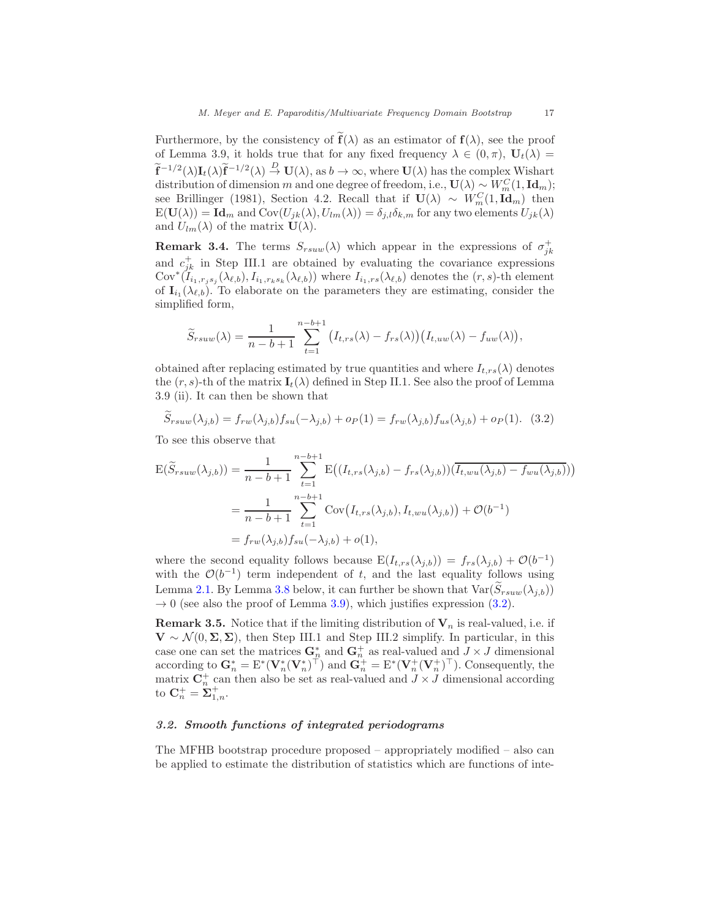Furthermore, by the consistency of  $f(\lambda)$  as an estimator of  $f(\lambda)$ , see the proof of Lemma 3.9, it holds true that for any fixed frequency  $\lambda \in (0, \pi)$ ,  $U_t(\lambda) =$  $\widetilde{\mathbf{f}}^{-1/2}(\lambda)\mathbf{I}_{t}(\lambda)\widetilde{\mathbf{f}}^{-1/2}(\lambda) \stackrel{D}{\rightarrow} \mathbf{U}(\lambda)$ , as  $b \to \infty$ , where  $\mathbf{U}(\lambda)$  has the complex Wishart distribution of dimension m and one degree of freedom, i.e.,  $\mathbf{U}(\lambda) \sim W_m^C(1, \mathbf{Id}_m);$ see Brillinger (1981), Section 4.2. Recall that if  $\mathbf{U}(\lambda) \sim W_m^C(1, \mathbf{Id}_m)$  then  $E(\mathbf{U}(\lambda)) = \mathbf{Id}_m$  and  $Cov(U_{jk}(\lambda), U_{lm}(\lambda)) = \delta_{j,l} \delta_{k,m}$  for any two elements  $U_{jk}(\lambda)$ and  $U_{lm}(\lambda)$  of the matrix  $\mathbf{U}(\lambda)$ .

**Remark 3.4.** The terms  $S_{rsuw}(\lambda)$  which appear in the expressions of  $\sigma_{jk}^+$ and  $c_{jk}^{+}$  in Step III.1 are obtained by evaluating the covariance expressions  $\text{Cov}^*(I_{i_1,r_js_j}(\lambda_{\ell,b}), I_{i_1,r_ks_k}(\lambda_{\ell,b}))$  where  $I_{i_1,rs}(\lambda_{\ell,b})$  denotes the  $(r, s)$ -th element of  $I_{i_1}(\lambda_{\ell,b})$ . To elaborate on the parameters they are estimating, consider the simplified form,

$$
\widetilde{S}_{rsuw}(\lambda) = \frac{1}{n-b+1} \sum_{t=1}^{n-b+1} (I_{t,rs}(\lambda) - f_{rs}(\lambda)) (I_{t,uw}(\lambda) - f_{uw}(\lambda)),
$$

obtained after replacing estimated by true quantities and where  $I_{t,rs}(\lambda)$  denotes the  $(r, s)$ -th of the matrix  $\mathbf{I}_t(\lambda)$  defined in Step II.1. See also the proof of Lemma 3.9 (ii). It can then be shown that

<span id="page-16-0"></span>
$$
\widetilde{S}_{rsuw}(\lambda_{j,b}) = f_{rw}(\lambda_{j,b}) f_{su}(-\lambda_{j,b}) + o_P(1) = f_{rw}(\lambda_{j,b}) f_{us}(\lambda_{j,b}) + o_P(1). \tag{3.2}
$$

To see this observe that

$$
E(\widetilde{S}_{rsuw}(\lambda_{j,b})) = \frac{1}{n-b+1} \sum_{t=1}^{n-b+1} E((I_{t,rs}(\lambda_{j,b}) - f_{rs}(\lambda_{j,b}))(\overline{I_{t,wu}(\lambda_{j,b})} - f_{wu}(\lambda_{j,b}))
$$
  
= 
$$
\frac{1}{n-b+1} \sum_{t=1}^{n-b+1} Cov(I_{t,rs}(\lambda_{j,b}), I_{t,wu}(\lambda_{j,b})) + \mathcal{O}(b^{-1})
$$
  
= 
$$
f_{rw}(\lambda_{j,b}) f_{su}(-\lambda_{j,b}) + o(1),
$$

where the second equality follows because  $E(I_{t,rs}(\lambda_{j,b})) = f_{rs}(\lambda_{j,b}) + \mathcal{O}(b^{-1})$ with the  $\mathcal{O}(b^{-1})$  term independent of t, and the last equality follows using Lemma [2.1.](#page-6-0) By Lemma [3.8](#page-19-0) below, it can further be shown that  $Var(\hat{S}_{rsuw}(\lambda_{i,b}))$  $\rightarrow$  0 (see also the proof of Lemma [3.9\)](#page-20-0), which justifies expression [\(3.2\)](#page-16-0).

**Remark 3.5.** Notice that if the limiting distribution of  $V_n$  is real-valued, i.e. if  $\mathbf{V} \sim \mathcal{N}(0, \Sigma, \Sigma)$ , then Step III.1 and Step III.2 simplify. In particular, in this case one can set the matrices  $\mathbf{G}_n^*$  and  $\mathbf{G}_n^+$  as real-valued and  $J \times J$  dimensional according to  $\mathbf{G}_n^* = \mathrm{E}^*(\mathbf{V}_n^*(\mathbf{V}_n^*)^\top)$  and  $\mathbf{G}_n^+ = \mathrm{E}^*(\mathbf{V}_n^+(\mathbf{V}_n^*)^\top)$ . Consequently, the matrix  $\mathbb{C}_n^+$  can then also be set as real-valued and  $J \times J$  dimensional according to  $\mathbf{C}_n^+ = \tilde{\Sigma}_{1,n}^+$ .

# 3.2. Smooth functions of integrated periodograms

The MFHB bootstrap procedure proposed – appropriately modified – also can be applied to estimate the distribution of statistics which are functions of inte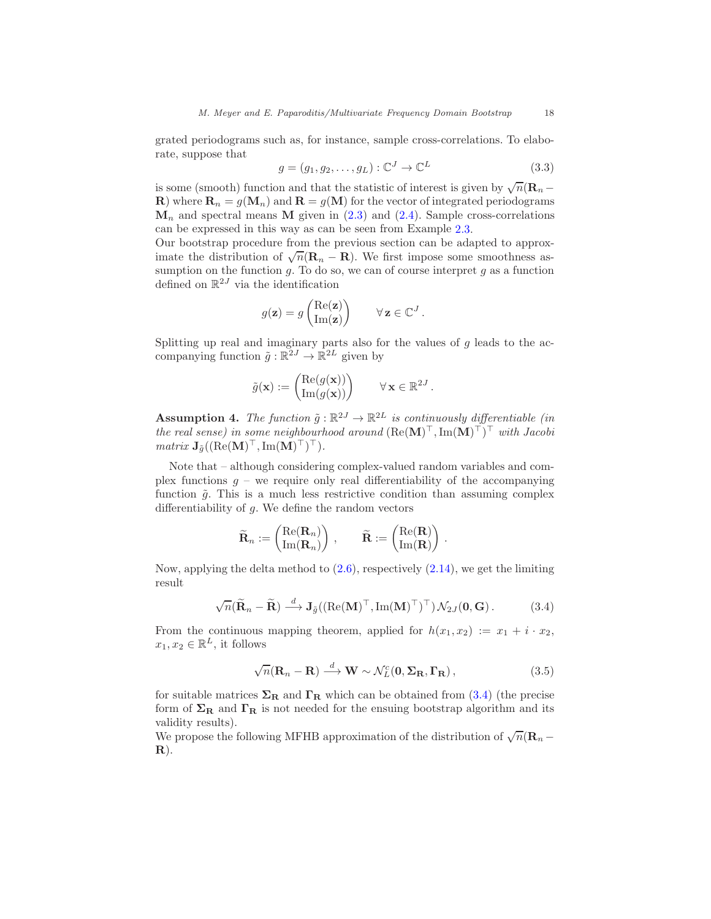grated periodograms such as, for instance, sample cross-correlations. To elaborate, suppose that

$$
g = (g_1, g_2, \dots, g_L) : \mathbb{C}^J \to \mathbb{C}^L \tag{3.3}
$$

is some (smooth) function and that the statistic of interest is given by  $\sqrt{n}(\mathbf{R}_n - \mathbf{R}_n)$ **R**) where  $\mathbf{R}_n = g(\mathbf{M}_n)$  and  $\mathbf{R} = g(\mathbf{M})$  for the vector of integrated periodograms  $\mathbf{M}_n$  and spectral means **M** given in [\(2.3\)](#page-6-1) and [\(2.4\)](#page-6-2). Sample cross-correlations can be expressed in this way as can be seen from Example [2.3.](#page-7-0)

Our bootstrap procedure from the previous section can be adapted to approximate the distribution of  $\sqrt{n}(\mathbf{R}_n - \mathbf{R})$ . We first impose some smoothness assumption on the function  $g$ . To do so, we can of course interpret  $g$  as a function defined on  $\mathbb{R}^{2J}$  via the identification

$$
g(\mathbf{z}) = g\begin{pmatrix} \text{Re}(\mathbf{z}) \\ \text{Im}(\mathbf{z}) \end{pmatrix} \qquad \forall \, \mathbf{z} \in \mathbb{C}^J.
$$

Splitting up real and imaginary parts also for the values of  $g$  leads to the accompanying function  $\tilde{g} : \mathbb{R}^{2J} \to \mathbb{R}^{2L}$  given by

$$
\tilde{g}(\mathbf{x}) := \begin{pmatrix} \text{Re}(g(\mathbf{x})) \\ \text{Im}(g(\mathbf{x})) \end{pmatrix} \qquad \forall \mathbf{x} \in \mathbb{R}^{2J}.
$$

<span id="page-17-2"></span>**Assumption 4.** The function  $\tilde{g}: \mathbb{R}^{2J} \to \mathbb{R}^{2L}$  is continuously differentiable (in the real sense) in some neighbourhood around  $(\text{Re}(\mathbf{M})^{\top}, \text{Im}(\mathbf{M})^{\top})^{\top}$  with Jacobi  $matrix \mathbf{J}_{\tilde{g}}((\text{Re}(\mathbf{M})^{\top}, \text{Im}(\mathbf{M})^{\top})^{\top}).$ 

Note that – although considering complex-valued random variables and complex functions  $q$  – we require only real differentiability of the accompanying function  $\tilde{g}$ . This is a much less restrictive condition than assuming complex differentiability of  $g$ . We define the random vectors

$$
\widetilde{\mathbf{R}}_n := \begin{pmatrix} \text{Re}(\mathbf{R}_n) \\ \text{Im}(\mathbf{R}_n) \end{pmatrix} \,, \qquad \widetilde{\mathbf{R}} := \begin{pmatrix} \text{Re}(\mathbf{R}) \\ \text{Im}(\mathbf{R}) \end{pmatrix} \,.
$$

Now, applying the delta method to [\(2.6\)](#page-8-1), respectively [\(2.14\)](#page-10-1), we get the limiting result

$$
\sqrt{n}(\widetilde{\mathbf{R}}_n - \widetilde{\mathbf{R}}) \stackrel{d}{\longrightarrow} \mathbf{J}_{\widetilde{g}}((\text{Re}(\mathbf{M})^\top, \text{Im}(\mathbf{M})^\top)^\top) \mathcal{N}_{2J}(\mathbf{0}, \mathbf{G}). \tag{3.4}
$$

From the continuous mapping theorem, applied for  $h(x_1, x_2) := x_1 + i \cdot x_2$ ,  $x_1, x_2 \in \mathbb{R}^L$ , it follows

<span id="page-17-1"></span><span id="page-17-0"></span>
$$
\sqrt{n}(\mathbf{R}_n - \mathbf{R}) \stackrel{d}{\longrightarrow} \mathbf{W} \sim \mathcal{N}_L^c(\mathbf{0}, \Sigma_\mathbf{R}, \Gamma_\mathbf{R}), \qquad (3.5)
$$

for suitable matrices  $\Sigma_R$  and  $\Gamma_R$  which can be obtained from [\(3.4\)](#page-17-0) (the precise form of  $\Sigma_R$  and  $\Gamma_R$  is not needed for the ensuing bootstrap algorithm and its validity results).

We propose the following MFHB approximation of the distribution of  $\sqrt{n}(\mathbf{R}_n - \mathbf{R}_n)$  $\mathbf{R}$ ).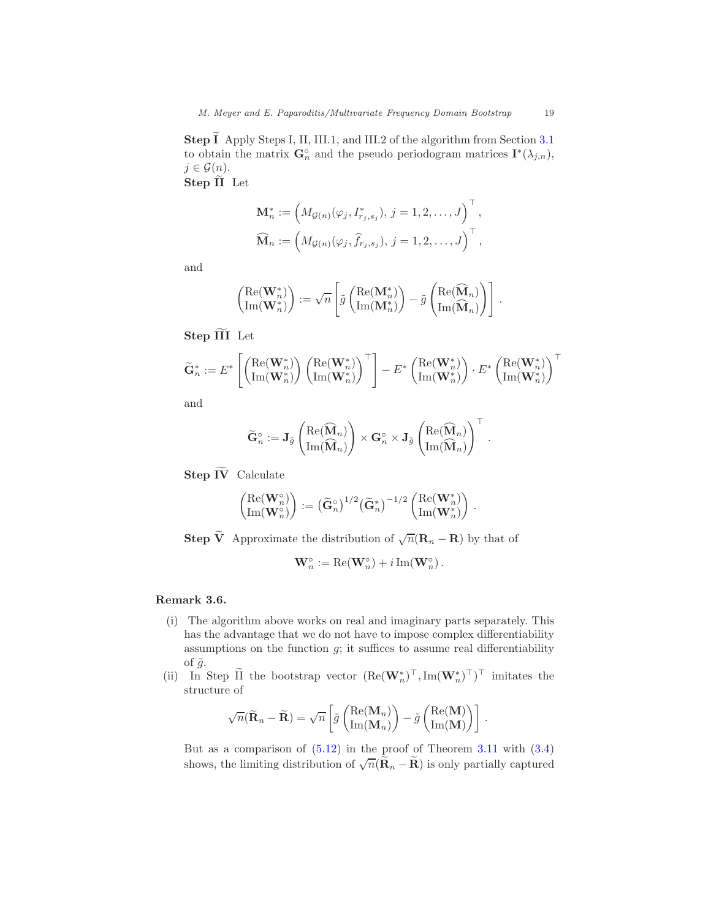**Step**  $\widetilde{\mathbf{I}}$  Apply Steps I, II, III.1, and III.2 of the algorithm from Section [3.1](#page-11-1) to obtain the matrix  $\mathbf{G}_n^{\circ}$  and the pseudo periodogram matrices  $\mathbf{I}^*(\lambda_{j,n}),$  $j \in \mathcal{G}(n)$ . Step II Let

$$
\mathbf{M}_n^* := \left( M_{\mathcal{G}(n)}(\varphi_j, I_{r_j, s_j}^*), j = 1, 2, ..., J \right)^{\top}, \n\widehat{\mathbf{M}}_n := \left( M_{\mathcal{G}(n)}(\varphi_j, \widehat{f}_{r_j, s_j}), j = 1, 2, ..., J \right)^{\top},
$$

and

$$
\begin{pmatrix} \mathrm{Re}(\mathbf{W}_n^*) \\ \mathrm{Im}(\mathbf{W}_n^*) \end{pmatrix} := \sqrt{n} \left[ \tilde{g} \begin{pmatrix} \mathrm{Re}(\mathbf{M}_n^*) \\ \mathrm{Im}(\mathbf{M}_n^*) \end{pmatrix} - \tilde{g} \begin{pmatrix} \mathrm{Re}(\widehat{\mathbf{M}}_n) \\ \mathrm{Im}(\widehat{\mathbf{M}}_n) \end{pmatrix} \right]
$$

Step III Let

$$
\widetilde{\mathbf{G}}_n^* := E^*\left[ \begin{pmatrix} \mathrm{Re}(\mathbf{W}_n^*) \\ \mathrm{Im}(\mathbf{W}_n^*) \end{pmatrix} \begin{pmatrix} \mathrm{Re}(\mathbf{W}_n^*) \\ \mathrm{Im}(\mathbf{W}_n^*) \end{pmatrix}^\top \right] - E^*\begin{pmatrix} \mathrm{Re}(\mathbf{W}_n^*) \\ \mathrm{Im}(\mathbf{W}_n^*) \end{pmatrix} \cdot E^*\begin{pmatrix} \mathrm{Re}(\mathbf{W}_n^*) \\ \mathrm{Im}(\mathbf{W}_n^*) \end{pmatrix}^\top
$$

and

$$
\widetilde{\mathbf{G}}_n^\circ := \mathbf{J}_{\widetilde{g}}\left(\frac{\mathrm{Re}(\widehat{\mathbf{M}}_n)}{\mathrm{Im}(\widehat{\mathbf{M}}_n)}\right) \times \mathbf{G}_n^\circ \times \mathbf{J}_{\widetilde{g}}\left(\frac{\mathrm{Re}(\widehat{\mathbf{M}}_n)}{\mathrm{Im}(\widehat{\mathbf{M}}_n)}\right)^\top
$$

Step  $\widetilde{IV}$  Calculate

$$
\begin{pmatrix}\mathrm{Re}(\mathbf{W}_n^\circ) \\ \mathrm{Im}(\mathbf{W}_n^\circ)\end{pmatrix} := \left(\widetilde{\mathbf{G}}_n^\circ\right)^{1/2} \left(\widetilde{\mathbf{G}}_n^\ast\right)^{-1/2} \begin{pmatrix}\mathrm{Re}(\mathbf{W}_n^\ast) \\ \mathrm{Im}(\mathbf{W}_n^\ast)\end{pmatrix}\,.
$$

**Step**  $\widetilde{\mathbf{V}}$  Approximate the distribution of  $\sqrt{n}(\mathbf{R}_n - \mathbf{R})$  by that of

$$
\mathbf{W}_n^\circ := \mathrm{Re}(\mathbf{W}_n^\circ) + i \, \mathrm{Im}(\mathbf{W}_n^\circ) \, .
$$

# Remark 3.6.

- (i) The algorithm above works on real and imaginary parts separately. This has the advantage that we do not have to impose complex differentiability assumptions on the function  $g$ ; it suffices to assume real differentiability of  $\tilde{g}$ .
- (ii) In Step II the bootstrap vector  $(\text{Re}(\mathbf{W}_n^*)^\top, \text{Im}(\mathbf{W}_n^*)^\top)^\top$  imitates the structure of

$$
\sqrt{n}(\widetilde{\mathbf{R}}_n - \widetilde{\mathbf{R}}) = \sqrt{n} \left[ \widetilde{g} \left( \frac{\mathrm{Re}(\mathbf{M}_n)}{\mathrm{Im}(\mathbf{M}_n)} \right) - \widetilde{g} \left( \frac{\mathrm{Re}(\mathbf{M})}{\mathrm{Im}(\mathbf{M})} \right) \right].
$$

But as a comparison of  $(5.12)$  in the proof of Theorem [3.11](#page-20-1) with  $(3.4)$ shows, the limiting distribution of  $\sqrt{n}(\tilde{\mathbf{R}}_n - \tilde{\mathbf{R}})$  is only partially captured

.

.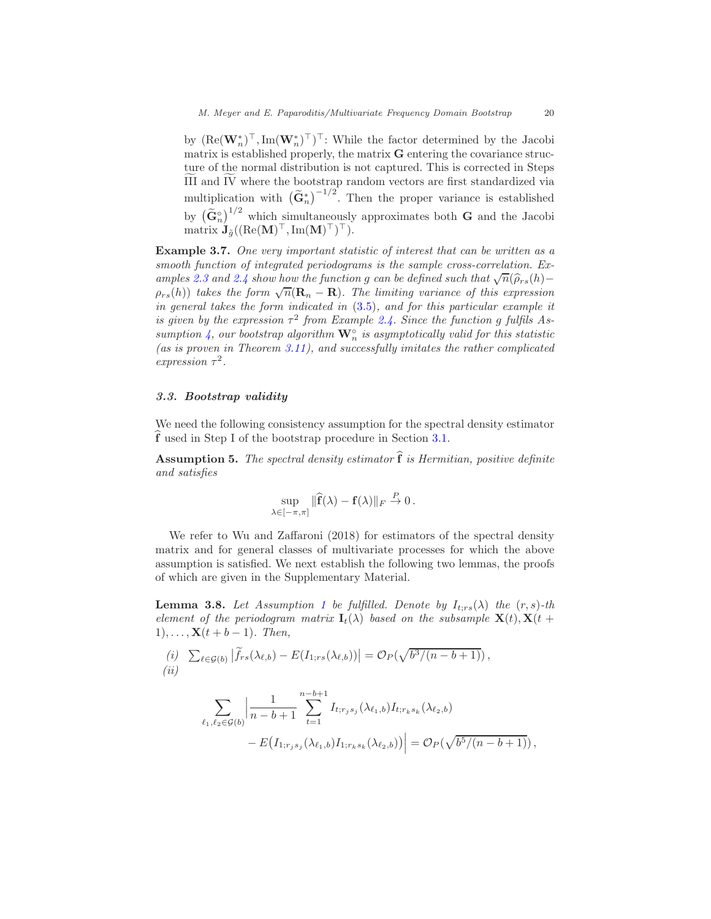by  $(\text{Re}(\mathbf{W}_n^*)^\top, \text{Im}(\mathbf{W}_n^*)^\top)^\top$ : While the factor determined by the Jacobi matrix is established properly, the matrix  $G$  entering the covariance structure of the normal distribution is not captured. This is corrected in Steps III and  $\overline{IV}$  where the bootstrap random vectors are first standardized via multiplication with  $(\tilde{G}_n^*)^{-1/2}$ . Then the proper variance is established by  $\left(\tilde{\mathbf{G}}_n^{\circ}\right)^{1/2}$  which simultaneously approximates both **G** and the Jacobi  $\text{matrix } \mathbf{J}_{\tilde{g}}( (\text{Re}(\mathbf{M})^{\top}, \text{Im}(\mathbf{M})^{\top})^{\top}).$ 

Example 3.7. One very important statistic of interest that can be written as a smooth function of integrated periodograms is the sample cross-correlation. Ex-amples [2.3](#page-7-0) and [2.4](#page-10-0) show how the function g can be defined such that  $\sqrt{n}(\hat{\rho}_{rs}(h) \rho_{rs}(h)$ ) takes the form  $\sqrt{n}(\mathbf{R}_n - \mathbf{R})$ . The limiting variance of this expression in general takes the form indicated in [\(3.5\)](#page-17-1), and for this particular example it is given by the expression  $\tau^2$  from Example [2.4.](#page-10-0) Since the function g fulfils As-sumption [4,](#page-17-2) our bootstrap algorithm  $\mathbf{W}_n^{\circ}$  is asymptotically valid for this statistic (as is proven in Theorem  $3.11$ ), and successfully imitates the rather complicated expression  $\tau^2$ .

## 3.3. Bootstrap validity

We need the following consistency assumption for the spectral density estimator f used in Step I of the bootstrap procedure in Section [3.1.](#page-11-1)

<span id="page-19-1"></span>**Assumption 5.** The spectral density estimator  $\hat{\mathbf{f}}$  is Hermitian, positive definite and satisfies

$$
\sup_{\lambda \in [-\pi,\pi]} \|\widehat{\mathbf{f}}(\lambda) - \mathbf{f}(\lambda)\|_F \stackrel{P}{\to} 0.
$$

We refer to Wu and Zaffaroni (2018) for estimators of the spectral density matrix and for general classes of multivariate processes for which the above assumption is satisfied. We next establish the following two lemmas, the proofs of which are given in the Supplementary Material.

<span id="page-19-0"></span>**Lemma 3.8.** Let Assumption [1](#page-4-1) be fulfilled. Denote by  $I_{t,rs}(\lambda)$  the  $(r, s)$ -th element of the periodogram matrix  $\mathbf{I}_t(\lambda)$  based on the subsample  $\mathbf{X}(t), \mathbf{X}(t +$  $1), \ldots, \mathbf{X}(t + b - 1)$ . Then,

(i) 
$$
\sum_{\ell \in \mathcal{G}(b)} |\widetilde{f}_{rs}(\lambda_{\ell,b}) - E(I_{1;rs}(\lambda_{\ell,b}))| = \mathcal{O}_P(\sqrt{b^3/(n-b+1)}),
$$
  
(ii)

$$
\sum_{\ell_1,\ell_2\in\mathcal{G}(b)}\left|\frac{1}{n-b+1}\sum_{t=1}^{n-b+1}I_{t;r_js_j}(\lambda_{\ell_1,b})I_{t;r_ks_k}(\lambda_{\ell_2,b})-\nE\big(I_{1;r_js_j}(\lambda_{\ell_1,b})I_{1;r_ks_k}(\lambda_{\ell_2,b})\big)\right|=\mathcal{O}_P(\sqrt{b^5/(n-b+1)})\,,
$$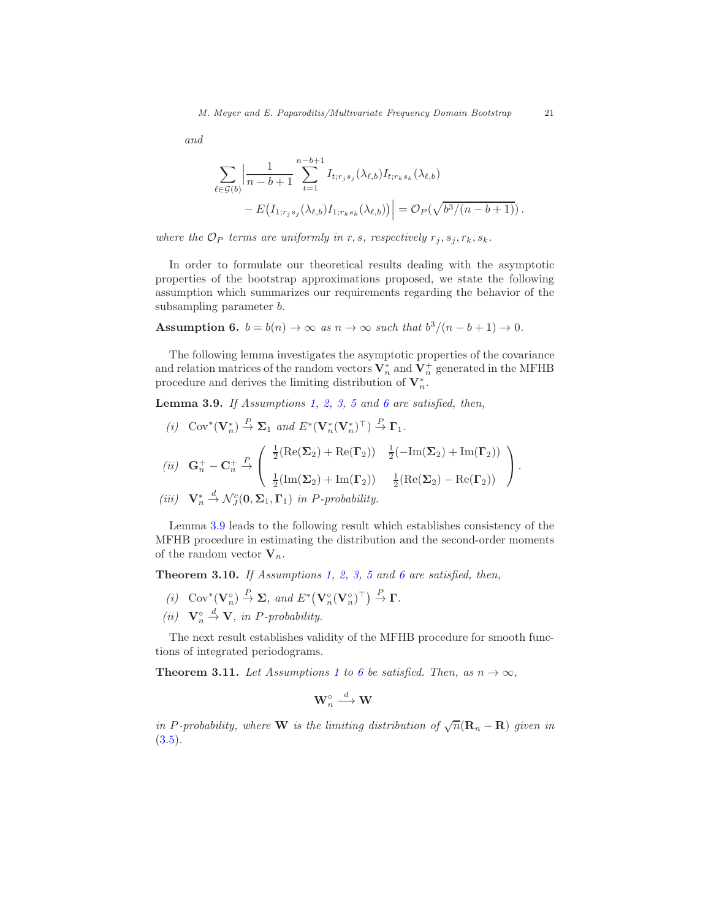and

$$
\sum_{\ell \in \mathcal{G}(b)} \left| \frac{1}{n - b + 1} \sum_{t=1}^{n-b+1} I_{t; r_j s_j}(\lambda_{\ell, b}) I_{t; r_k s_k}(\lambda_{\ell, b}) - E(I_{1; r_j s_j}(\lambda_{\ell, b}) I_{1; r_k s_k}(\lambda_{\ell, b})) \right| = \mathcal{O}_P(\sqrt{b^3/(n - b + 1)})
$$

where the  $\mathcal{O}_P$  terms are uniformly in r, s, respectively  $r_i, s_i, r_k, s_k$ .

In order to formulate our theoretical results dealing with the asymptotic properties of the bootstrap approximations proposed, we state the following assumption which summarizes our requirements regarding the behavior of the subsampling parameter b.

<span id="page-20-2"></span>Assumption 6.  $b = b(n) \rightarrow \infty$  as  $n \rightarrow \infty$  such that  $b^3/(n - b + 1) \rightarrow 0$ .

The following lemma investigates the asymptotic properties of the covariance and relation matrices of the random vectors  $\mathbf V_n^*$  and  $\mathbf V_n^+$  generated in the MFHB procedure and derives the limiting distribution of  $V_n^*$ .

<span id="page-20-0"></span>**Lemma 3.9.** If Assumptions [1,](#page-4-1) [2,](#page-5-0) [3,](#page-6-3) [5](#page-19-1) and [6](#page-20-2) are satisfied, then,

- (i)  $Cov^*(\mathbf{V}_n^*) \stackrel{P}{\to} \Sigma_1$  and  $E^*(\mathbf{V}_n^*(\mathbf{V}_n^*)^{\top}) \stackrel{P}{\to} \Gamma_1$ . (*ii*)  $G_n^+ - C_n^+$  $\stackrel{P}{\rightarrow}$  $\sqrt{ }$  $\mathcal{L}$  $\frac{1}{2}(\text{Re}(\mathbf{\Sigma}_2) + \text{Re}(\mathbf{\Gamma}_2)) \quad \frac{1}{2}(-\text{Im}(\mathbf{\Sigma}_2) + \text{Im}(\mathbf{\Gamma}_2))$  $\frac{1}{2}(\text{Im}(\mathbf{\Sigma}_2) + \text{Im}(\mathbf{\Gamma}_2))$   $\frac{1}{2}(\text{Re}(\mathbf{\Sigma}_2) - \text{Re}(\mathbf{\Gamma}_2))$  $\setminus$  $\vert \cdot$
- (iii)  $\mathbf{V}_n^* \stackrel{d}{\rightarrow} \mathcal{N}_J^c(\mathbf{0}, \mathbf{\Sigma}_1, \mathbf{\Gamma}_1)$  in *P*-probability.

Lemma [3.9](#page-20-0) leads to the following result which establishes consistency of the MFHB procedure in estimating the distribution and the second-order moments of the random vector  $V_n$ .

<span id="page-20-3"></span>**Theorem 3.10.** If Assumptions [1,](#page-4-1) [2,](#page-5-0) [3,](#page-6-3) [5](#page-19-1) and [6](#page-20-2) are satisfied, then,

- (i)  $\text{Cov}^*(\mathbf{V}_n^{\circ}) \stackrel{P}{\to} \Sigma$ , and  $E^*(\mathbf{V}_n^{\circ}(\mathbf{V}_n^{\circ})^{\top}) \stackrel{P}{\to} \Gamma$ .
- (ii)  $\mathbf{V}_n^{\circ}$  $\stackrel{d}{\rightarrow}$  **V**, in *P*-probability.

The next result establishes validity of the MFHB procedure for smooth functions of integrated periodograms.

<span id="page-20-1"></span>**Theorem 3.[1](#page-4-1)1.** Let Assumptions 1 to [6](#page-20-2) be satisfied. Then, as  $n \to \infty$ ,

$$
\mathbf{W}_n^{\circ} \stackrel{d}{\longrightarrow} \mathbf{W}
$$

in P-probability, where **W** is the limiting distribution of  $\sqrt{n}(\mathbf{R}_n - \mathbf{R})$  given in  $(3.5).$  $(3.5).$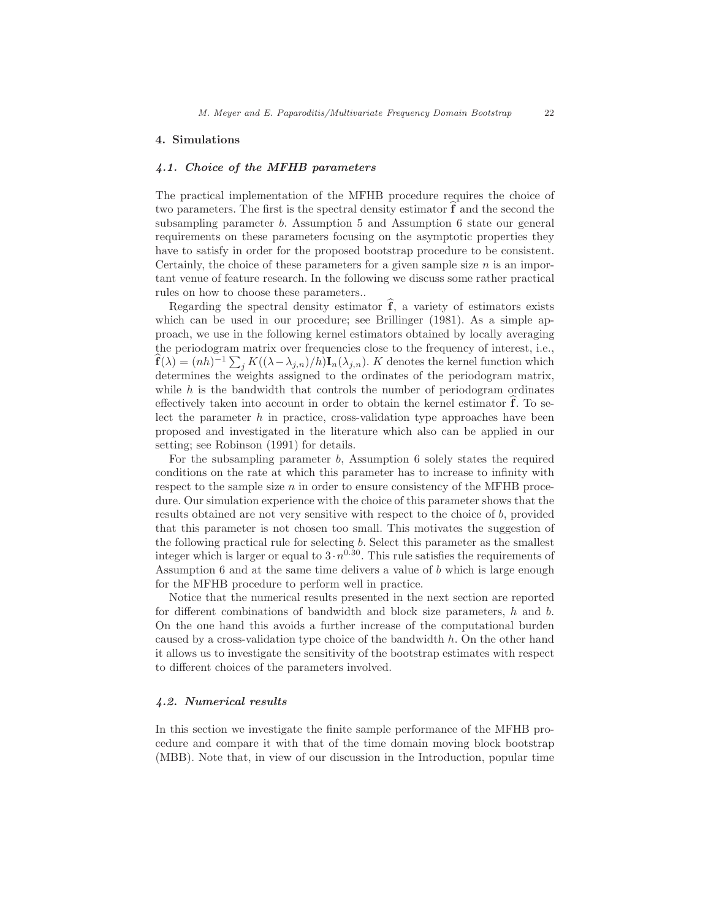#### <span id="page-21-0"></span>4. Simulations

## 4.1. Choice of the MFHB parameters

The practical implementation of the MFHB procedure requires the choice of two parameters. The first is the spectral density estimator  $f$  and the second the subsampling parameter b. Assumption 5 and Assumption 6 state our general requirements on these parameters focusing on the asymptotic properties they have to satisfy in order for the proposed bootstrap procedure to be consistent. Certainly, the choice of these parameters for a given sample size  $n$  is an important venue of feature research. In the following we discuss some rather practical rules on how to choose these parameters..

Regarding the spectral density estimator  $\hat{\mathbf{f}}$ , a variety of estimators exists which can be used in our procedure; see Brillinger (1981). As a simple approach, we use in the following kernel estimators obtained by locally averaging the periodogram matrix over frequencies close to the frequency of interest, i.e.,  $\hat{\mathbf{f}}(\lambda) = (nh)^{-1} \sum_j K((\lambda - \lambda_{j,n})/h) \mathbf{I}_n(\lambda_{j,n}).$  K denotes the kernel function which determines the weights assigned to the ordinates of the periodogram matrix, while  $h$  is the bandwidth that controls the number of periodogram ordinates effectively taken into account in order to obtain the kernel estimator  $f$ . To select the parameter  $h$  in practice, cross-validation type approaches have been proposed and investigated in the literature which also can be applied in our setting; see Robinson (1991) for details.

For the subsampling parameter b, Assumption 6 solely states the required conditions on the rate at which this parameter has to increase to infinity with respect to the sample size  $n$  in order to ensure consistency of the MFHB procedure. Our simulation experience with the choice of this parameter shows that the results obtained are not very sensitive with respect to the choice of b, provided that this parameter is not chosen too small. This motivates the suggestion of the following practical rule for selecting b. Select this parameter as the smallest integer which is larger or equal to  $3 \cdot n^{0.30}$ . This rule satisfies the requirements of Assumption 6 and at the same time delivers a value of b which is large enough for the MFHB procedure to perform well in practice.

Notice that the numerical results presented in the next section are reported for different combinations of bandwidth and block size parameters,  $h$  and  $b$ . On the one hand this avoids a further increase of the computational burden caused by a cross-validation type choice of the bandwidth h. On the other hand it allows us to investigate the sensitivity of the bootstrap estimates with respect to different choices of the parameters involved.

## 4.2. Numerical results

In this section we investigate the finite sample performance of the MFHB procedure and compare it with that of the time domain moving block bootstrap (MBB). Note that, in view of our discussion in the Introduction, popular time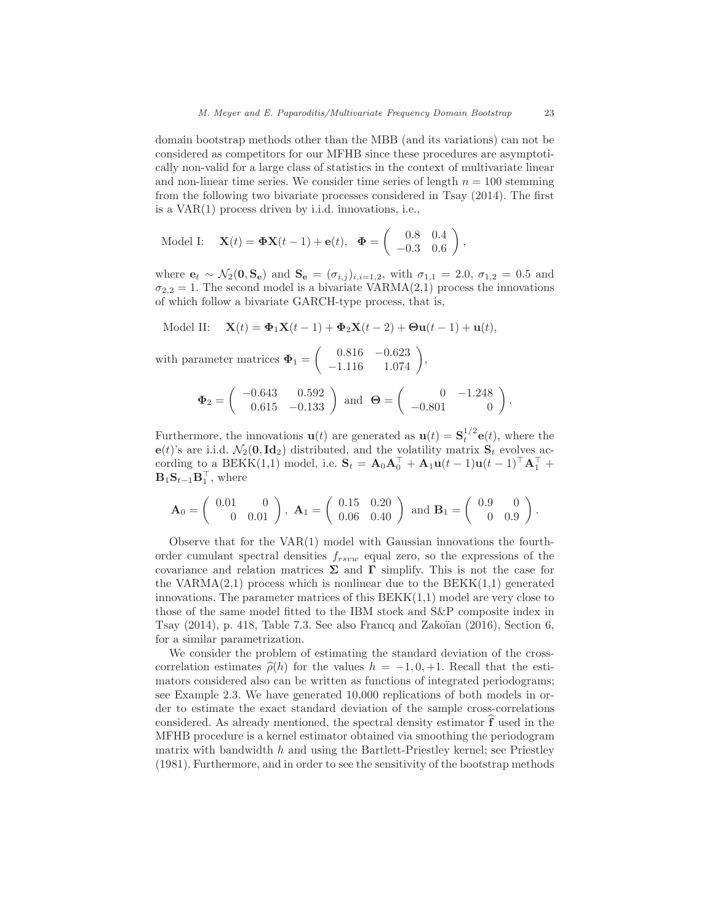domain bootstrap methods other than the MBB (and its variations) can not be considered as competitors for our MFHB since these procedures are asymptotically non-valid for a large class of statistics in the context of multivariate linear and non-linear time series. We consider time series of length  $n = 100$  stemming from the following two bivariate processes considered in Tsay (2014). The first is a VAR(1) process driven by i.i.d. innovations, i.e.,

Model I: 
$$
\mathbf{X}(t) = \mathbf{\Phi} \mathbf{X}(t-1) + \mathbf{e}(t), \quad \mathbf{\Phi} = \begin{pmatrix} 0.8 & 0.4 \\ -0.3 & 0.6 \end{pmatrix},
$$

where  $e_t \sim \mathcal{N}_2(0, S_e)$  and  $S_e = (\sigma_{i,j})_{i,i=1,2}$ , with  $\sigma_{1,1} = 2.0, \sigma_{1,2} = 0.5$  and  $\sigma_{2,2} = 1$ . The second model is a bivariate VARMA(2,1) process the innovations of which follow a bivariate GARCH-type process, that is,

Model II: 
$$
\mathbf{X}(t) = \mathbf{\Phi}_1 \mathbf{X}(t-1) + \mathbf{\Phi}_2 \mathbf{X}(t-2) + \mathbf{\Theta} \mathbf{u}(t-1) + \mathbf{u}(t),
$$

with parameter matrices  $\Phi_1 =$  $\left( \begin{array}{cc} 0.816 & -0.623 \\ -1.116 & 1.074 \end{array} \right)$ 

$$
\Phi_2 = \left( \begin{array}{cc} -0.643 & 0.592 \\ 0.615 & -0.133 \end{array} \right) \text{ and } \Theta = \left( \begin{array}{cc} 0 & -1.248 \\ -0.801 & 0 \end{array} \right)
$$

,

.

Furthermore, the innovations  $\mathbf{u}(t)$  are generated as  $\mathbf{u}(t) = \mathbf{S}_t^{1/2} \mathbf{e}(t)$ , where the e(t)'s are i.i.d.  $\mathcal{N}_2(\mathbf{0}, \mathbf{Id}_2)$  distributed, and the volatility matrix  $\mathbf{S}_t$  evolves according to a BEKK(1,1) model, i.e.  $\mathbf{S}_t = \mathbf{A}_0 \mathbf{A}_0^{\top} + \mathbf{A}_1 \mathbf{u}(t-1) \mathbf{u}(t-1)^{\top} \mathbf{A}_1^{\top} +$  $\mathbf{B}_1 \mathbf{S}_{t-1} \mathbf{B}_1^\top$ , where

$$
\mathbf{A}_0 = \begin{pmatrix} 0.01 & 0 \\ 0 & 0.01 \end{pmatrix}, \ \mathbf{A}_1 = \begin{pmatrix} 0.15 & 0.20 \\ 0.06 & 0.40 \end{pmatrix} \text{ and } \mathbf{B}_1 = \begin{pmatrix} 0.9 & 0 \\ 0 & 0.9 \end{pmatrix}.
$$

Observe that for the  $VAR(1)$  model with Gaussian innovations the fourthorder cumulant spectral densities  $f_{rsvw}$  equal zero, so the expressions of the covariance and relation matrices  $\Sigma$  and  $\Gamma$  simplify. This is not the case for the VARMA(2,1) process which is nonlinear due to the BEKK $(1,1)$  generated innovations. The parameter matrices of this  $BEKK(1,1)$  model are very close to those of the same model fitted to the IBM stock and S&P composite index in Tsay  $(2014)$ , p. 418, Table 7.3. See also Francq and Zakoïan  $(2016)$ , Section 6, for a similar parametrization.

We consider the problem of estimating the standard deviation of the crosscorrelation estimates  $\hat{\rho}(h)$  for the values  $h = -1, 0, +1$ . Recall that the estimators considered also can be written as functions of integrated periodograms; see Example 2.3. We have generated 10,000 replications of both models in order to estimate the exact standard deviation of the sample cross-correlations considered. As already mentioned, the spectral density estimator  $\hat{f}$  used in the MFHB procedure is a kernel estimator obtained via smoothing the periodogram matrix with bandwidth  $h$  and using the Bartlett-Priestley kernel; see Priestley (1981). Furthermore, and in order to see the sensitivity of the bootstrap methods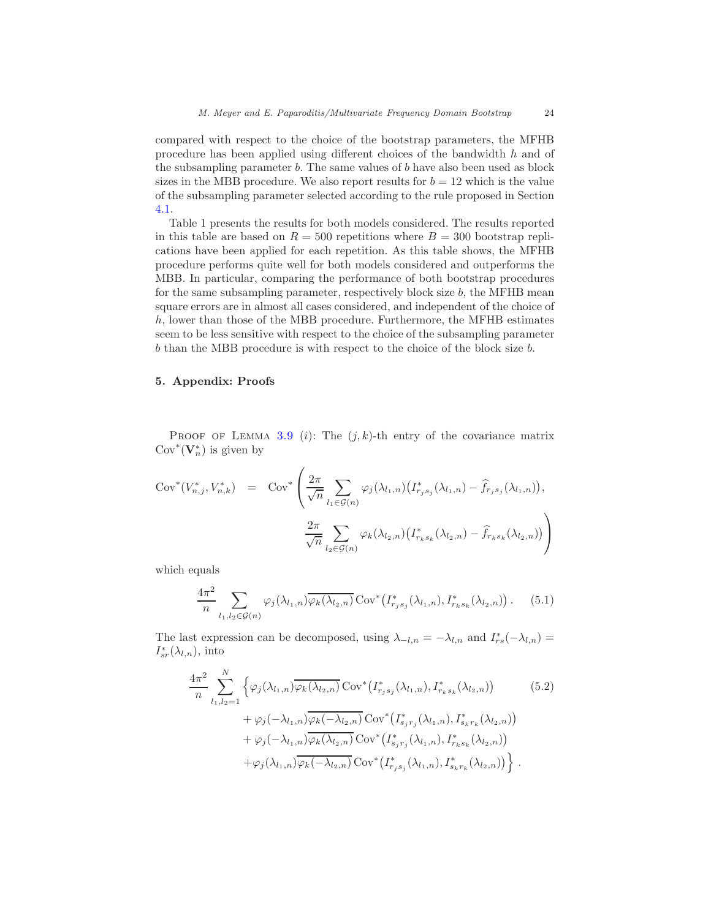compared with respect to the choice of the bootstrap parameters, the MFHB procedure has been applied using different choices of the bandwidth h and of the subsampling parameter b. The same values of b have also been used as block sizes in the MBB procedure. We also report results for  $b = 12$  which is the value of the subsampling parameter selected according to the rule proposed in Section [4.1.](#page-21-0)

Table 1 presents the results for both models considered. The results reported in this table are based on  $R = 500$  repetitions where  $B = 300$  bootstrap replications have been applied for each repetition. As this table shows, the MFHB procedure performs quite well for both models considered and outperforms the MBB. In particular, comparing the performance of both bootstrap procedures for the same subsampling parameter, respectively block size  $b$ , the MFHB mean square errors are in almost all cases considered, and independent of the choice of h, lower than those of the MBB procedure. Furthermore, the MFHB estimates seem to be less sensitive with respect to the choice of the subsampling parameter b than the MBB procedure is with respect to the choice of the block size b.

# 5. Appendix: Proofs

PROOF OF LEMMA [3.9](#page-20-0) (i): The  $(j, k)$ -th entry of the covariance matrix  $\mathrm{Cov}^*(\mathbf V_n^*)$  is given by

$$
Cov^{*}(V_{n,j}^{*}, V_{n,k}^{*}) = Cov^{*}\left(\frac{2\pi}{\sqrt{n}} \sum_{l_{1} \in \mathcal{G}(n)} \varphi_{j}(\lambda_{l_{1},n}) \left(I_{r_{j}s_{j}}^{*}(\lambda_{l_{1},n}) - \hat{f}_{r_{j}s_{j}}(\lambda_{l_{1},n})\right),\right)
$$

$$
\frac{2\pi}{\sqrt{n}} \sum_{l_{2} \in \mathcal{G}(n)} \varphi_{k}(\lambda_{l_{2},n}) \left(I_{r_{k}s_{k}}^{*}(\lambda_{l_{2},n}) - \hat{f}_{r_{k}s_{k}}(\lambda_{l_{2},n})\right)
$$

which equals

<span id="page-23-1"></span>
$$
\frac{4\pi^2}{n} \sum_{l_1, l_2 \in \mathcal{G}(n)} \varphi_j(\lambda_{l_1, n}) \overline{\varphi_k(\lambda_{l_2, n})} \operatorname{Cov}^*(I_{r_j s_j}^*(\lambda_{l_1, n}), I_{r_k s_k}^*(\lambda_{l_2, n})) . \tag{5.1}
$$

The last expression can be decomposed, using  $\lambda_{-l,n} = -\lambda_{l,n}$  and  $I_{rs}^*(-\lambda_{l,n}) =$  $I^*_{sr}(\lambda_{l,n}), \text{ into}$ 

<span id="page-23-0"></span>
$$
\frac{4\pi^{2}}{n} \sum_{l_{1},l_{2}=1}^{N} \left\{ \varphi_{j}(\lambda_{l_{1},n}) \overline{\varphi_{k}(\lambda_{l_{2},n})} \operatorname{Cov}^{*}\left(I_{r_{j}s_{j}}^{*}(\lambda_{l_{1},n}), I_{r_{k}s_{k}}^{*}(\lambda_{l_{2},n})\right) \right. \\ \left. + \varphi_{j}(-\lambda_{l_{1},n}) \overline{\varphi_{k}(-\lambda_{l_{2},n})} \operatorname{Cov}^{*}\left(I_{s_{j}r_{j}}^{*}(\lambda_{l_{1},n}), I_{s_{k}r_{k}}^{*}(\lambda_{l_{2},n})\right) \right. \\ \left. + \varphi_{j}(-\lambda_{l_{1},n}) \overline{\varphi_{k}(\lambda_{l_{2},n})} \operatorname{Cov}^{*}\left(I_{s_{j}r_{j}}^{*}(\lambda_{l_{1},n}), I_{r_{k}s_{k}}^{*}(\lambda_{l_{2},n})\right) \right. \\ \left. + \varphi_{j}(\lambda_{l_{1},n}) \overline{\varphi_{k}(-\lambda_{l_{2},n})} \operatorname{Cov}^{*}\left(I_{r_{j}s_{j}}^{*}(\lambda_{l_{1},n}), I_{s_{k}r_{k}}^{*}(\lambda_{l_{2},n})\right) \right\} .
$$
\n(5.2)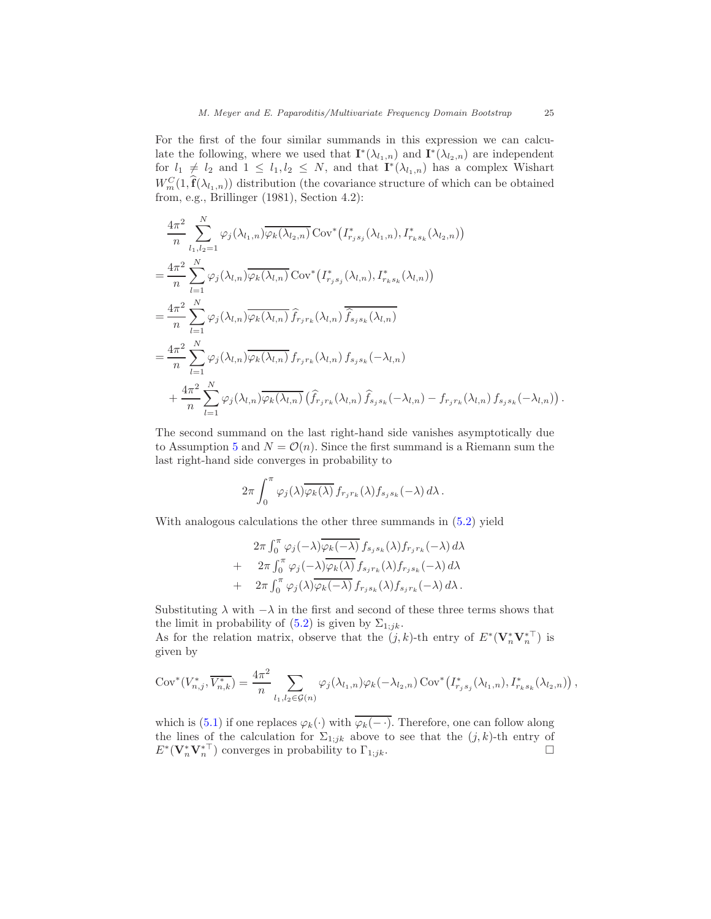For the first of the four similar summands in this expression we can calculate the following, where we used that  $\mathbf{I}^*(\lambda_{l_1,n})$  and  $\mathbf{I}^*(\lambda_{l_2,n})$  are independent for  $l_1 \neq l_2$  and  $1 \leq l_1, l_2 \leq N$ , and that  $\mathbf{I}^*(\lambda_{l_1,n})$  has a complex Wishart  $W_m^C(1,\hat{\mathbf{f}}(\lambda_{l_1,n}))$  distribution (the covariance structure of which can be obtained from, e.g., Brillinger (1981), Section 4.2):

$$
\frac{4\pi^2}{n} \sum_{l_1,l_2=1}^N \varphi_j(\lambda_{l_1,n}) \overline{\varphi_k(\lambda_{l_2,n})} \operatorname{Cov}^* (I_{r_js_j}^*(\lambda_{l_1,n}), I_{r_ks_k}^*(\lambda_{l_2,n}))
$$
\n
$$
= \frac{4\pi^2}{n} \sum_{l=1}^N \varphi_j(\lambda_{l,n}) \overline{\varphi_k(\lambda_{l,n})} \operatorname{Cov}^* (I_{r_js_j}^*(\lambda_{l,n}), I_{r_ks_k}^*(\lambda_{l,n}))
$$
\n
$$
= \frac{4\pi^2}{n} \sum_{l=1}^N \varphi_j(\lambda_{l,n}) \overline{\varphi_k(\lambda_{l,n})} \widehat{f}_{r_jr_k}(\lambda_{l,n}) \overline{\widehat{f}_{s_js_k}(\lambda_{l,n})}
$$
\n
$$
= \frac{4\pi^2}{n} \sum_{l=1}^N \varphi_j(\lambda_{l,n}) \overline{\varphi_k(\lambda_{l,n})} f_{r_jr_k}(\lambda_{l,n}) f_{s_js_k}(-\lambda_{l,n})
$$
\n
$$
+ \frac{4\pi^2}{n} \sum_{l=1}^N \varphi_j(\lambda_{l,n}) \overline{\varphi_k(\lambda_{l,n})} (\widehat{f}_{r_jr_k}(\lambda_{l,n}) \widehat{f}_{s_js_k}(-\lambda_{l,n}) - f_{r_jr_k}(\lambda_{l,n}) f_{s_js_k}(-\lambda_{l,n})).
$$

The second summand on the last right-hand side vanishes asymptotically due to Assumption [5](#page-19-1) and  $N = \mathcal{O}(n)$ . Since the first summand is a Riemann sum the last right-hand side converges in probability to

$$
2\pi \int_0^{\pi} \varphi_j(\lambda) \overline{\varphi_k(\lambda)} f_{r_jr_k}(\lambda) f_{s_js_k}(-\lambda) d\lambda.
$$

With analogous calculations the other three summands in [\(5.2\)](#page-23-0) yield

$$
2\pi \int_0^{\pi} \varphi_j(-\lambda) \overline{\varphi_k(-\lambda)} f_{s_j s_k}(\lambda) f_{r_j r_k}(-\lambda) d\lambda + 2\pi \int_0^{\pi} \varphi_j(-\lambda) \overline{\varphi_k(\lambda)} f_{s_j r_k}(\lambda) f_{r_j s_k}(-\lambda) d\lambda + 2\pi \int_0^{\pi} \varphi_j(\lambda) \overline{\varphi_k(-\lambda)} f_{r_j s_k}(\lambda) f_{s_j r_k}(-\lambda) d\lambda.
$$

Substituting  $\lambda$  with  $-\lambda$  in the first and second of these three terms shows that the limit in probability of  $(5.2)$  is given by  $\Sigma_{1;jk}$ .

As for the relation matrix, observe that the  $(j, k)$ -th entry of  $E^*(\mathbf{V}_n^*\mathbf{V}_n^{*\top})$  is given by

$$
Cov^{*}(V_{n,j}^{*}, \overline{V_{n,k}^{*}}) = \frac{4\pi^{2}}{n} \sum_{l_{1},l_{2} \in \mathcal{G}(n)} \varphi_{j}(\lambda_{l_{1},n}) \varphi_{k}(-\lambda_{l_{2},n}) \, Cov^{*}(I_{r_{j}s_{j}}^{*}(\lambda_{l_{1},n}), I_{r_{k}s_{k}}^{*}(\lambda_{l_{2},n})),
$$

which is [\(5.1\)](#page-23-1) if one replaces  $\varphi_k(\cdot)$  with  $\overline{\varphi_k(-\cdot)}$ . Therefore, one can follow along the lines of the calculation for  $\Sigma_{1;jk}$  above to see that the  $(j,k)$ -th entry of  $E^*(\mathbf{V}_n^*\mathbf{V}_n^{*\top})$  converges in probability to  $\Gamma_{1;jk}$ .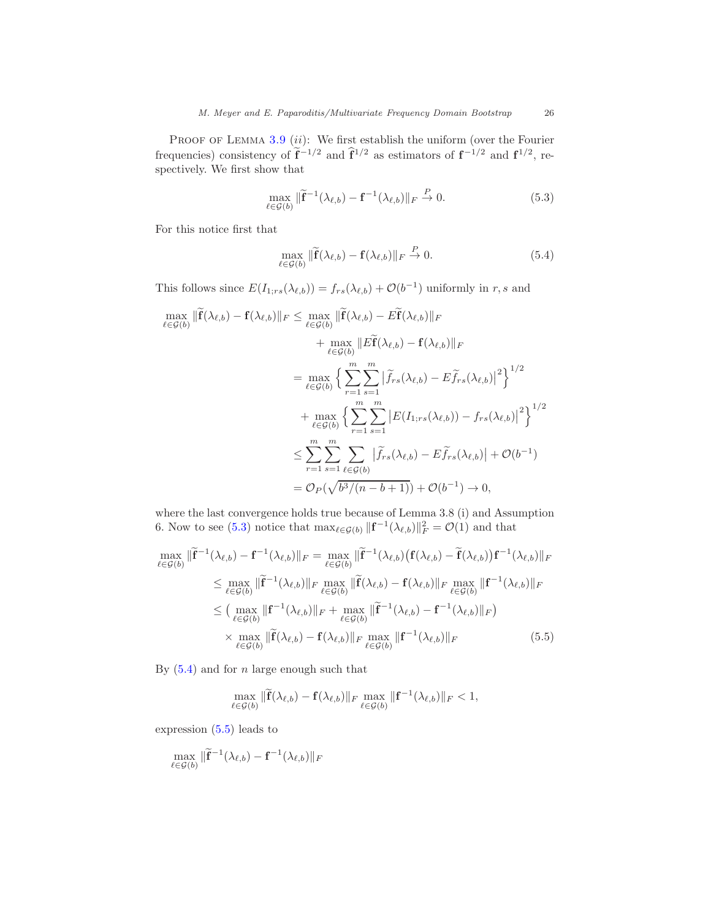PROOF OF LEMMA  $3.9$  (ii): We first establish the uniform (over the Fourier frequencies) consistency of  $f^{-1/2}$  and  $f^{1/2}$  as estimators of  $f^{-1/2}$  and  $f^{1/2}$ , respectively. We first show that

<span id="page-25-0"></span>
$$
\max_{\ell \in \mathcal{G}(b)} \|\widetilde{\mathbf{f}}^{-1}(\lambda_{\ell,b}) - \mathbf{f}^{-1}(\lambda_{\ell,b})\|_{F} \stackrel{P}{\to} 0. \tag{5.3}
$$

For this notice first that

<span id="page-25-1"></span>
$$
\max_{\ell \in \mathcal{G}(b)} \|\widetilde{\mathbf{f}}(\lambda_{\ell,b}) - \mathbf{f}(\lambda_{\ell,b})\|_{F} \stackrel{P}{\to} 0. \tag{5.4}
$$

This follows since  $E(I_{1,rs}(\lambda_{\ell,b})) = f_{rs}(\lambda_{\ell,b}) + \mathcal{O}(b^{-1})$  uniformly in r, s and

$$
\max_{\ell \in \mathcal{G}(b)} \|\widetilde{\mathbf{f}}(\lambda_{\ell,b}) - \mathbf{f}(\lambda_{\ell,b})\|_{F} \leq \max_{\ell \in \mathcal{G}(b)} \|\widetilde{\mathbf{f}}(\lambda_{\ell,b}) - E\widetilde{\mathbf{f}}(\lambda_{\ell,b})\|_{F}
$$
\n
$$
+ \max_{\ell \in \mathcal{G}(b)} \|\widetilde{\mathbf{E}}(\lambda_{\ell,b}) - \mathbf{f}(\lambda_{\ell,b})\|_{F}
$$
\n
$$
= \max_{\ell \in \mathcal{G}(b)} \left\{ \sum_{r=1}^{m} \sum_{s=1}^{m} |\widetilde{f}_{rs}(\lambda_{\ell,b}) - E\widetilde{f}_{rs}(\lambda_{\ell,b})|^2 \right\}^{1/2}
$$
\n
$$
+ \max_{\ell \in \mathcal{G}(b)} \left\{ \sum_{r=1}^{m} \sum_{s=1}^{m} |E(I_{1;rs}(\lambda_{\ell,b})) - f_{rs}(\lambda_{\ell,b})|^2 \right\}^{1/2}
$$
\n
$$
\leq \sum_{r=1}^{m} \sum_{s=1}^{m} \sum_{\ell \in \mathcal{G}(b)} |\widetilde{f}_{rs}(\lambda_{\ell,b}) - E\widetilde{f}_{rs}(\lambda_{\ell,b})| + \mathcal{O}(b^{-1})
$$
\n
$$
= \mathcal{O}_P(\sqrt{b^3/(n-b+1)}) + \mathcal{O}(b^{-1}) \to 0,
$$

where the last convergence holds true because of Lemma 3.8 (i) and Assumption 6. Now to see [\(5.3\)](#page-25-0) notice that  $\max_{\ell \in \mathcal{G}(b)} ||\mathbf{f}^{-1}(\lambda_{\ell,b})||_F^2 = \mathcal{O}(1)$  and that

$$
\max_{\ell \in \mathcal{G}(b)} \|\widetilde{\mathbf{f}}^{-1}(\lambda_{\ell,b}) - \mathbf{f}^{-1}(\lambda_{\ell,b})\|_{F} = \max_{\ell \in \mathcal{G}(b)} \|\widetilde{\mathbf{f}}^{-1}(\lambda_{\ell,b}) (\mathbf{f}(\lambda_{\ell,b}) - \widetilde{\mathbf{f}}(\lambda_{\ell,b})) \mathbf{f}^{-1}(\lambda_{\ell,b})\|_{F}
$$
\n
$$
\leq \max_{\ell \in \mathcal{G}(b)} \|\widetilde{\mathbf{f}}^{-1}(\lambda_{\ell,b})\|_{F} \max_{\ell \in \mathcal{G}(b)} \|\widetilde{\mathbf{f}}(\lambda_{\ell,b}) - \mathbf{f}(\lambda_{\ell,b})\|_{F} \max_{\ell \in \mathcal{G}(b)} \|\mathbf{f}^{-1}(\lambda_{\ell,b})\|_{F}
$$
\n
$$
\leq \left(\max_{\ell \in \mathcal{G}(b)} \|\mathbf{f}^{-1}(\lambda_{\ell,b})\|_{F} + \max_{\ell \in \mathcal{G}(b)} \|\widetilde{\mathbf{f}}^{-1}(\lambda_{\ell,b}) - \mathbf{f}^{-1}(\lambda_{\ell,b})\|_{F}\right)
$$
\n
$$
\times \max_{\ell \in \mathcal{G}(b)} \|\widetilde{\mathbf{f}}(\lambda_{\ell,b}) - \mathbf{f}(\lambda_{\ell,b})\|_{F} \max_{\ell \in \mathcal{G}(b)} \|\mathbf{f}^{-1}(\lambda_{\ell,b})\|_{F}
$$
\n(5.5)

By  $(5.4)$  and for *n* large enough such that

<span id="page-25-2"></span> $\mathcal{L}$ 

$$
\max_{\ell \in \mathcal{G}(b)} \|\widetilde{\mathbf{f}}(\lambda_{\ell,b}) - \mathbf{f}(\lambda_{\ell,b})\|_F \max_{\ell \in \mathcal{G}(b)} \|\mathbf{f}^{-1}(\lambda_{\ell,b})\|_F < 1,
$$

expression  $(5.5)$  leads to

$$
\max_{\ell \in \mathcal{G}(b)} \|\widetilde{\mathbf{f}}^{-1}(\lambda_{\ell,b}) - \mathbf{f}^{-1}(\lambda_{\ell,b})\|_{F}
$$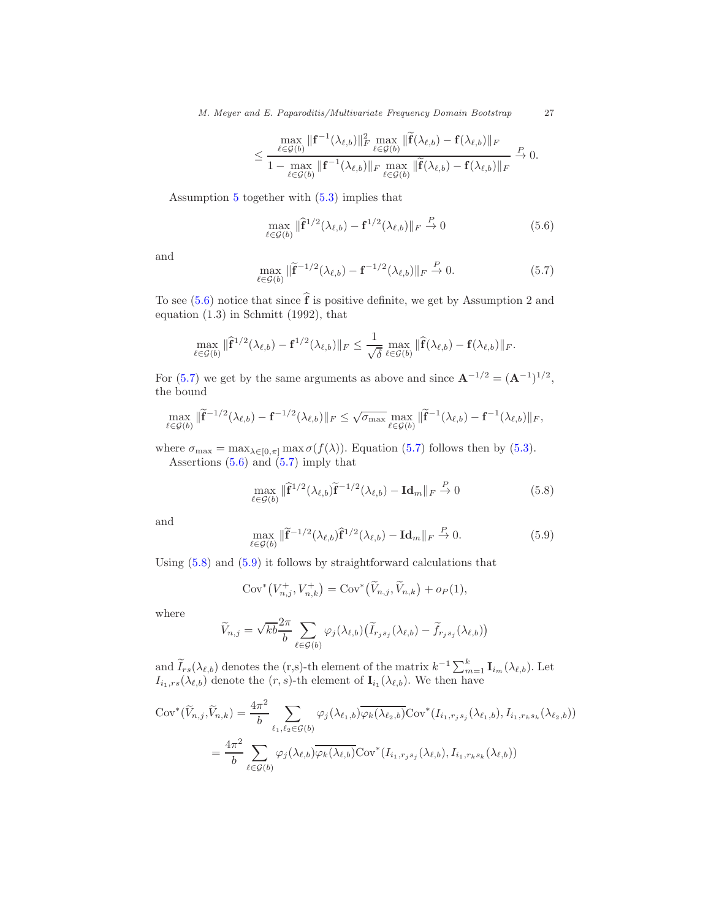$$
\leq \frac{\max\limits_{\ell\in\mathcal{G}(b)}\|\mathbf{f}^{-1}(\lambda_{\ell,b})\|_{F}^{2}\max\limits_{\ell\in\mathcal{G}(b)}\|\widetilde{\mathbf{f}}(\lambda_{\ell,b})-\mathbf{f}(\lambda_{\ell,b})\|_{F}}{1-\max\limits_{\ell\in\mathcal{G}(b)}\|\mathbf{f}^{-1}(\lambda_{\ell,b})\|_{F}\max\limits_{\ell\in\mathcal{G}(b)}\|\widetilde{\mathbf{f}}(\lambda_{\ell,b})-\mathbf{f}(\lambda_{\ell,b})\|_{F}}\overset{P}{\to} 0.
$$

Assumption [5](#page-19-1) together with [\(5.3\)](#page-25-0) implies that

<span id="page-26-0"></span>
$$
\max_{\ell \in \mathcal{G}(b)} \|\widehat{\mathbf{f}}^{1/2}(\lambda_{\ell,b}) - \mathbf{f}^{1/2}(\lambda_{\ell,b})\|_{F} \stackrel{P}{\to} 0 \tag{5.6}
$$

and

<span id="page-26-1"></span>
$$
\max_{\ell \in \mathcal{G}(b)} \|\widetilde{\mathbf{f}}^{-1/2}(\lambda_{\ell,b}) - \mathbf{f}^{-1/2}(\lambda_{\ell,b})\|_{F} \stackrel{P}{\to} 0. \tag{5.7}
$$

To see [\(5.6\)](#page-26-0) notice that since  $\hat{\mathbf{f}}$  is positive definite, we get by Assumption 2 and equation (1.3) in Schmitt (1992), that

$$
\max_{\ell \in \mathcal{G}(b)} \|\widehat{\mathbf{f}}^{1/2}(\lambda_{\ell,b}) - \mathbf{f}^{1/2}(\lambda_{\ell,b})\|_{F} \leq \frac{1}{\sqrt{\delta}} \max_{\ell \in \mathcal{G}(b)} \|\widehat{\mathbf{f}}(\lambda_{\ell,b}) - \mathbf{f}(\lambda_{\ell,b})\|_{F}.
$$

For [\(5.7\)](#page-26-1) we get by the same arguments as above and since  $\mathbf{A}^{-1/2} = (\mathbf{A}^{-1})^{1/2}$ , the bound

$$
\max_{\ell \in \mathcal{G}(b)} \|\widetilde{\mathbf{f}}^{-1/2}(\lambda_{\ell,b}) - \mathbf{f}^{-1/2}(\lambda_{\ell,b})\|_{F} \leq \sqrt{\sigma_{\max}} \max_{\ell \in \mathcal{G}(b)} \|\widetilde{\mathbf{f}}^{-1}(\lambda_{\ell,b}) - \mathbf{f}^{-1}(\lambda_{\ell,b})\|_{F},
$$

where  $\sigma_{\text{max}} = \max_{\lambda \in [0,\pi]} \max \sigma(f(\lambda))$ . Equation [\(5.7\)](#page-26-1) follows then by [\(5.3\)](#page-25-0). Assertions  $(5.6)$  and  $(5.7)$  imply that

<span id="page-26-2"></span>
$$
\max_{\ell \in \mathcal{G}(b)} \|\widehat{\mathbf{f}}^{1/2}(\lambda_{\ell,b})\widetilde{\mathbf{f}}^{-1/2}(\lambda_{\ell,b}) - \mathbf{Id}_m\|_F \stackrel{P}{\to} 0 \tag{5.8}
$$

and

<span id="page-26-3"></span>
$$
\max_{\ell \in \mathcal{G}(b)} \|\widetilde{\mathbf{f}}^{-1/2}(\lambda_{\ell,b})\widehat{\mathbf{f}}^{1/2}(\lambda_{\ell,b}) - \mathbf{Id}_m\|_F \stackrel{P}{\to} 0. \tag{5.9}
$$

Using [\(5.8\)](#page-26-2) and [\(5.9\)](#page-26-3) it follows by straightforward calculations that

$$
Cov^*\big(V_{n,j}^+, V_{n,k}^+\big) = Cov^*\big(\widetilde{V}_{n,j}, \widetilde{V}_{n,k}\big) + o_P(1),
$$

where

$$
\widetilde{V}_{n,j} = \sqrt{kb} \frac{2\pi}{b} \sum_{\ell \in \mathcal{G}(b)} \varphi_j(\lambda_{\ell,b}) \big( \widetilde{I}_{r_j s_j}(\lambda_{\ell,b}) - \widetilde{f}_{r_j s_j}(\lambda_{\ell,b}) \big)
$$

and  $\widetilde{I}_{rs}(\lambda_{\ell,b})$  denotes the (r,s)-th element of the matrix  $k^{-1}\sum_{m=1}^k \mathbf{I}_{i_m}(\lambda_{\ell,b})$ . Let  $I_{i_1,rs}(\lambda_{\ell,b})$  denote the  $(r, s)$ -th element of  $\mathbf{I}_{i_1}(\lambda_{\ell,b})$ . We then have

$$
Cov^*(\widetilde{V}_{n,j}, \widetilde{V}_{n,k}) = \frac{4\pi^2}{b} \sum_{\ell_1, \ell_2 \in \mathcal{G}(b)} \varphi_j(\lambda_{\ell_1,b}) \overline{\varphi_k(\lambda_{\ell_2,b})} Cov^*(I_{i_1,r_js_j}(\lambda_{\ell_1,b}), I_{i_1,r_ks_k}(\lambda_{\ell_2,b}))
$$
  

$$
= \frac{4\pi^2}{b} \sum_{\ell \in \mathcal{G}(b)} \varphi_j(\lambda_{\ell,b}) \overline{\varphi_k(\lambda_{\ell,b})} Cov^*(I_{i_1,r_js_j}(\lambda_{\ell,b}), I_{i_1,r_ks_k}(\lambda_{\ell,b}))
$$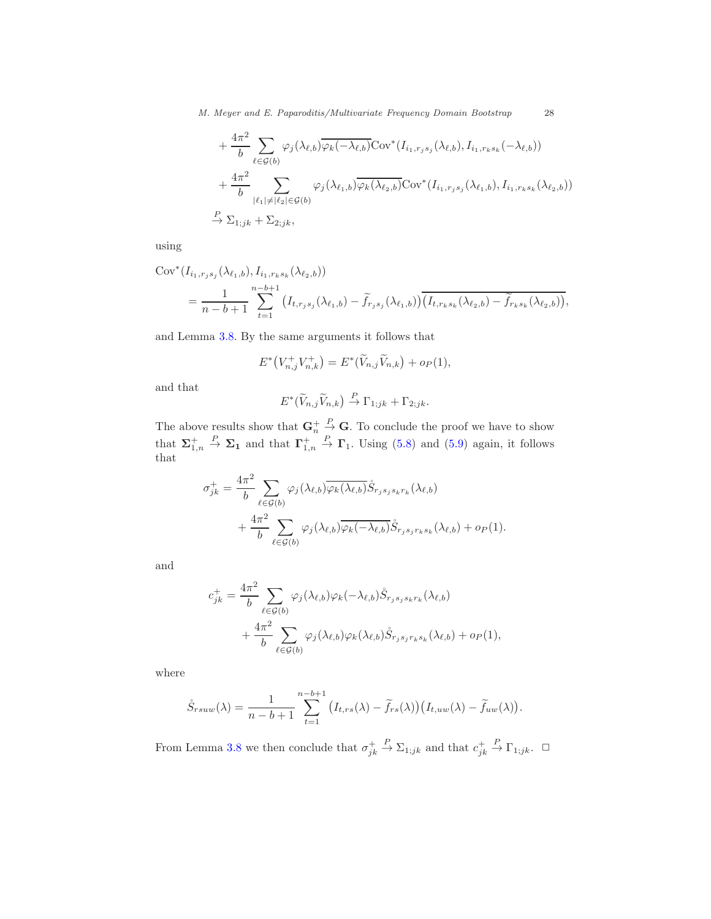*M. Meyer and E. Paparoditis/Multivariate Frequency Domain Bootstrap* 28

+ 
$$
\frac{4\pi^2}{b}
$$
  $\sum_{\ell \in \mathcal{G}(b)} \varphi_j(\lambda_{\ell,b}) \overline{\varphi_k(-\lambda_{\ell,b})} \text{Cov}^*(I_{i_1, r_j s_j}(\lambda_{\ell,b}), I_{i_1, r_k s_k}(-\lambda_{\ell,b}))$   
+  $\frac{4\pi^2}{b}$   $\sum_{|\ell_1| \neq |\ell_2| \in \mathcal{G}(b)} \varphi_j(\lambda_{\ell_1,b}) \overline{\varphi_k(\lambda_{\ell_2,b})} \text{Cov}^*(I_{i_1, r_j s_j}(\lambda_{\ell_1,b}), I_{i_1, r_k s_k}(\lambda_{\ell_2,b}))$   
 $\overset{P}{\to} \Sigma_{1;jk} + \Sigma_{2;jk},$ 

using

$$
Cov^{*}(I_{i_{1},r_{j}s_{j}}(\lambda_{\ell_{1},b}), I_{i_{1},r_{k}s_{k}}(\lambda_{\ell_{2},b}))
$$
  
= 
$$
\frac{1}{n-b+1} \sum_{t=1}^{n-b+1} (I_{t,r_{j}s_{j}}(\lambda_{\ell_{1},b}) - \widetilde{f}_{r_{j}s_{j}}(\lambda_{\ell_{1},b})) \overline{(I_{t,r_{k}s_{k}}(\lambda_{\ell_{2},b}) - \widetilde{f}_{r_{k}s_{k}}(\lambda_{\ell_{2},b}))},
$$

and Lemma [3.8.](#page-19-0) By the same arguments it follows that

$$
E^*\big(V_{n,j}^+V_{n,k}^+\big)=E^*\big(\widetilde{V}_{n,j}\widetilde{V}_{n,k}\big)+o_P(1),
$$

and that

$$
E^*(\widetilde{V}_{n,j}\widetilde{V}_{n,k}) \stackrel{P}{\to} \Gamma_{1;jk} + \Gamma_{2;jk}.
$$

The above results show that  $\mathbf{G}_n^+$  $\frac{P}{P}$  **G**. To conclude the proof we have to show that  $\Sigma_{1,n}^+$  $\stackrel{P}{\to} \Sigma_1$  and that  $\Gamma^+_{1,n}$  $\stackrel{P}{\rightarrow} \Gamma_1$ . Using [\(5.8\)](#page-26-2) and [\(5.9\)](#page-26-3) again, it follows that

$$
\sigma_{jk}^{+} = \frac{4\pi^{2}}{b} \sum_{\ell \in \mathcal{G}(b)} \varphi_{j}(\lambda_{\ell,b}) \overline{\varphi_{k}(\lambda_{\ell,b})} \mathring{S}_{r_{j}s_{j}s_{k}r_{k}}(\lambda_{\ell,b}) + \frac{4\pi^{2}}{b} \sum_{\ell \in \mathcal{G}(b)} \varphi_{j}(\lambda_{\ell,b}) \overline{\varphi_{k}(-\lambda_{\ell,b})} \mathring{S}_{r_{j}s_{j}r_{k}s_{k}}(\lambda_{\ell,b}) + o_{P}(1).
$$

and

$$
c_{jk}^{+} = \frac{4\pi^{2}}{b} \sum_{\ell \in \mathcal{G}(b)} \varphi_{j}(\lambda_{\ell,b}) \varphi_{k}(-\lambda_{\ell,b}) \dot{S}_{r_{j}s_{j}s_{k}r_{k}}(\lambda_{\ell,b}) + \frac{4\pi^{2}}{b} \sum_{\ell \in \mathcal{G}(b)} \varphi_{j}(\lambda_{\ell,b}) \varphi_{k}(\lambda_{\ell,b}) \dot{S}_{r_{j}s_{j}r_{k}s_{k}}(\lambda_{\ell,b}) + op(1),
$$

where

$$
\mathring{S}_{rsuw}(\lambda) = \frac{1}{n-b+1} \sum_{t=1}^{n-b+1} (I_{t,rs}(\lambda) - \widetilde{f}_{rs}(\lambda)) (I_{t,uw}(\lambda) - \widetilde{f}_{uw}(\lambda)).
$$

From Lemma [3.8](#page-19-0) we then conclude that  $\sigma_{jk}^+$  $\stackrel{P}{\to} \Sigma_{1;jk}$  and that  $c_{jk}^+$  $\stackrel{P}{\to} \Gamma_{1;jk}$ .  $\Box$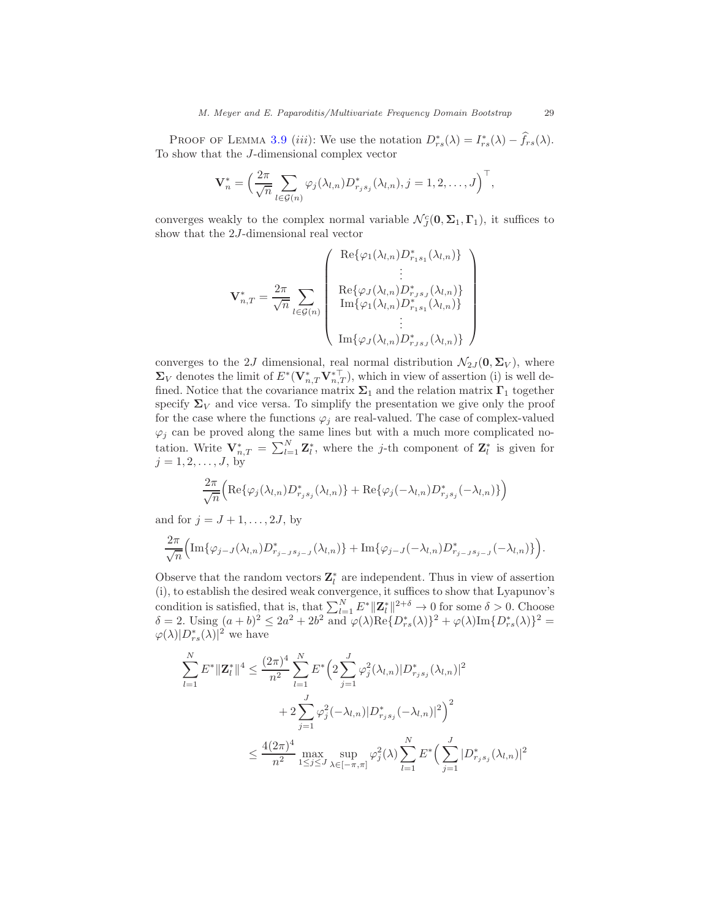PROOF OF LEMMA [3.9](#page-20-0) (iii): We use the notation  $D_{rs}^*(\lambda) = I_{rs}^*(\lambda) - \widehat{f}_{rs}(\lambda)$ . To show that the J-dimensional complex vector

$$
\mathbf{V}_n^* = \left(\frac{2\pi}{\sqrt{n}} \sum_{l \in \mathcal{G}(n)} \varphi_j(\lambda_{l,n}) D_{r_j s_j}^*(\lambda_{l,n}), j = 1, 2, \dots, J\right)^\top,
$$

converges weakly to the complex normal variable  $\mathcal{N}_{J}^{c}(\mathbf{0}, \Sigma_1, \Gamma_1)$ , it suffices to show that the 2J-dimensional real vector

$$
\mathbf{V}_{n,T}^* = \frac{2\pi}{\sqrt{n}} \sum_{l \in \mathcal{G}(n)} \begin{pmatrix} \text{Re}\{\varphi_1(\lambda_{l,n})D_{r_1s_1}^*(\lambda_{l,n})\} \\ \vdots \\ \text{Re}\{\varphi_J(\lambda_{l,n})D_{r_js_J}^*(\lambda_{l,n})\} \\ \text{Im}\{\varphi_1(\lambda_{l,n})D_{r_1s_1}^*(\lambda_{l,n})\} \\ \vdots \\ \text{Im}\{\varphi_J(\lambda_{l,n})D_{r_js_J}^*(\lambda_{l,n})\}\end{pmatrix}
$$

converges to the 2J dimensional, real normal distribution  $\mathcal{N}_{2J}(\mathbf{0}, \mathbf{\Sigma}_V)$ , where  $\Sigma_V$  denotes the limit of  $E^*(\mathbf{V}_{n,T}^*\mathbf{V}_{n,T}^{*\top})$ , which in view of assertion (i) is well defined. Notice that the covariance matrix  $\Sigma_1$  and the relation matrix  $\Gamma_1$  together specify  $\Sigma_V$  and vice versa. To simplify the presentation we give only the proof for the case where the functions  $\varphi_i$  are real-valued. The case of complex-valued  $\varphi_j$  can be proved along the same lines but with a much more complicated notation. Write  $\mathbf{V}_{n,T}^* = \sum_{l=1}^N \mathbf{Z}_l^*$ , where the j-th component of  $\mathbf{Z}_l^*$  is given for  $j = 1, 2, \ldots, J$ , by

$$
\frac{2\pi}{\sqrt{n}}\Big(\mathrm{Re}\{\varphi_j(\lambda_{l,n})D_{r_js_j}^*(\lambda_{l,n})\}+\mathrm{Re}\{\varphi_j(-\lambda_{l,n})D_{r_js_j}^*(-\lambda_{l,n})\}\Big)
$$

and for  $j = J + 1, \ldots, 2J$ , by

$$
\frac{2\pi}{\sqrt{n}}\Big(\operatorname{Im}\{\varphi_{j-J}(\lambda_{l,n})D_{r_{j-J}s_{j-J}}^*(\lambda_{l,n})\}+\operatorname{Im}\{\varphi_{j-J}(-\lambda_{l,n})D_{r_{j-J}s_{j-J}}^*(-\lambda_{l,n})\}\Big).
$$

Observe that the random vectors  $\mathbf{Z}_{l}^{*}$  are independent. Thus in view of assertion (i), to establish the desired weak convergence, it suffices to show that Lyapunov's condition is satisfied, that is, that  $\sum_{l=1}^{N} E^* ||\mathbf{Z}_l^*||^{2+\delta} \to 0$  for some  $\delta > 0$ . Choose  $\delta = 2$ . Using  $(a+b)^2 \leq 2a^2 + 2b^2$  and  $\varphi(\lambda) \text{Re}\{D_{rs}^*(\lambda)\}^2 + \varphi(\lambda) \text{Im}\{D_{rs}^*(\lambda)\}^2 =$  $\varphi(\lambda)|D_{rs}^*(\lambda)|^2$  we have

$$
\sum_{l=1}^{N} E^* ||\mathbf{Z}_l^*||^4 \le \frac{(2\pi)^4}{n^2} \sum_{l=1}^{N} E^* \Big( 2 \sum_{j=1}^{J} \varphi_j^2(\lambda_{l,n}) |D^*_{r_js_j}(\lambda_{l,n})|^2 + 2 \sum_{j=1}^{J} \varphi_j^2(-\lambda_{l,n}) |D^*_{r_js_j}(-\lambda_{l,n})|^2 \Big)^2 \le \frac{4(2\pi)^4}{n^2} \max_{1 \le j \le J} \sup_{\lambda \in [-\pi,\pi]} \varphi_j^2(\lambda) \sum_{l=1}^{N} E^* \Big( \sum_{j=1}^{J} |D^*_{r_js_j}(\lambda_{l,n})|^2
$$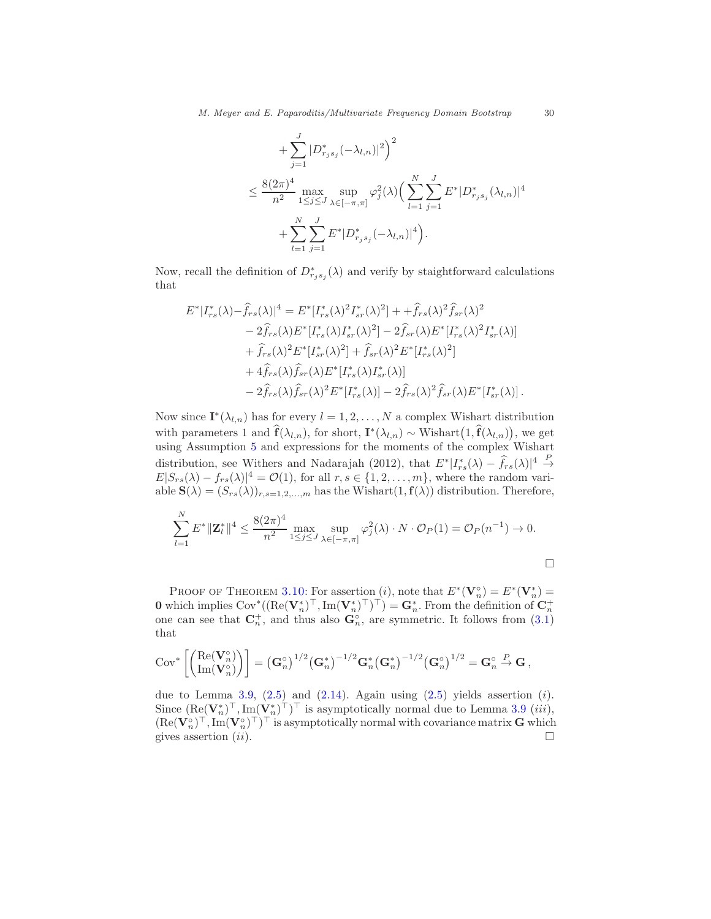+
$$
\sum_{j=1}^{J} |D_{r_j s_j}^* (-\lambda_{l,n})|^2 \Big)^2
$$
  
\n
$$
\leq \frac{8(2\pi)^4}{n^2} \max_{1 \leq j \leq J} \sup_{\lambda \in [-\pi,\pi]} \varphi_j^2(\lambda) \Big( \sum_{l=1}^{N} \sum_{j=1}^{J} E^* | D_{r_j s_j}^* (\lambda_{l,n})|^4
$$
  
\n+
$$
\sum_{l=1}^{N} \sum_{j=1}^{J} E^* | D_{r_j s_j}^* (-\lambda_{l,n})|^4 \Big).
$$

Now, recall the definition of  $D^*_{r_js_j}(\lambda)$  and verify by staightforward calculations that

$$
E^*|I_{rs}^*(\lambda) - \hat{f}_{rs}(\lambda)|^4 = E^*[I_{rs}^*(\lambda)^2 I_{sr}^*(\lambda)^2] + \hat{f}_{rs}(\lambda)^2 \hat{f}_{sr}(\lambda)^2
$$
  
\n
$$
- 2\hat{f}_{rs}(\lambda)E^*[I_{rs}^*(\lambda)I_{sr}^*(\lambda)^2] - 2\hat{f}_{sr}(\lambda)E^*[I_{rs}^*(\lambda)^2 I_{sr}^*(\lambda)]
$$
  
\n
$$
+ \hat{f}_{rs}(\lambda)^2 E^*[I_{sr}^*(\lambda)^2] + \hat{f}_{sr}(\lambda)^2 E^*[I_{rs}^*(\lambda)^2]
$$
  
\n
$$
+ 4\hat{f}_{rs}(\lambda)\hat{f}_{sr}(\lambda)E^*[I_{rs}^*(\lambda)I_{sr}^*(\lambda)]
$$
  
\n
$$
- 2\hat{f}_{rs}(\lambda)\hat{f}_{sr}(\lambda)^2 E^*[I_{rs}^*(\lambda)] - 2\hat{f}_{rs}(\lambda)^2 \hat{f}_{sr}(\lambda)E^*[I_{sr}^*(\lambda)].
$$

Now since  $\mathbf{I}^*(\lambda_{l,n})$  has for every  $l=1,2,\ldots,N$  a complex Wishart distribution with parameters 1 and  $\hat{\mathbf{f}}(\lambda_{l,n})$ , for short,  $\mathbf{I}^*(\lambda_{l,n}) \sim \text{Wishart}(\mathbf{1}, \hat{\mathbf{f}}(\lambda_{l,n}))$ , we get using Assumption [5](#page-19-1) and expressions for the moments of the complex Wishart distribution, see Withers and Nadarajah (2012), that  $E^* | I_{rs}^*(\lambda) - \widehat{f}_{rs}(\lambda)|^4 \stackrel{P}{\to}$  $E|S_{rs}(\lambda) - f_{rs}(\lambda)|^4 = \mathcal{O}(1)$ , for all  $r, s \in \{1, 2, ..., m\}$ , where the random variable  $\mathbf{S}(\lambda) = (S_{rs}(\lambda))_{r,s=1,2,...,m}$  has the Wishart $(1,\mathbf{f}(\lambda))$  distribution. Therefore,

$$
\sum_{l=1}^{N} E^* ||\mathbf{Z}_l^*||^4 \le \frac{8(2\pi)^4}{n^2} \max_{1 \le j \le J} \sup_{\lambda \in [-\pi,\pi]} \varphi_j^2(\lambda) \cdot N \cdot \mathcal{O}_P(1) = \mathcal{O}_P(n^{-1}) \to 0.
$$

PROOF OF THEOREM [3.10:](#page-20-3) For assertion  $(i)$ , note that  $E^*(\mathbf{V}_n^{\circ}) = E^*(\mathbf{V}_n^*) =$ **0** which implies  $\text{Cov}^*((\text{Re}(\mathbf{V}_n^*)^\top, \text{Im}(\mathbf{V}_n^*)^\top)^\top) = \mathbf{G}_n^*$ . From the definition of  $\mathbf{C}_n^+$  one can see that  $\mathbf{C}_n^+$ , and thus also  $\mathbf{G}_n^{\circ}$ , are symmetric. It follows from [\(3.1\)](#page-14-1) that

$$
\mathrm{Cov}^*\left[\begin{pmatrix}\mathrm{Re}(\mathbf{V}_n^\circ) \\ \mathrm{Im}(\mathbf{V}_n^\circ)\end{pmatrix}\right] = \left(\mathbf{G}_n^\circ\right)^{1/2} \left(\mathbf{G}_n^*\right)^{-1/2} \mathbf{G}_n^* \left(\mathbf{G}_n^*\right)^{-1/2} \left(\mathbf{G}_n^\circ\right)^{1/2} = \mathbf{G}_n^\circ \stackrel{P}{\to} \mathbf{G},
$$

due to Lemma [3.9,](#page-20-0)  $(2.5)$  and  $(2.14)$ . Again using  $(2.5)$  yields assertion  $(i)$ . Since  $(\text{Re}(\mathbf{V}_n^*)^\top, \text{Im}(\mathbf{V}_n^*)^\top)^\top$  is asymptotically normal due to Lemma [3.9](#page-20-0) (*iii*),  $(\text{Re}(\mathbf{V}_n^{\circ})^{\top}, \text{Im}(\mathbf{V}_n^{\circ})^{\top})^{\top}$  is asymptotically normal with covariance matrix  $\mathbf{G}$  which gives assertion  $(ii)$ .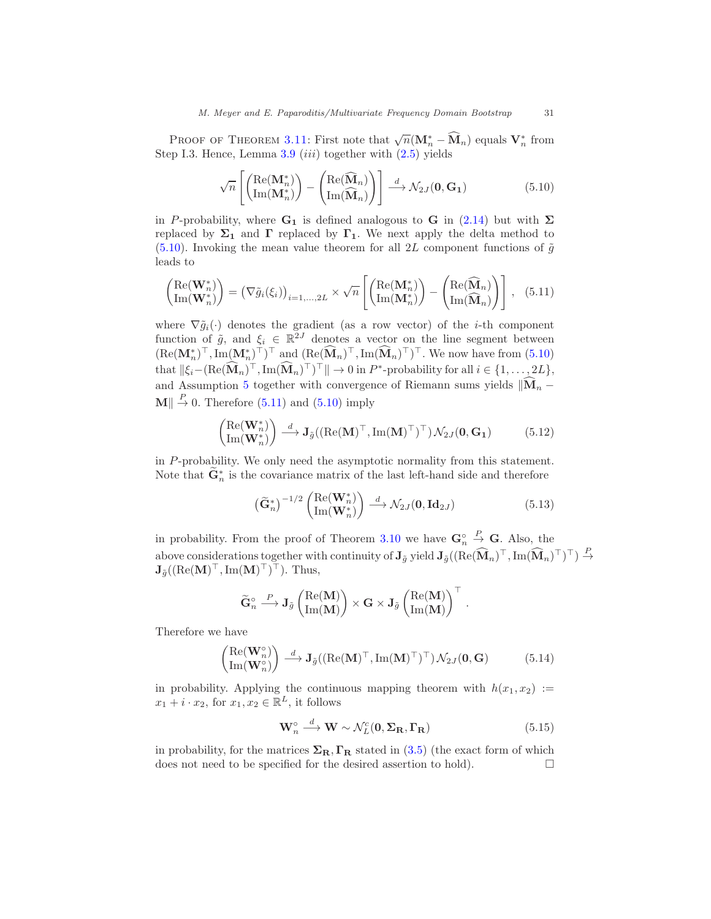PROOF OF THEOREM [3.11:](#page-20-1) First note that  $\sqrt{n}(\mathbf{M}_n^* - \widehat{\mathbf{M}}_n)$  equals  $\mathbf{V}_n^*$  from Step I.3. Hence, Lemma  $3.9$  (iii) together with  $(2.5)$  yields

<span id="page-30-2"></span><span id="page-30-1"></span>
$$
\sqrt{n}\left[\begin{pmatrix}\text{Re}(\mathbf{M}_n^*)\\ \text{Im}(\mathbf{M}_n^*)\end{pmatrix} - \begin{pmatrix}\text{Re}(\widehat{\mathbf{M}}_n)\\ \text{Im}(\widehat{\mathbf{M}}_n)\end{pmatrix}\right] \stackrel{d}{\longrightarrow} \mathcal{N}_{2J}(\mathbf{0}, \mathbf{G}_1)
$$
(5.10)

in P-probability, where  $G_1$  is defined analogous to G in [\(2.14\)](#page-10-1) but with  $\Sigma$ replaced by  $\Sigma_1$  and  $\Gamma$  replaced by  $\Gamma_1$ . We next apply the delta method to [\(5.10\)](#page-30-1). Invoking the mean value theorem for all 2L component functions of  $\tilde{g}$ leads to

$$
\begin{pmatrix}\n\text{Re}(\mathbf{W}_n^*) \\
\text{Im}(\mathbf{W}_n^*)\n\end{pmatrix} = (\nabla \tilde{g}_i(\xi_i))_{i=1,\dots,2L} \times \sqrt{n} \left[ \begin{pmatrix}\n\text{Re}(\mathbf{M}_n^*) \\
\text{Im}(\mathbf{M}_n^*)\n\end{pmatrix} - \begin{pmatrix}\n\text{Re}(\widehat{\mathbf{M}}_n) \\
\text{Im}(\widehat{\mathbf{M}}_n)\n\end{pmatrix} \right], \quad (5.11)
$$

where  $\nabla \tilde{g}_i(\cdot)$  denotes the gradient (as a row vector) of the *i*-th component function of  $\tilde{g}$ , and  $\xi_i \in \mathbb{R}^{2J}$  denotes a vector on the line segment between  $(\text{Re}(\mathbf{M}_n^*)^\top, \text{Im}(\mathbf{M}_n^*)^\top)^\top$  and  $(\text{Re}(\mathbf{M}_n)^\top, \text{Im}(\mathbf{M}_n)^\top)^\top$ . We now have from  $(5.10)$ that  $\|\xi_i-(\text{Re}(\hat{\mathbf{M}}_n)^{\top},\text{Im}(\hat{\mathbf{M}}_n)^{\top})^{\top}\| \to 0$  in  $P^*$ -probability for all  $i \in \{1,\ldots,2L\},$ and Assumption [5](#page-19-1) together with convergence of Riemann sums yields  $\|\widehat{{\mathbf M}}_n \mathbf{M} \parallel \stackrel{P}{\rightarrow} 0$ . Therefore [\(5.11\)](#page-30-2) and [\(5.10\)](#page-30-1) imply

$$
\begin{pmatrix} \text{Re}(\mathbf{W}_n^*) \\ \text{Im}(\mathbf{W}_n^*) \end{pmatrix} \stackrel{d}{\longrightarrow} \mathbf{J}_{\tilde{g}}((\text{Re}(\mathbf{M})^\top, \text{Im}(\mathbf{M})^\top)^\top) \mathcal{N}_{2J}(\mathbf{0}, \mathbf{G}_1) \tag{5.12}
$$

in P-probability. We only need the asymptotic normality from this statement. Note that  $\mathbf{G}_n^*$  is the covariance matrix of the last left-hand side and therefore

<span id="page-30-0"></span>
$$
\left(\widetilde{\mathbf{G}}_{n}^{*}\right)^{-1/2} \begin{pmatrix} \text{Re}(\mathbf{W}_{n}^{*})\\ \text{Im}(\mathbf{W}_{n}^{*}) \end{pmatrix} \stackrel{d}{\longrightarrow} \mathcal{N}_{2J}(\mathbf{0}, \mathbf{Id}_{2J})
$$
\n(5.13)

in probability. From the proof of Theorem [3.10](#page-20-3) we have  $\mathbf{G}_n^{\circ}$  $\stackrel{P}{\to}$  **G**. Also, the above considerations together with continuity of  $J_{\tilde{g}}$  yield  $J_{\tilde{g}}((\text{Re}(\widehat{\mathbf{M}}_n)^{\top}, \text{Im}(\widehat{\mathbf{M}}_n)^{\top})^{\top}) \stackrel{P}{\rightarrow}$  $\mathbf{J}_{\tilde{g}}((\text{Re}(\mathbf{M})^{\top}, \text{Im}(\mathbf{M})^{\top})^{\top}).$  Thus,

$$
\widetilde{\mathbf{G}}_n^{\circ} \stackrel{P}{\longrightarrow} \mathbf{J}_{\tilde{g}}\left(\frac{\mathrm{Re}(\mathbf{M})}{\mathrm{Im}(\mathbf{M})}\right) \times \mathbf{G} \times \mathbf{J}_{\tilde{g}}\left(\frac{\mathrm{Re}(\mathbf{M})}{\mathrm{Im}(\mathbf{M})}\right)^{\top} \,.
$$

Therefore we have

$$
\begin{pmatrix} \text{Re}(\mathbf{W}_n^{\circ}) \\ \text{Im}(\mathbf{W}_n^{\circ}) \end{pmatrix} \stackrel{d}{\longrightarrow} \mathbf{J}_{\tilde{g}}((\text{Re}(\mathbf{M})^{\top}, \text{Im}(\mathbf{M})^{\top})^{\top}) \mathcal{N}_{2J}(\mathbf{0}, \mathbf{G}) \tag{5.14}
$$

in probability. Applying the continuous mapping theorem with  $h(x_1, x_2) :=$  $x_1 + i \cdot x_2$ , for  $x_1, x_2 \in \mathbb{R}^L$ , it follows

$$
\mathbf{W}_n^{\circ} \stackrel{d}{\longrightarrow} \mathbf{W} \sim \mathcal{N}_L^c(\mathbf{0}, \Sigma_\mathbf{R}, \Gamma_\mathbf{R})
$$
\n(5.15)

in probability, for the matrices  $\Sigma_R$ ,  $\Gamma_R$  stated in [\(3.5\)](#page-17-1) (the exact form of which does not need to be specified for the desired assertion to hold).  $\Box$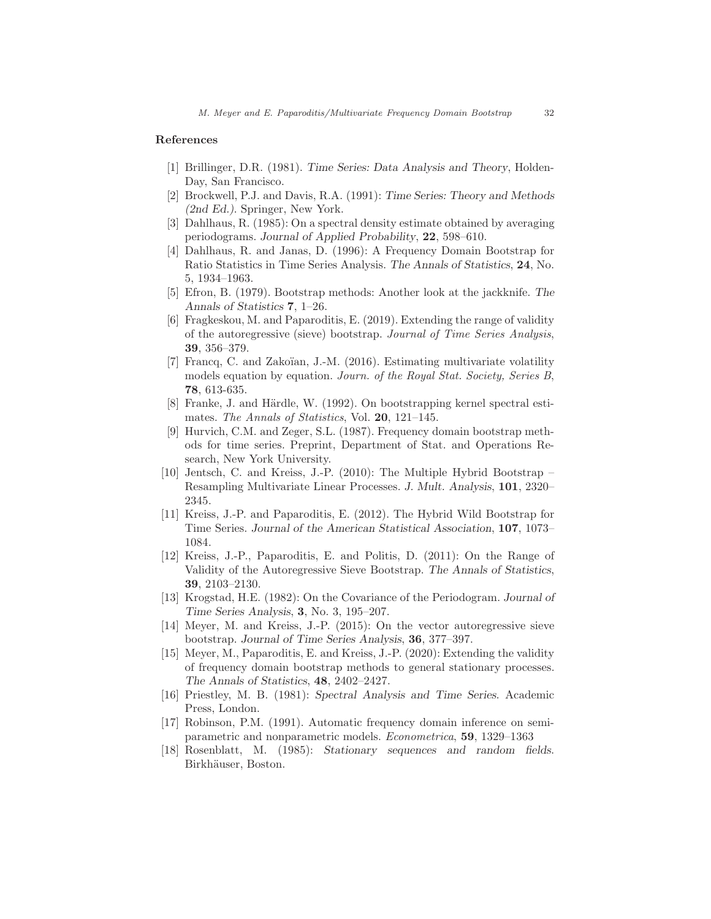# References

- [1] Brillinger, D.R. (1981). *Time Series: Data Analysis and Theory*, Holden-Day, San Francisco.
- [2] Brockwell, P.J. and Davis, R.A. (1991): *Time Series: Theory and Methods (2nd Ed.)*. Springer, New York.
- [3] Dahlhaus, R. (1985): On a spectral density estimate obtained by averaging periodograms. *Journal of Applied Probability*, 22, 598–610.
- [4] Dahlhaus, R. and Janas, D. (1996): A Frequency Domain Bootstrap for Ratio Statistics in Time Series Analysis. *The Annals of Statistics*, 24, No. 5, 1934–1963.
- [5] Efron, B. (1979). Bootstrap methods: Another look at the jackknife. *The Annals of Statistics* 7, 1–26.
- [6] Fragkeskou, M. and Paparoditis, E. (2019). Extending the range of validity of the autoregressive (sieve) bootstrap. Journal of Time Series Analysis, 39, 356–379.
- [7] Francq, C. and Zakoïan, J.-M. (2016). Estimating multivariate volatility models equation by equation. Journ. of the Royal Stat. Society, Series B, 78, 613-635.
- [8] Franke, J. and Härdle, W. (1992). On bootstrapping kernel spectral estimates. The Annals of Statistics, Vol. 20, 121-145.
- [9] Hurvich, C.M. and Zeger, S.L. (1987). Frequency domain bootstrap methods for time series. Preprint, Department of Stat. and Operations Research, New York University.
- [10] Jentsch, C. and Kreiss, J.-P. (2010): The Multiple Hybrid Bootstrap Resampling Multivariate Linear Processes. *J. Mult. Analysis*, 101, 2320– 2345.
- [11] Kreiss, J.-P. and Paparoditis, E. (2012). The Hybrid Wild Bootstrap for Time Series. *Journal of the American Statistical Association*, 107, 1073– 1084.
- [12] Kreiss, J.-P., Paparoditis, E. and Politis, D. (2011): On the Range of Validity of the Autoregressive Sieve Bootstrap. *The Annals of Statistics*, 39, 2103–2130.
- [13] Krogstad, H.E. (1982): On the Covariance of the Periodogram. *Journal of Time Series Analysis*, 3, No. 3, 195–207.
- [14] Meyer, M. and Kreiss, J.-P. (2015): On the vector autoregressive sieve bootstrap. *Journal of Time Series Analysis*, 36, 377–397.
- [15] Meyer, M., Paparoditis, E. and Kreiss, J.-P. (2020): Extending the validity of frequency domain bootstrap methods to general stationary processes. *The Annals of Statistics*, 48, 2402–2427.
- [16] Priestley, M. B. (1981): *Spectral Analysis and Time Series*. Academic Press, London.
- [17] Robinson, P.M. (1991). Automatic frequency domain inference on semiparametric and nonparametric models. Econometrica, 59, 1329–1363
- [18] Rosenblatt, M. (1985): *Stationary sequences and random fields*. Birkhäuser, Boston.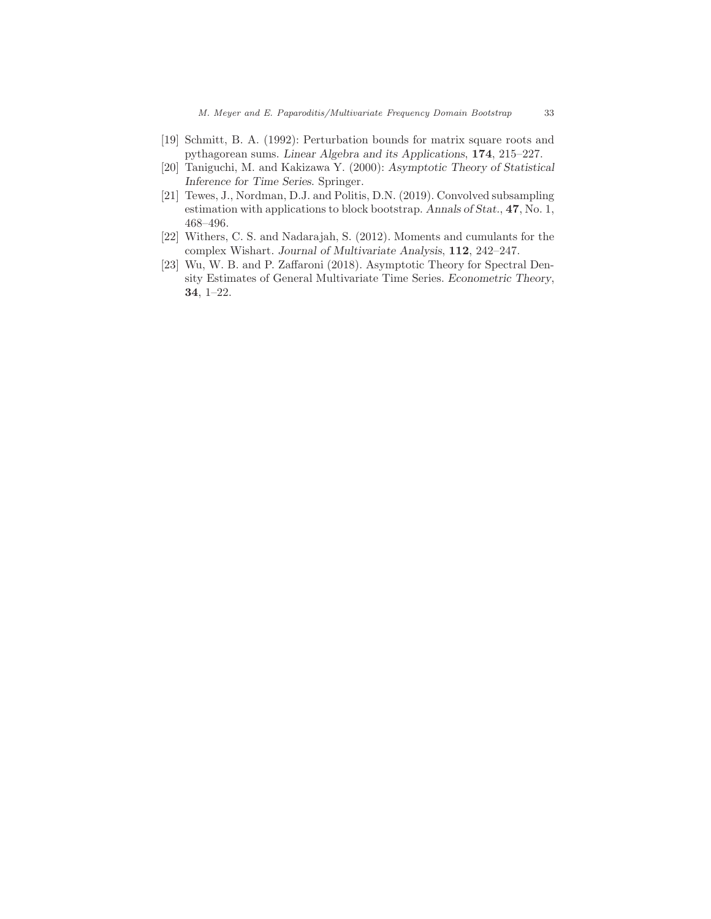- [19] Schmitt, B. A. (1992): Perturbation bounds for matrix square roots and pythagorean sums. *Linear Algebra and its Applications*, 174, 215–227.
- [20] Taniguchi, M. and Kakizawa Y. (2000): *Asymptotic Theory of Statistical Inference for Time Series*. Springer.
- [21] Tewes, J., Nordman, D.J. and Politis, D.N. (2019). Convolved subsampling estimation with applications to block bootstrap. *Annals of Stat.*, 47, No. 1, 468–496.
- [22] Withers, C. S. and Nadarajah, S. (2012). Moments and cumulants for the complex Wishart. *Journal of Multivariate Analysis*, 112, 242–247.
- [23] Wu, W. B. and P. Zaffaroni (2018). Asymptotic Theory for Spectral Density Estimates of General Multivariate Time Series. *Econometric Theory*, 34, 1–22.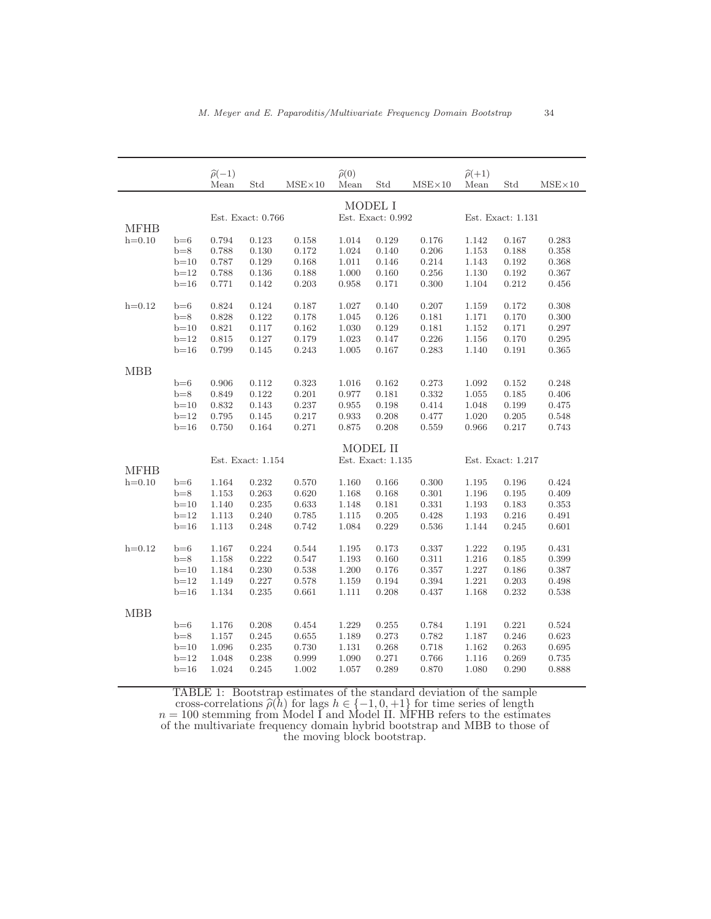|             |                   | $\widehat{\rho}(-1)$<br>Mean | Std       | $MSE \times 10$              | $\widehat{\rho}(0)$<br>Mean | Std   | $MSE \times 10$   | $\hat{\rho}(+1)$<br>Mean | Std       | $MSE \times 10$ |
|-------------|-------------------|------------------------------|-----------|------------------------------|-----------------------------|-------|-------------------|--------------------------|-----------|-----------------|
|             |                   |                              |           |                              |                             |       |                   |                          |           |                 |
| <b>MFHB</b> | Est. Exact: 0.766 |                              |           | MODEL I<br>Est. Exact: 0.992 |                             |       | Est. Exact: 1.131 |                          |           |                 |
| $h=0.10$    | $b=6$             | 0.794                        | 0.123     | 0.158                        | 1.014                       | 0.129 | 0.176             | 1.142                    | 0.167     | 0.283           |
|             | $b=8$             | 0.788                        | $0.130\,$ | 0.172                        | 1.024                       | 0.140 | 0.206             | $1.153\,$                | 0.188     | 0.358           |
|             | $b=10$            | 0.787                        | 0.129     | 0.168                        | 1.011                       | 0.146 | 0.214             | 1.143                    | 0.192     | 0.368           |
|             | $b=12$            | 0.788                        | 0.136     | 0.188                        | 1.000                       | 0.160 | 0.256             | 1.130                    | 0.192     | 0.367           |
|             | $b=16$            | 0.771                        | 0.142     | 0.203                        | 0.958                       | 0.171 | 0.300             | 1.104                    | 0.212     | 0.456           |
| $h=0.12$    | $b=6$             | 0.824                        | 0.124     | 0.187                        | 1.027                       | 0.140 | 0.207             | 1.159                    | 0.172     | 0.308           |
|             | $b=8$             | 0.828                        | 0.122     | 0.178                        | 1.045                       | 0.126 | 0.181             | 1.171                    | 0.170     | 0.300           |
|             | $b=10$            | 0.821                        | 0.117     | 0.162                        | 1.030                       | 0.129 | 0.181             | 1.152                    | 0.171     | 0.297           |
|             | $b=12$            | 0.815                        | 0.127     | 0.179                        | 1.023                       | 0.147 | 0.226             | 1.156                    | 0.170     | 0.295           |
|             | $b=16$            | 0.799                        | 0.145     | 0.243                        | 1.005                       | 0.167 | 0.283             | 1.140                    | 0.191     | 0.365           |
| <b>MBB</b>  |                   |                              |           |                              |                             |       |                   |                          |           |                 |
|             | $b=6$             | 0.906                        | 0.112     | 0.323                        | 1.016                       | 0.162 | 0.273             | 1.092                    | 0.152     | 0.248           |
|             | $b=8$             | 0.849                        | 0.122     | 0.201                        | 0.977                       | 0.181 | 0.332             | 1.055                    | 0.185     | 0.406           |
|             | $b=10$            | 0.832                        | 0.143     | 0.237                        | 0.955                       | 0.198 | 0.414             | 1.048                    | 0.199     | 0.475           |
|             | $b=12$            | 0.795                        | 0.145     | 0.217                        | 0.933                       | 0.208 | 0.477             | 1.020                    | 0.205     | 0.548           |
|             | $b=16$            | 0.750                        | 0.164     | 0.271                        | 0.875                       | 0.208 | 0.559             | 0.966                    | 0.217     | 0.743           |
|             |                   |                              |           |                              | MODEL II                    |       |                   |                          |           |                 |
| <b>MFHB</b> |                   | Est. Exact: 1.154            |           |                              | Est. Exact: 1.135           |       |                   | Est. Exact: 1.217        |           |                 |
| $h=0.10$    | $b=6$             | 1.164                        | 0.232     | 0.570                        | 1.160                       | 0.166 | 0.300             | 1.195                    | 0.196     | 0.424           |
|             | $b=8$             | 1.153                        | 0.263     | 0.620                        | 1.168                       | 0.168 | 0.301             | 1.196                    | 0.195     | 0.409           |
|             | $b=10$            | 1.140                        | 0.235     | 0.633                        | 1.148                       | 0.181 | 0.331             | 1.193                    | 0.183     | 0.353           |
|             | $b=12$            | 1.113                        | 0.240     | 0.785                        | 1.115                       | 0.205 | 0.428             | 1.193                    | 0.216     | 0.491           |
|             | $b=16$            | 1.113                        | 0.248     | 0.742                        | 1.084                       | 0.229 | 0.536             | 1.144                    | 0.245     | 0.601           |
| $h=0.12$    | $b=6$             | 1.167                        | 0.224     | 0.544                        | 1.195                       | 0.173 | 0.337             | 1.222                    | 0.195     | 0.431           |
|             | $b=8$             | 1.158                        | 0.222     | 0.547                        | 1.193                       | 0.160 | 0.311             | 1.216                    | 0.185     | 0.399           |
|             | $b=10$            | 1.184                        | 0.230     | 0.538                        | $1.200\,$                   | 0.176 | 0.357             | 1.227                    | 0.186     | 0.387           |
|             | $b=12$            | 1.149                        | 0.227     | 0.578                        | 1.159                       | 0.194 | 0.394             | 1.221                    | $0.203\,$ | 0.498           |
|             | $b=16$            | 1.134                        | 0.235     | 0.661                        | 1.111                       | 0.208 | 0.437             | 1.168                    | 0.232     | 0.538           |
| <b>MBB</b>  |                   |                              |           |                              |                             |       |                   |                          |           |                 |
|             | $b=6$             | 1.176                        | 0.208     | 0.454                        | 1.229                       | 0.255 | 0.784             | 1.191                    | 0.221     | 0.524           |
|             | $b=8$             | 1.157                        | 0.245     | 0.655                        | 1.189                       | 0.273 | 0.782             | 1.187                    | 0.246     | 0.623           |
|             | $b=10$            | 1.096                        | 0.235     | 0.730                        | 1.131                       | 0.268 | 0.718             | 1.162                    | 0.263     | 0.695           |
|             | $b=12$            | 1.048                        | 0.238     | 0.999                        | 1.090                       | 0.271 | 0.766             | 1.116                    | 0.269     | 0.735           |
|             | $b=16$            | 1.024                        | 0.245     | 1.002                        | 1.057                       | 0.289 | 0.870             | 1.080                    | 0.290     | 0.888           |

TABLE 1: Bootstrap estimates of the standard deviation of the sample cross-correlations  $\hat{\rho}(h)$  for lags  $h \in \{-1, 0, +1\}$  for time series of length  $n = 100$  stemming from Model I and Model II. MFHB refers to the estimates of the multivariate frequency domain hybrid bootstrap and MBB to those of the moving block bootstrap.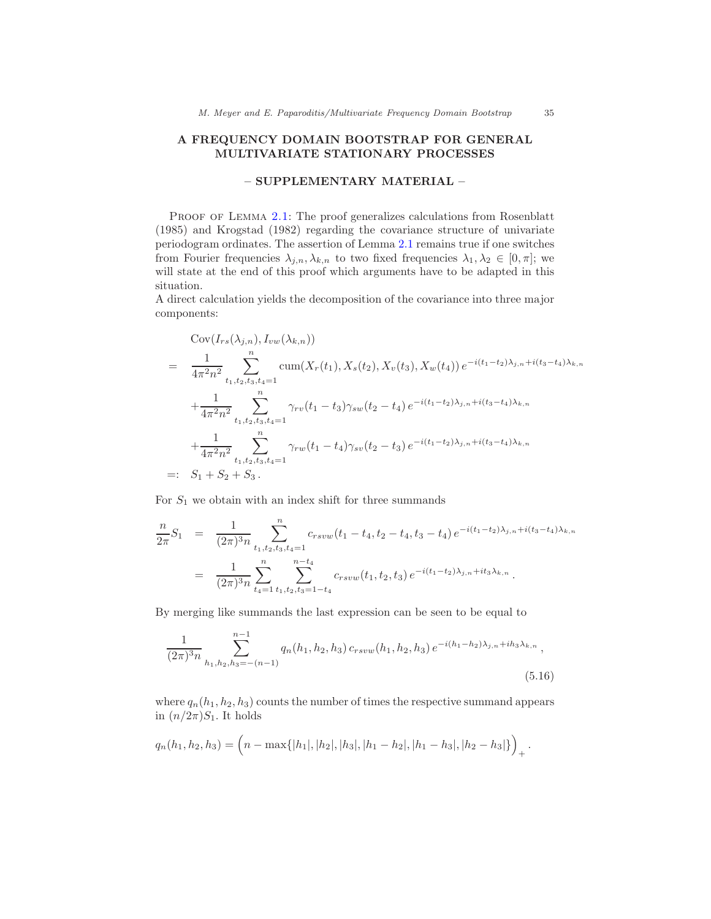# A FREQUENCY DOMAIN BOOTSTRAP FOR GENERAL MULTIVARIATE STATIONARY PROCESSES

# – SUPPLEMENTARY MATERIAL –

PROOF OF LEMMA [2.1:](#page-6-0) The proof generalizes calculations from Rosenblatt (1985) and Krogstad (1982) regarding the covariance structure of univariate periodogram ordinates. The assertion of Lemma [2.1](#page-6-0) remains true if one switches from Fourier frequencies  $\lambda_{j,n}, \lambda_{k,n}$  to two fixed frequencies  $\lambda_1, \lambda_2 \in [0, \pi]$ ; we will state at the end of this proof which arguments have to be adapted in this situation.

A direct calculation yields the decomposition of the covariance into three major components:

$$
\begin{split}\n& \text{Cov}(I_{rs}(\lambda_{j,n}), I_{vw}(\lambda_{k,n})) \\
&= \frac{1}{4\pi^2 n^2} \sum_{t_1, t_2, t_3, t_4=1}^n \text{cum}(X_r(t_1), X_s(t_2), X_v(t_3), X_w(t_4)) \, e^{-i(t_1 - t_2)\lambda_{j,n} + i(t_3 - t_4)\lambda_{k,n}} \\
& + \frac{1}{4\pi^2 n^2} \sum_{t_1, t_2, t_3, t_4=1}^n \gamma_{rv}(t_1 - t_3) \gamma_{sw}(t_2 - t_4) \, e^{-i(t_1 - t_2)\lambda_{j,n} + i(t_3 - t_4)\lambda_{k,n}} \\
& + \frac{1}{4\pi^2 n^2} \sum_{t_1, t_2, t_3, t_4=1}^n \gamma_{rw}(t_1 - t_4) \gamma_{sv}(t_2 - t_3) \, e^{-i(t_1 - t_2)\lambda_{j,n} + i(t_3 - t_4)\lambda_{k,n}} \\
& =: S_1 + S_2 + S_3 \, .\n\end{split}
$$

For  $S_1$  we obtain with an index shift for three summands

$$
\frac{n}{2\pi}S_1 = \frac{1}{(2\pi)^3 n} \sum_{t_1, t_2, t_3, t_4=1}^n c_{rsvw}(t_1 - t_4, t_2 - t_4, t_3 - t_4) e^{-i(t_1 - t_2)\lambda_{j,n} + i(t_3 - t_4)\lambda_{k,n}} \n= \frac{1}{(2\pi)^3 n} \sum_{t_4=1}^n \sum_{t_1, t_2, t_3=1-t_4}^{n-t_4} c_{rsvw}(t_1, t_2, t_3) e^{-i(t_1 - t_2)\lambda_{j,n} + it_3\lambda_{k,n}}.
$$

By merging like summands the last expression can be seen to be equal to

<span id="page-34-0"></span>
$$
\frac{1}{(2\pi)^3 n} \sum_{h_1, h_2, h_3 = -(n-1)}^{n-1} q_n(h_1, h_2, h_3) c_{rsvw}(h_1, h_2, h_3) e^{-i(h_1 - h_2)\lambda_{j,n} + ih_3\lambda_{k,n}},
$$
\n(5.16)

where  $q_n(h_1, h_2, h_3)$  counts the number of times the respective summand appears in  $(n/2\pi)S_1$ . It holds

$$
q_n(h_1, h_2, h_3) = \left(n - \max\{|h_1|, |h_2|, |h_3|, |h_1 - h_2|, |h_1 - h_3|, |h_2 - h_3|\}\right)_+.
$$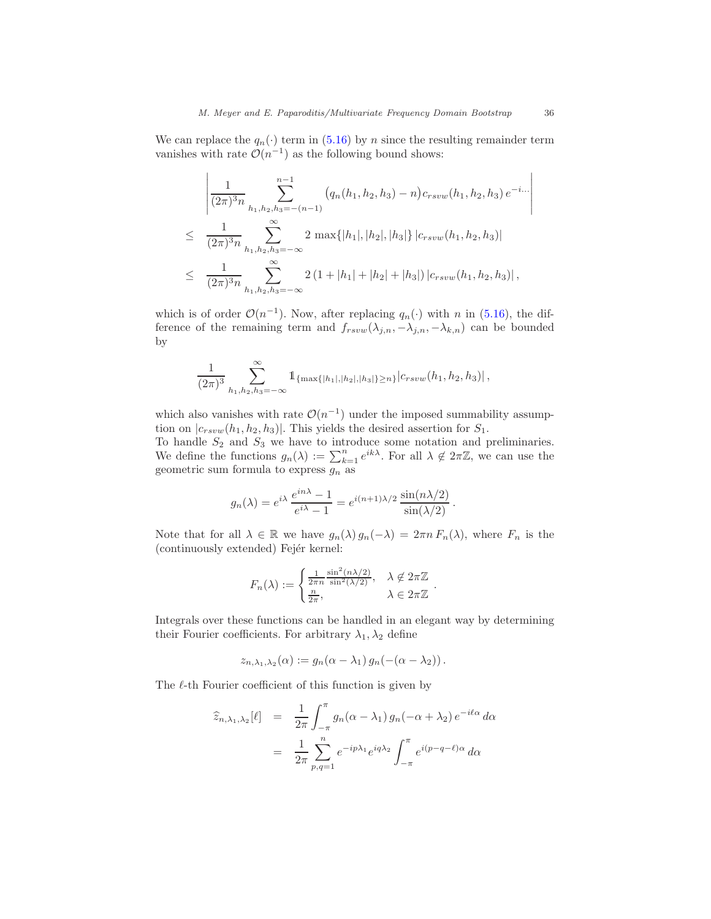We can replace the  $q_n(\cdot)$  term in [\(5.16\)](#page-34-0) by n since the resulting remainder term vanishes with rate  $\mathcal{O}(n^{-1})$  as the following bound shows:

$$
\frac{1}{(2\pi)^3 n} \sum_{h_1, h_2, h_3 = -(n-1)}^{n-1} (q_n(h_1, h_2, h_3) - n) c_{rsvw}(h_1, h_2, h_3) e^{-i...}
$$
  
\n
$$
\leq \frac{1}{(2\pi)^3 n} \sum_{h_1, h_2, h_3 = -\infty}^{\infty} 2 \max\{|h_1|, |h_2|, |h_3|\} |c_{rsvw}(h_1, h_2, h_3)|
$$
  
\n
$$
\leq \frac{1}{(2\pi)^3 n} \sum_{h_1, h_2, h_3 = -\infty}^{\infty} 2 (1 + |h_1| + |h_2| + |h_3|) |c_{rsvw}(h_1, h_2, h_3)|,
$$

which is of order  $\mathcal{O}(n^{-1})$ . Now, after replacing  $q_n(\cdot)$  with n in [\(5.16\)](#page-34-0), the difference of the remaining term and  $f_{rsvw}(\lambda_{j,n}, -\lambda_{j,n}, -\lambda_{k,n})$  can be bounded by

$$
\frac{1}{(2\pi)^3} \sum_{h_1, h_2, h_3 = -\infty}^{\infty} \mathbb{1}_{\{\max\{|h_1|, |h_2|, |h_3|\} \ge n\}} |c_{rsvw}(h_1, h_2, h_3)|,
$$

which also vanishes with rate  $\mathcal{O}(n^{-1})$  under the imposed summability assumption on  $|c_{rsvw}(h_1, h_2, h_3)|$ . This yields the desired assertion for  $S_1$ .

To handle  $S_2$  and  $S_3$  we have to introduce some notation and preliminaries. We define the functions  $g_n(\lambda) := \sum_{k=1}^n e^{ik\lambda}$ . For all  $\lambda \notin 2\pi\mathbb{Z}$ , we can use the geometric sum formula to express  $g_n$  as

$$
g_n(\lambda) = e^{i\lambda} \frac{e^{in\lambda} - 1}{e^{i\lambda} - 1} = e^{i(n+1)\lambda/2} \frac{\sin(n\lambda/2)}{\sin(\lambda/2)}.
$$

Note that for all  $\lambda \in \mathbb{R}$  we have  $g_n(\lambda) g_n(-\lambda) = 2\pi n F_n(\lambda)$ , where  $F_n$  is the (continuously extended) Fejér kernel:

$$
F_n(\lambda) := \begin{cases} \frac{1}{2\pi n} \frac{\sin^2(n\lambda/2)}{\sin^2(\lambda/2)}, & \lambda \notin 2\pi\mathbb{Z} \\ \frac{n}{2\pi}, & \lambda \in 2\pi\mathbb{Z} \end{cases}.
$$

Integrals over these functions can be handled in an elegant way by determining their Fourier coefficients. For arbitrary  $\lambda_1, \lambda_2$  define

$$
z_{n,\lambda_1,\lambda_2}(\alpha) := g_n(\alpha - \lambda_1) g_n(-(\alpha - \lambda_2)).
$$

The  $\ell$ -th Fourier coefficient of this function is given by

<span id="page-35-0"></span>
$$
\widehat{z}_{n,\lambda_1,\lambda_2}[\ell] = \frac{1}{2\pi} \int_{-\pi}^{\pi} g_n(\alpha - \lambda_1) g_n(-\alpha + \lambda_2) e^{-i\ell\alpha} d\alpha
$$

$$
= \frac{1}{2\pi} \sum_{p,q=1}^n e^{-ip\lambda_1} e^{iq\lambda_2} \int_{-\pi}^{\pi} e^{i(p-q-\ell)\alpha} d\alpha
$$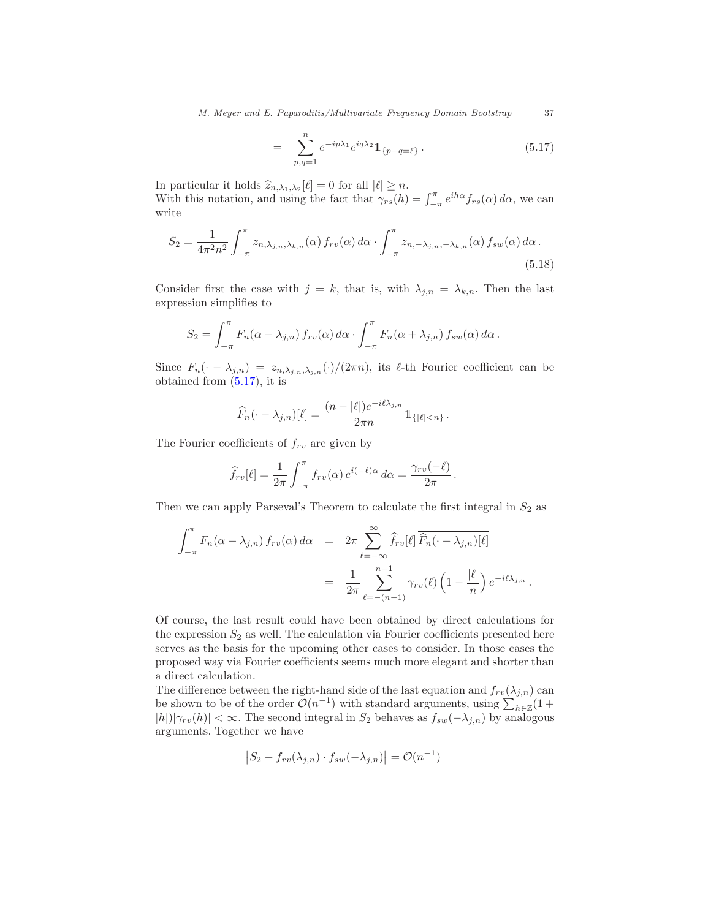*M. Meyer and E. Paparoditis/Multivariate Frequency Domain Bootstrap* 37

$$
= \sum_{p,q=1}^{n} e^{-ip\lambda_1} e^{iq\lambda_2} 1\!\!1_{\{p-q=\ell\}}.
$$
\n(5.17)

In particular it holds  $\widehat{z}_{n,\lambda_1,\lambda_2}[\ell] = 0$  for all  $|\ell| \geq n$ . With this notation, and using the fact that  $\gamma_{rs}(h) = \int_{-\pi}^{\pi} e^{ih\alpha} f_{rs}(\alpha) d\alpha$ , we can write

$$
S_2 = \frac{1}{4\pi^2 n^2} \int_{-\pi}^{\pi} z_{n,\lambda_{j,n},\lambda_{k,n}}(\alpha) f_{rv}(\alpha) d\alpha \cdot \int_{-\pi}^{\pi} z_{n,-\lambda_{j,n},-\lambda_{k,n}}(\alpha) f_{sw}(\alpha) d\alpha.
$$
\n(5.18)

Consider first the case with  $j = k$ , that is, with  $\lambda_{j,n} = \lambda_{k,n}$ . Then the last expression simplifies to

$$
S_2 = \int_{-\pi}^{\pi} F_n(\alpha - \lambda_{j,n}) f_{rv}(\alpha) d\alpha \cdot \int_{-\pi}^{\pi} F_n(\alpha + \lambda_{j,n}) f_{sw}(\alpha) d\alpha.
$$

Since  $F_n(\cdot - \lambda_{j,n}) = z_{n,\lambda_{j,n},\lambda_{j,n}}(\cdot)/(2\pi n)$ , its  $\ell$ -th Fourier coefficient can be obtained from [\(5.17\)](#page-35-0), it is

$$
\widehat{F}_n(\cdot - \lambda_{j,n})[\ell] = \frac{(n - |\ell|)e^{-i\ell\lambda_{j,n}}}{2\pi n} 1_{\{|\ell| < n\}}.
$$

The Fourier coefficients of  $f_{rv}$  are given by

=

$$
\widehat{f}_{rv}[\ell] = \frac{1}{2\pi} \int_{-\pi}^{\pi} f_{rv}(\alpha) e^{i(-\ell)\alpha} d\alpha = \frac{\gamma_{rv}(-\ell)}{2\pi}.
$$

Then we can apply Parseval's Theorem to calculate the first integral in  $S_2$  as

$$
\int_{-\pi}^{\pi} F_n(\alpha - \lambda_{j,n}) f_{rv}(\alpha) d\alpha = 2\pi \sum_{\ell=-\infty}^{\infty} \widehat{f}_{rv}[\ell] \widehat{F}_n(\cdot - \lambda_{j,n})[\ell]
$$

$$
= \frac{1}{2\pi} \sum_{\ell=-(n-1)}^{n-1} \gamma_{rv}(\ell) \left(1 - \frac{|\ell|}{n}\right) e^{-i\ell\lambda_{j,n}}.
$$

Of course, the last result could have been obtained by direct calculations for the expression  $S_2$  as well. The calculation via Fourier coefficients presented here serves as the basis for the upcoming other cases to consider. In those cases the proposed way via Fourier coefficients seems much more elegant and shorter than a direct calculation.

The difference between the right-hand side of the last equation and  $f_{rv}(\lambda_{j,n})$  can be shown to be of the order  $\mathcal{O}(n^{-1})$  with standard arguments, using  $\sum_{h\in\mathbb{Z}}(1+h)$  $|h|/|\gamma_{rv}(h)| < \infty$ . The second integral in S<sub>2</sub> behaves as  $f_{sw}(-\lambda_{j,n})$  by analogous arguments. Together we have

$$
\left|S_2 - f_{rv}(\lambda_{j,n}) \cdot f_{sw}(-\lambda_{j,n})\right| = \mathcal{O}(n^{-1})
$$

<span id="page-36-0"></span>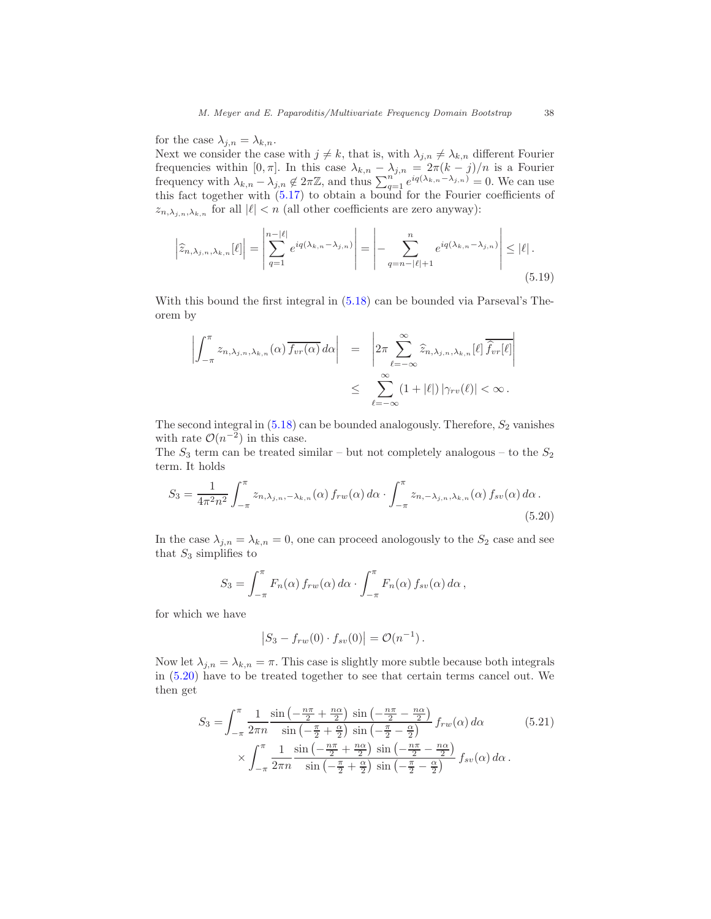for the case  $\lambda_{j,n} = \lambda_{k,n}$ .

Next we consider the case with  $j \neq k$ , that is, with  $\lambda_{j,n} \neq \lambda_{k,n}$  different Fourier frequencies within [0,  $\pi$ ]. In this case  $\lambda_{k,n} - \lambda_{j,n} = 2\pi (k-j)/n$  is a Fourier frequency with  $\lambda_{k,n} - \lambda_{j,n} \notin 2\pi\mathbb{Z}$ , and thus  $\sum_{q=1}^{n} e^{iq(\lambda_{k,n}-\lambda_{j,n})} = 0$ . We can use this fact together with [\(5.17\)](#page-35-0) to obtain a bound for the Fourier coefficients of  $z_{n,\lambda_{j,n},\lambda_{k,n}}$  for all  $|\ell| < n$  (all other coefficients are zero anyway):

$$
\left|\widehat{z}_{n,\lambda_{j,n},\lambda_{k,n}}[\ell]\right| = \left|\sum_{q=1}^{n-|\ell|} e^{iq(\lambda_{k,n}-\lambda_{j,n})}\right| = \left|-\sum_{q=n-|\ell|+1}^{n} e^{iq(\lambda_{k,n}-\lambda_{j,n})}\right| \leq |\ell|.
$$
\n(5.19)

With this bound the first integral in [\(5.18\)](#page-36-0) can be bounded via Parseval's Theorem by

<span id="page-37-2"></span>
$$
\left| \int_{-\pi}^{\pi} z_{n,\lambda_{j,n},\lambda_{k,n}}(\alpha) \overline{f_{vr}(\alpha)} d\alpha \right| = \left| 2\pi \sum_{\ell=-\infty}^{\infty} \widehat{z}_{n,\lambda_{j,n},\lambda_{k,n}}[\ell] \overline{\widehat{f}_{vr}[\ell]} \right|
$$
  

$$
\leq \sum_{\ell=-\infty}^{\infty} (1+|\ell|) |\gamma_{rv}(\ell)| < \infty.
$$

The second integral in  $(5.18)$  can be bounded analogously. Therefore,  $S_2$  vanishes with rate  $\mathcal{O}(n^{-2})$  in this case.

The  $S_3$  term can be treated similar – but not completely analogous – to the  $S_2$ term. It holds

$$
S_3 = \frac{1}{4\pi^2 n^2} \int_{-\pi}^{\pi} z_{n,\lambda_{j,n},-\lambda_{k,n}}(\alpha) f_{rw}(\alpha) d\alpha \cdot \int_{-\pi}^{\pi} z_{n,-\lambda_{j,n},\lambda_{k,n}}(\alpha) f_{sv}(\alpha) d\alpha.
$$
\n(5.20)

In the case  $\lambda_{j,n} = \lambda_{k,n} = 0$ , one can proceed anologously to the  $S_2$  case and see that  $S_3$  simplifies to

$$
S_3 = \int_{-\pi}^{\pi} F_n(\alpha) f_{rw}(\alpha) d\alpha \cdot \int_{-\pi}^{\pi} F_n(\alpha) f_{sv}(\alpha) d\alpha,
$$

for which we have

<span id="page-37-1"></span><span id="page-37-0"></span>
$$
|S_3 - f_{rw}(0) \cdot f_{sv}(0)| = \mathcal{O}(n^{-1}).
$$

Now let  $\lambda_{j,n} = \lambda_{k,n} = \pi$ . This case is slightly more subtle because both integrals in [\(5.20\)](#page-37-0) have to be treated together to see that certain terms cancel out. We then get

$$
S_3 = \int_{-\pi}^{\pi} \frac{1}{2\pi n} \frac{\sin\left(-\frac{n\pi}{2} + \frac{n\alpha}{2}\right) \sin\left(-\frac{n\pi}{2} - \frac{n\alpha}{2}\right)}{\sin\left(-\frac{\pi}{2} + \frac{\alpha}{2}\right) \sin\left(-\frac{\pi}{2} - \frac{\alpha}{2}\right)} f_{rw}(\alpha) d\alpha \qquad (5.21)
$$

$$
\times \int_{-\pi}^{\pi} \frac{1}{2\pi n} \frac{\sin\left(-\frac{n\pi}{2} + \frac{n\alpha}{2}\right) \sin\left(-\frac{n\pi}{2} - \frac{n\alpha}{2}\right)}{\sin\left(-\frac{\pi}{2} + \frac{\alpha}{2}\right) \sin\left(-\frac{\pi}{2} - \frac{\alpha}{2}\right)} f_{sv}(\alpha) d\alpha.
$$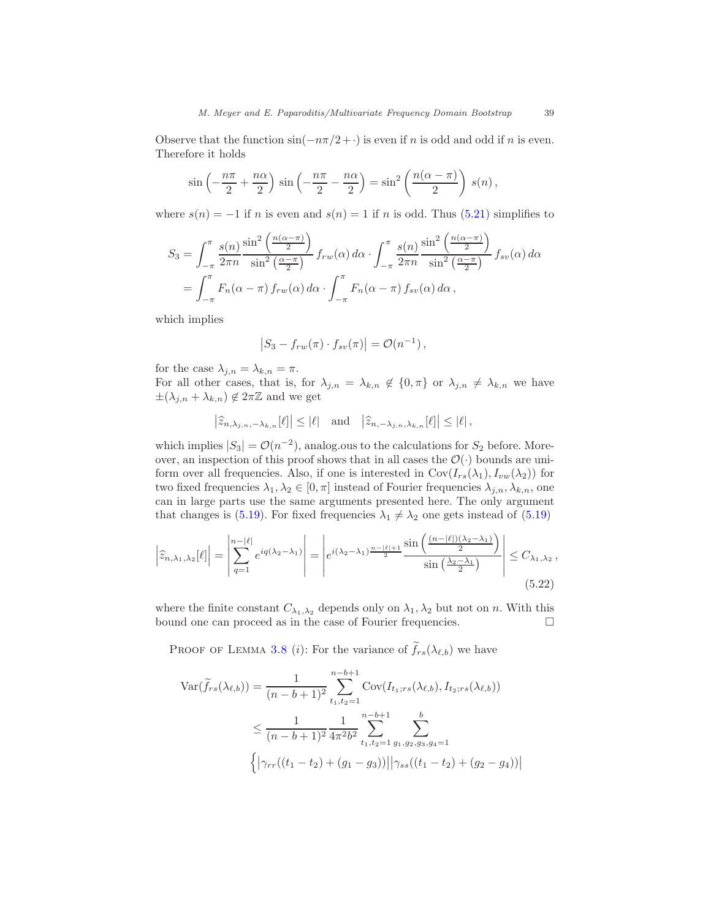Observe that the function  $sin(-n\pi/2+\cdot)$  is even if n is odd and odd if n is even. Therefore it holds

$$
\sin\left(-\frac{n\pi}{2} + \frac{n\alpha}{2}\right)\sin\left(-\frac{n\pi}{2} - \frac{n\alpha}{2}\right) = \sin^2\left(\frac{n(\alpha - \pi)}{2}\right)s(n),
$$

where  $s(n) = -1$  if n is even and  $s(n) = 1$  if n is odd. Thus [\(5.21\)](#page-37-1) simplifies to

$$
S_3 = \int_{-\pi}^{\pi} \frac{s(n)}{2\pi n} \frac{\sin^2\left(\frac{n(\alpha-\pi)}{2}\right)}{\sin^2\left(\frac{\alpha-\pi}{2}\right)} f_{rw}(\alpha) d\alpha \cdot \int_{-\pi}^{\pi} \frac{s(n)}{2\pi n} \frac{\sin^2\left(\frac{n(\alpha-\pi)}{2}\right)}{\sin^2\left(\frac{\alpha-\pi}{2}\right)} f_{sv}(\alpha) d\alpha
$$

$$
= \int_{-\pi}^{\pi} F_n(\alpha-\pi) f_{rw}(\alpha) d\alpha \cdot \int_{-\pi}^{\pi} F_n(\alpha-\pi) f_{sv}(\alpha) d\alpha,
$$

which implies

$$
|S_3 - f_{rw}(\pi) \cdot f_{sv}(\pi)| = \mathcal{O}(n^{-1}),
$$

for the case  $\lambda_{j,n} = \lambda_{k,n} = \pi$ .

For all other cases, that is, for  $\lambda_{j,n} = \lambda_{k,n} \notin \{0, \pi\}$  or  $\lambda_{j,n} \neq \lambda_{k,n}$  we have  $\pm(\lambda_{j,n} + \lambda_{k,n}) \notin 2\pi\mathbb{Z}$  and we get

$$
\left|\widehat{z}_{n,\lambda_{j,n},-\lambda_{k,n}}[\ell]\right|\leq |\ell|\quad\text{and}\quad\left|\widehat{z}_{n,-\lambda_{j,n},\lambda_{k,n}}[\ell]\right|\leq |\ell|\,,
$$

which implies  $|S_3| = \mathcal{O}(n^{-2})$ , analog.ous to the calculations for  $S_2$  before. Moreover, an inspection of this proof shows that in all cases the  $\mathcal{O}(\cdot)$  bounds are uniform over all frequencies. Also, if one is interested in  $Cov(I_{rs}(\lambda_1), I_{vw}(\lambda_2))$  for two fixed frequencies  $\lambda_1, \lambda_2 \in [0, \pi]$  instead of Fourier frequencies  $\lambda_{j,n}, \lambda_{k,n}$ , one can in large parts use the same arguments presented here. The only argument that changes is [\(5.19\)](#page-37-2). For fixed frequencies  $\lambda_1 \neq \lambda_2$  one gets instead of (5.19)

$$
\left|\hat{z}_{n,\lambda_1,\lambda_2}[\ell]\right| = \left|\sum_{q=1}^{n-|\ell|} e^{iq(\lambda_2-\lambda_1)}\right| = \left|e^{i(\lambda_2-\lambda_1)\frac{n-|\ell|+1}{2}} \frac{\sin\left(\frac{(n-|\ell|)(\lambda_2-\lambda_1)}{2}\right)}{\sin\left(\frac{\lambda_2-\lambda_1}{2}\right)}\right| \leq C_{\lambda_1,\lambda_2},\tag{5.22}
$$

where the finite constant  $C_{\lambda_1,\lambda_2}$  depends only on  $\lambda_1,\lambda_2$  but not on n. With this bound one can proceed as in the case of Fourier frequencies.  $\Box$ 

PROOF OF LEMMA [3.8](#page-19-0) (i): For the variance of  $\widetilde{f}_{rs}(\lambda_{\ell,b})$  we have

$$
Var(\widetilde{f}_{rs}(\lambda_{\ell,b})) = \frac{1}{(n-b+1)^2} \sum_{t_1,t_2=1}^{n-b+1} Cov(I_{t_1;rs}(\lambda_{\ell,b}), I_{t_2;rs}(\lambda_{\ell,b}))
$$
  

$$
\leq \frac{1}{(n-b+1)^2} \frac{1}{4\pi^2 b^2} \sum_{t_1,t_2=1}^{n-b+1} \sum_{g_1,g_2,g_3,g_4=1}^{b} \{\Big|\gamma_{rr}((t_1-t_2)+(g_1-g_3))\Big|\Big|\gamma_{ss}((t_1-t_2)+(g_2-g_4))\Big|
$$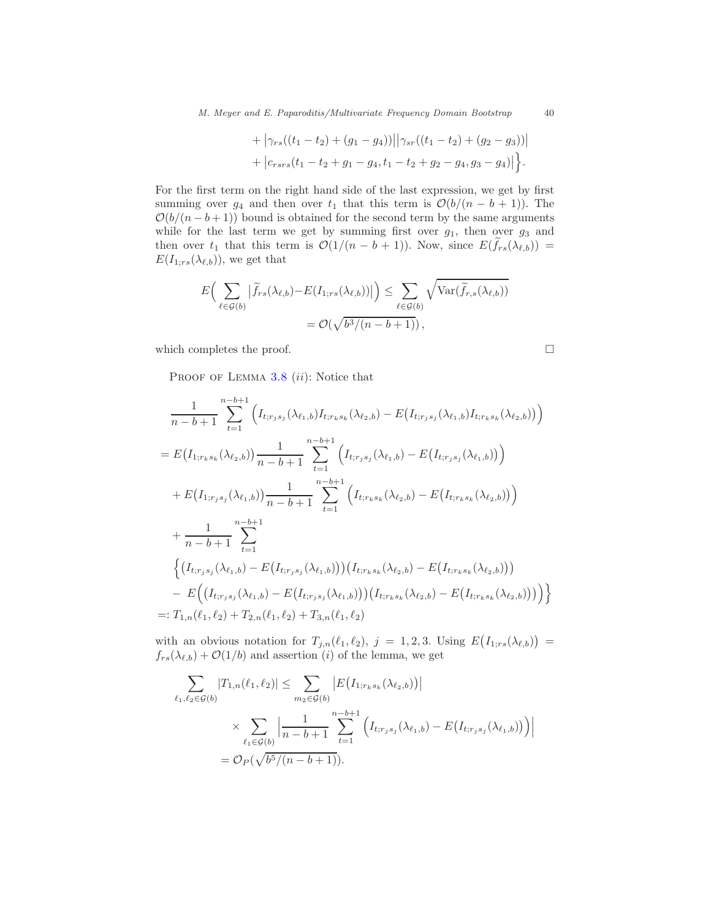*M. Meyer and E. Paparoditis/Multivariate Frequency Domain Bootstrap* 40

+ 
$$
|\gamma_{rs}((t_1-t_2)+(g_1-g_4))||\gamma_{sr}((t_1-t_2)+(g_2-g_3))|
$$
  
+  $|c_{rsrs}(t_1-t_2+g_1-g_4,t_1-t_2+g_2-g_4,g_3-g_4)|$ .

For the first term on the right hand side of the last expression, we get by first summing over  $g_4$  and then over  $t_1$  that this term is  $\mathcal{O}(b/(n-b+1))$ . The  $\mathcal{O}(b/(n-b+1))$  bound is obtained for the second term by the same arguments while for the last term we get by summing first over  $g_1$ , then over  $g_3$  and then over  $t_1$  that this term is  $\mathcal{O}(1/(n-b+1))$ . Now, since  $E(\tilde{f}_{rs}(\lambda_{\ell,b}))$  =  $E(I_{1;rs}(\lambda_{\ell,b}))$ , we get that

$$
E\left(\sum_{\ell \in \mathcal{G}(b)} |\widetilde{f}_{rs}(\lambda_{\ell,b}) - E(I_{1;rs}(\lambda_{\ell,b}))| \right) \le \sum_{\ell \in \mathcal{G}(b)} \sqrt{\text{Var}(\widetilde{f}_{r,s}(\lambda_{\ell,b}))}
$$
  
=  $\mathcal{O}(\sqrt{b^3/(n-b+1)}),$ 

which completes the proof.  $\Box$ 

PROOF OF LEMMA  $3.8$  (ii): Notice that

$$
\frac{1}{n-b+1} \sum_{t=1}^{n-b+1} \left( I_{t;r_js_j}(\lambda_{\ell_1,b}) I_{t;r_ks_k}(\lambda_{\ell_2,b}) - E(I_{t;r_js_j}(\lambda_{\ell_1,b}) I_{t;r_ks_k}(\lambda_{\ell_2,b}) \right) \right)
$$
\n
$$
= E\left( I_{1;r_ks_k}(\lambda_{\ell_2,b}) \right) \frac{1}{n-b+1} \sum_{t=1}^{n-b+1} \left( I_{t;r_js_j}(\lambda_{\ell_1,b}) - E\left( I_{t;r_js_j}(\lambda_{\ell_1,b}) \right) \right)
$$
\n
$$
+ E\left( I_{1;r_js_j}(\lambda_{\ell_1,b}) \right) \frac{1}{n-b+1} \sum_{t=1}^{n-b+1} \left( I_{t;r_ks_k}(\lambda_{\ell_2,b}) - E\left( I_{t;r_ks_k}(\lambda_{\ell_2,b}) \right) \right)
$$
\n
$$
+ \frac{1}{n-b+1} \sum_{t=1}^{n-b+1} \left( \left( I_{t;r_js_j}(\lambda_{\ell_1,b}) - E\left( I_{t;r_js_j}(\lambda_{\ell_1,b}) \right) \right) \left( I_{t;r_ks_k}(\lambda_{\ell_2,b}) - E\left( I_{t;r_ks_k}(\lambda_{\ell_2,b}) \right) \right) \right)
$$
\n
$$
- E\left( \left( I_{t;r_js_j}(\lambda_{\ell_1,b}) - E\left( I_{t;r_js_j}(\lambda_{\ell_1,b}) \right) \right) \left( I_{t;r_ks_k}(\lambda_{\ell_2,b}) - E\left( I_{t;r_ks_k}(\lambda_{\ell_2,b}) \right) \right) \right)
$$
\n
$$
=: T_{1,n}(\ell_1,\ell_2) + T_{2,n}(\ell_1,\ell_2) + T_{3,n}(\ell_1,\ell_2)
$$

with an obvious notation for  $T_{j,n}(\ell_1,\ell_2), j = 1,2,3$ . Using  $E(I_{1;rs}(\lambda_{\ell,b})) =$  $f_{rs}(\lambda_{\ell,b}) + \mathcal{O}(1/b)$  and assertion (i) of the lemma, we get

$$
\sum_{\ell_1,\ell_2 \in \mathcal{G}(b)} |T_{1,n}(\ell_1,\ell_2)| \leq \sum_{m_2 \in \mathcal{G}(b)} \left| E(I_{1;r_ks_k}(\lambda_{\ell_2,b})) \right|
$$
  
 
$$
\times \sum_{\ell_1 \in \mathcal{G}(b)} \left| \frac{1}{n-b+1} \sum_{t=1}^{n-b+1} \left( I_{t;r_js_j}(\lambda_{\ell_1,b}) - E(I_{t;r_js_j}(\lambda_{\ell_1,b})) \right) \right|
$$
  
=  $\mathcal{O}_P(\sqrt{b^5/(n-b+1)}).$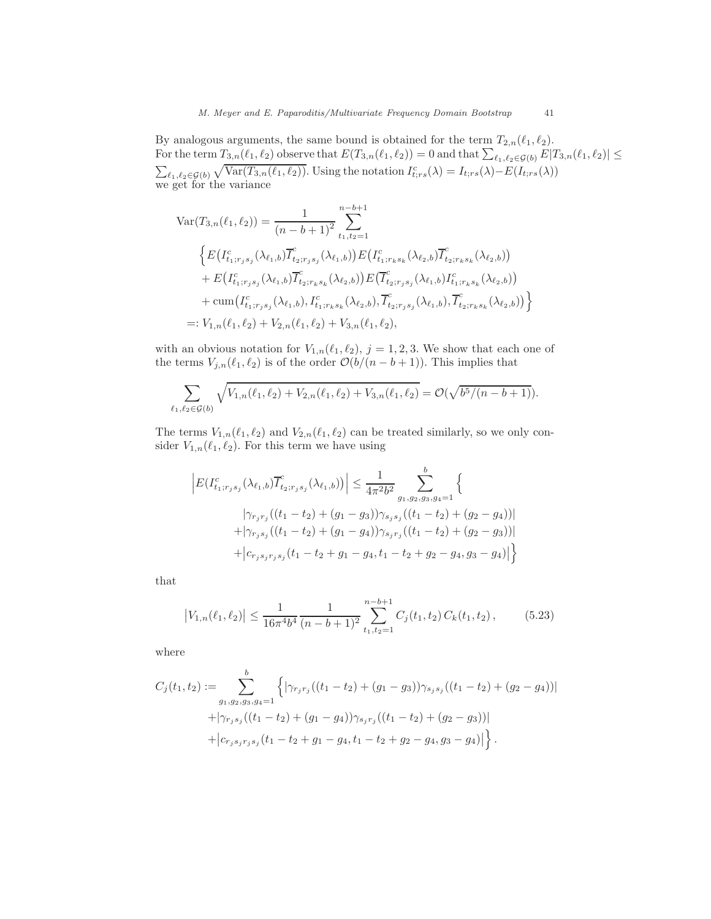#### *M. Meyer and E. Paparoditis/Multivariate Frequency Domain Bootstrap* 41

By analogous arguments, the same bound is obtained for the term  $T_{2,n}(\ell_1,\ell_2)$ . For the term  $T_{3,n}(\ell_1,\ell_2)$  observe that  $E(T_{3,n}(\ell_1,\ell_2))=0$  and that  $\sum_{\ell_1,\ell_2\in\mathcal{G}(b)}E|T_{3,n}(\ell_1,\ell_2)|\leq$  $\sum_{\ell_1,\ell_2\in\mathcal{G}(b)}\sqrt{\text{Var}(T_{3,n}(\ell_1,\ell_2))}$ . Using the notation  $I_{t;rs}^c(\lambda) = I_{t;rs}(\lambda) - E(I_{t;rs}(\lambda))$ we get for the variance

$$
\begin{split}\n\text{Var}(T_{3,n}(\ell_1,\ell_2)) &= \frac{1}{(n-b+1)^2} \sum_{t_1,t_2=1}^{n-b+1} \\
& \Big\{ E(I_{t_1;r_js_j}^c(\lambda_{\ell_1,b}) \overline{I}_{t_2;r_js_j}^c(\lambda_{\ell_1,b}) \Big) E(I_{t_1;r_ks_k}^c(\lambda_{\ell_2,b}) \overline{I}_{t_2;r_ks_k}^c(\lambda_{\ell_2,b}) \Big) \\
&+ E(I_{t_1;r_js_j}^c(\lambda_{\ell_1,b}) \overline{I}_{t_2;r_ks_k}^c(\lambda_{\ell_2,b}) \Big) E\big(\overline{I}_{t_2;r_js_j}^c(\lambda_{\ell_1,b}) \overline{I}_{t_1;r_ks_k}^c(\lambda_{\ell_2,b}) \big) \\
&+ \text{cum}\big(I_{t_1;r_js_j}^c(\lambda_{\ell_1,b}), I_{t_1;r_ks_k}^c(\lambda_{\ell_2,b}), \overline{I}_{t_2;r_js_j}^c(\lambda_{\ell_1,b}), \overline{I}_{t_2;r_ks_k}^c(\lambda_{\ell_2,b}) \big) \Big\} \\
&=: V_{1,n}(\ell_1,\ell_2) + V_{2,n}(\ell_1,\ell_2) + V_{3,n}(\ell_1,\ell_2),\n\end{split}
$$

with an obvious notation for  $V_{1,n}(\ell_1, \ell_2)$ ,  $j = 1, 2, 3$ . We show that each one of the terms  $V_{j,n}(\ell_1, \ell_2)$  is of the order  $\mathcal{O}(b/(n-b+1))$ . This implies that

$$
\sum_{\ell_1,\ell_2 \in \mathcal{G}(b)} \sqrt{V_{1,n}(\ell_1,\ell_2) + V_{2,n}(\ell_1,\ell_2) + V_{3,n}(\ell_1,\ell_2)} = \mathcal{O}(\sqrt{b^5/(n-b+1)}).
$$

The terms  $V_{1,n}(\ell_1, \ell_2)$  and  $V_{2,n}(\ell_1, \ell_2)$  can be treated similarly, so we only consider  $V_{1,n}(\ell_1,\ell_2)$ . For this term we have using

$$
\left| E(I_{t_1; r_j s_j}^c(\lambda_{\ell_1, b}) \overline{I}_{t_2; r_j s_j}^c(\lambda_{\ell_1, b}) ) \right| \leq \frac{1}{4\pi^2 b^2} \sum_{g_1, g_2, g_3, g_4 = 1}^b \left\{ \frac{|\gamma_{r_j r_j}((t_1 - t_2) + (g_1 - g_3)) \gamma_{s_j s_j}((t_1 - t_2) + (g_2 - g_4))|}{+ |\gamma_{r_j s_j}((t_1 - t_2) + (g_1 - g_4)) \gamma_{s_j r_j}((t_1 - t_2) + (g_2 - g_3))|} + |c_{r_j s_j r_j s_j}(t_1 - t_2 + g_1 - g_4, t_1 - t_2 + g_2 - g_4, g_3 - g_4)| \right\}
$$

that

<span id="page-40-0"></span>
$$
\left|V_{1,n}(\ell_1,\ell_2)\right| \le \frac{1}{16\pi^4 b^4} \frac{1}{(n-b+1)^2} \sum_{t_1,t_2=1}^{n-b+1} C_j(t_1,t_2) C_k(t_1,t_2),\tag{5.23}
$$

where

$$
C_j(t_1, t_2) := \sum_{g_1, g_2, g_3, g_4=1}^{b} \left\{ |\gamma_{r_j r_j}((t_1 - t_2) + (g_1 - g_3)) \gamma_{s_j s_j}((t_1 - t_2) + (g_2 - g_4))| + |\gamma_{r_j s_j}((t_1 - t_2) + (g_1 - g_4)) \gamma_{s_j r_j}((t_1 - t_2) + (g_2 - g_3))| + |c_{r_j s_j r_j s_j}(t_1 - t_2 + g_1 - g_4, t_1 - t_2 + g_2 - g_4, g_3 - g_4)| \right\}.
$$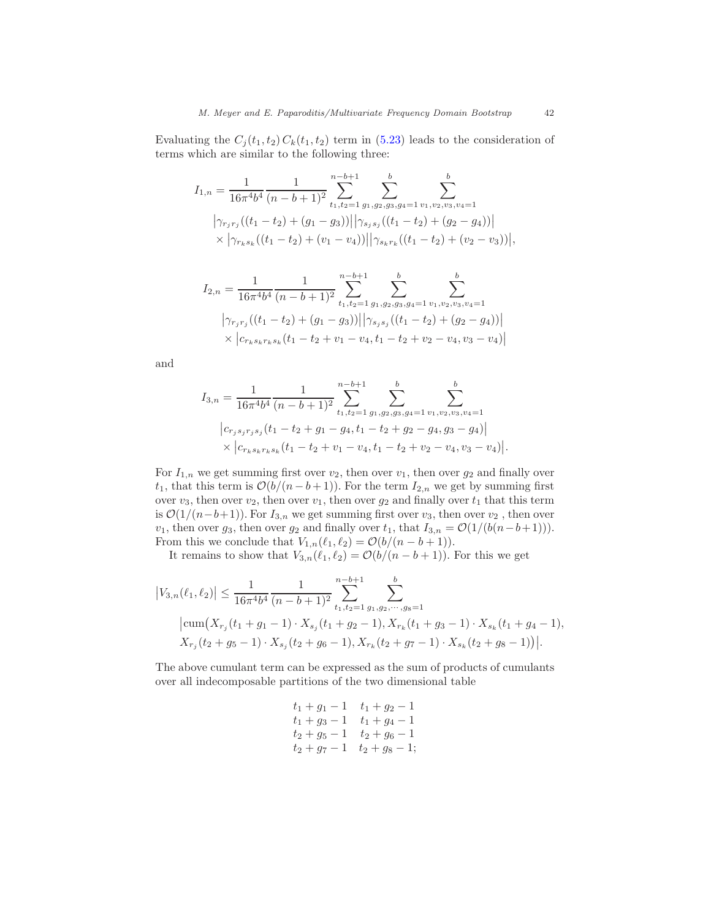Evaluating the  $C_j(t_1, t_2) C_k(t_1, t_2)$  term in [\(5.23\)](#page-40-0) leads to the consideration of terms which are similar to the following three:

$$
I_{1,n} = \frac{1}{16\pi^4 b^4} \frac{1}{(n-b+1)^2} \sum_{t_1,t_2=1}^{n-b+1} \sum_{g_1,g_2,g_3,g_4=1}^{b} \sum_{v_1,v_2,v_3,v_4=1}^{b}
$$
  

$$
\left| \gamma_{r_jr_j}((t_1-t_2)+(g_1-g_3)) \right| \left| \gamma_{s_js_j}((t_1-t_2)+(g_2-g_4)) \right|
$$
  

$$
\times \left| \gamma_{r_ks_k}((t_1-t_2)+(v_1-v_4)) \right| \left| \gamma_{s_kr_k}((t_1-t_2)+(v_2-v_3)) \right|,
$$

$$
I_{2,n} = \frac{1}{16\pi^4 b^4} \frac{1}{(n-b+1)^2} \sum_{t_1,t_2=1}^{n-b+1} \sum_{g_1,g_2,g_3,g_4=1}^{b} \sum_{v_1,v_2,v_3,v_4=1}^{b}
$$
  

$$
|\gamma_{r_jr_j}((t_1-t_2)+(g_1-g_3))||\gamma_{s_js_j}((t_1-t_2)+(g_2-g_4))|
$$
  

$$
\times |c_{r_ks_kr_ks_k}(t_1-t_2+v_1-v_4,t_1-t_2+v_2-v_4,v_3-v_4)|
$$

and

$$
I_{3,n} = \frac{1}{16\pi^4 b^4} \frac{1}{(n-b+1)^2} \sum_{t_1,t_2=1}^{n-b+1} \sum_{g_1,g_2,g_3,g_4=1}^{b} \sum_{v_1,v_2,v_3,v_4=1}^{b}
$$
  

$$
\left| c_{r_js_jr_js_j}(t_1-t_2+g_1-g_4,t_1-t_2+g_2-g_4,g_3-g_4) \right|
$$
  

$$
\times \left| c_{r_ks_kr_ks_k}(t_1-t_2+v_1-v_4,t_1-t_2+v_2-v_4,v_3-v_4) \right|.
$$

For  $I_{1,n}$  we get summing first over  $v_2$ , then over  $v_1$ , then over  $g_2$  and finally over t<sub>1</sub>, that this term is  $\mathcal{O}(b/(n-b+1))$ . For the term  $I_{2,n}$  we get by summing first over  $v_3$ , then over  $v_2$ , then over  $v_1$ , then over  $g_2$  and finally over  $t_1$  that this term is  $\mathcal{O}(1/(n-b+1))$ . For  $I_{3,n}$  we get summing first over  $v_3$ , then over  $v_2$ , then over  $v_1$ , then over  $g_3$ , then over  $g_2$  and finally over  $t_1$ , that  $I_{3,n} = \mathcal{O}(1/(b(n-b+1))).$ From this we conclude that  $V_{1,n}(\ell_1, \ell_2) = \mathcal{O}(b/(n-b+1)).$ 

It remains to show that  $V_{3,n}(\ell_1,\ell_2) = \mathcal{O}(b/(n-b+1))$ . For this we get

$$
\begin{split} \left|V_{3,n}(\ell_1,\ell_2)\right| &\leq \frac{1}{16\pi^4 b^4} \frac{1}{(n-b+1)^2} \sum_{t_1,t_2=1}^{n-b+1} \sum_{g_1,g_2,\cdots,g_8=1}^{b} \\ & \left|\text{cum}\left(X_{r_j}(t_1+g_1-1)\cdot X_{s_j}(t_1+g_2-1), X_{r_k}(t_1+g_3-1)\cdot X_{s_k}(t_1+g_4-1),\right.\right. \\ &\left.X_{r_j}(t_2+g_5-1)\cdot X_{s_j}(t_2+g_6-1), X_{r_k}(t_2+g_7-1)\cdot X_{s_k}(t_2+g_8-1)\right)\right|.\end{split}
$$

The above cumulant term can be expressed as the sum of products of cumulants over all indecomposable partitions of the two dimensional table

$$
t_1 + g_1 - 1 \t t_1 + g_2 - 1\n t_1 + g_3 - 1 \t t_1 + g_4 - 1\n t_2 + g_5 - 1 \t t_2 + g_6 - 1\n t_2 + g_7 - 1 \t t_2 + g_8 - 1;
$$